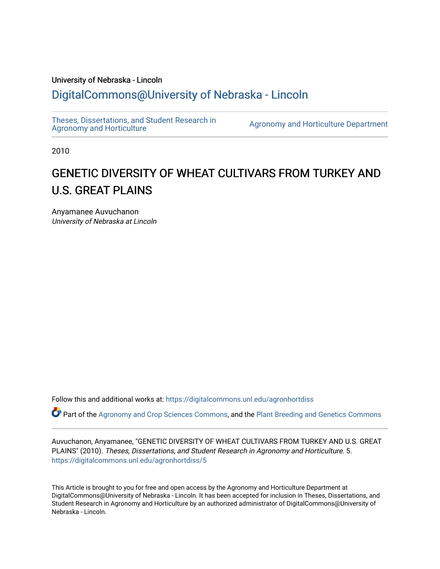## University of Nebraska - Lincoln [DigitalCommons@University of Nebraska - Lincoln](https://digitalcommons.unl.edu/)

[Theses, Dissertations, and Student Research in](https://digitalcommons.unl.edu/agronhortdiss) 

[Agronomy and Horticulture](https://digitalcommons.unl.edu/agronhortdiss) Department

2010

# GENETIC DIVERSITY OF WHEAT CULTIVARS FROM TURKEY AND U.S. GREAT PLAINS

Anyamanee Auvuchanon University of Nebraska at Lincoln

Follow this and additional works at: [https://digitalcommons.unl.edu/agronhortdiss](https://digitalcommons.unl.edu/agronhortdiss?utm_source=digitalcommons.unl.edu%2Fagronhortdiss%2F5&utm_medium=PDF&utm_campaign=PDFCoverPages) 

Part of the [Agronomy and Crop Sciences Commons,](http://network.bepress.com/hgg/discipline/103?utm_source=digitalcommons.unl.edu%2Fagronhortdiss%2F5&utm_medium=PDF&utm_campaign=PDFCoverPages) and the [Plant Breeding and Genetics Commons](http://network.bepress.com/hgg/discipline/108?utm_source=digitalcommons.unl.edu%2Fagronhortdiss%2F5&utm_medium=PDF&utm_campaign=PDFCoverPages) 

Auvuchanon, Anyamanee, "GENETIC DIVERSITY OF WHEAT CULTIVARS FROM TURKEY AND U.S. GREAT PLAINS" (2010). Theses, Dissertations, and Student Research in Agronomy and Horticulture. 5. [https://digitalcommons.unl.edu/agronhortdiss/5](https://digitalcommons.unl.edu/agronhortdiss/5?utm_source=digitalcommons.unl.edu%2Fagronhortdiss%2F5&utm_medium=PDF&utm_campaign=PDFCoverPages) 

This Article is brought to you for free and open access by the Agronomy and Horticulture Department at DigitalCommons@University of Nebraska - Lincoln. It has been accepted for inclusion in Theses, Dissertations, and Student Research in Agronomy and Horticulture by an authorized administrator of DigitalCommons@University of Nebraska - Lincoln.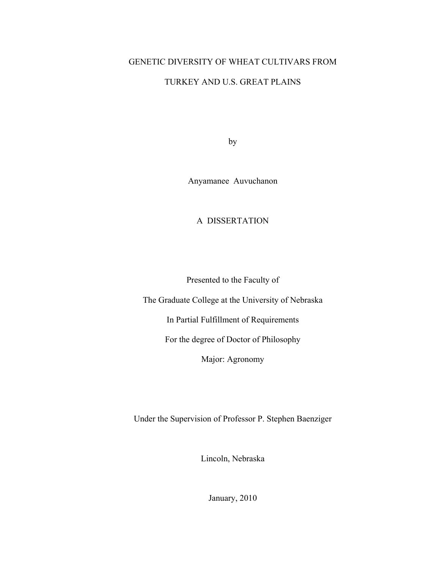### GENETIC DIVERSITY OF WHEAT CULTIVARS FROM

### TURKEY AND U.S. GREAT PLAINS

by

Anyamanee Auvuchanon

A DISSERTATION

Presented to the Faculty of

The Graduate College at the University of Nebraska

In Partial Fulfillment of Requirements

For the degree of Doctor of Philosophy

Major: Agronomy

Under the Supervision of Professor P. Stephen Baenziger

Lincoln, Nebraska

January, 2010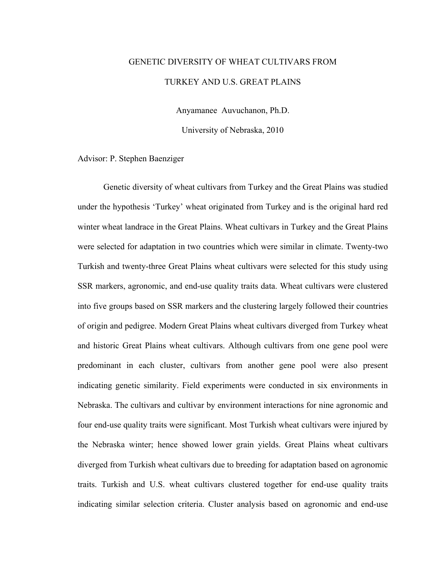# GENETIC DIVERSITY OF WHEAT CULTIVARS FROM TURKEY AND U.S. GREAT PLAINS

Anyamanee Auvuchanon, Ph.D.

University of Nebraska, 2010

Advisor: P. Stephen Baenziger

 Genetic diversity of wheat cultivars from Turkey and the Great Plains was studied under the hypothesis 'Turkey' wheat originated from Turkey and is the original hard red winter wheat landrace in the Great Plains. Wheat cultivars in Turkey and the Great Plains were selected for adaptation in two countries which were similar in climate. Twenty-two Turkish and twenty-three Great Plains wheat cultivars were selected for this study using SSR markers, agronomic, and end-use quality traits data. Wheat cultivars were clustered into five groups based on SSR markers and the clustering largely followed their countries of origin and pedigree. Modern Great Plains wheat cultivars diverged from Turkey wheat and historic Great Plains wheat cultivars. Although cultivars from one gene pool were predominant in each cluster, cultivars from another gene pool were also present indicating genetic similarity. Field experiments were conducted in six environments in Nebraska. The cultivars and cultivar by environment interactions for nine agronomic and four end-use quality traits were significant. Most Turkish wheat cultivars were injured by the Nebraska winter; hence showed lower grain yields. Great Plains wheat cultivars diverged from Turkish wheat cultivars due to breeding for adaptation based on agronomic traits. Turkish and U.S. wheat cultivars clustered together for end-use quality traits indicating similar selection criteria. Cluster analysis based on agronomic and end-use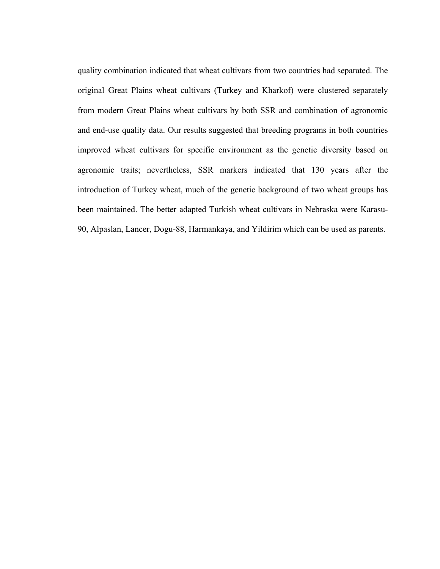quality combination indicated that wheat cultivars from two countries had separated. The original Great Plains wheat cultivars (Turkey and Kharkof) were clustered separately from modern Great Plains wheat cultivars by both SSR and combination of agronomic and end-use quality data. Our results suggested that breeding programs in both countries improved wheat cultivars for specific environment as the genetic diversity based on agronomic traits; nevertheless, SSR markers indicated that 130 years after the introduction of Turkey wheat, much of the genetic background of two wheat groups has been maintained. The better adapted Turkish wheat cultivars in Nebraska were Karasu-90, Alpaslan, Lancer, Dogu-88, Harmankaya, and Yildirim which can be used as parents.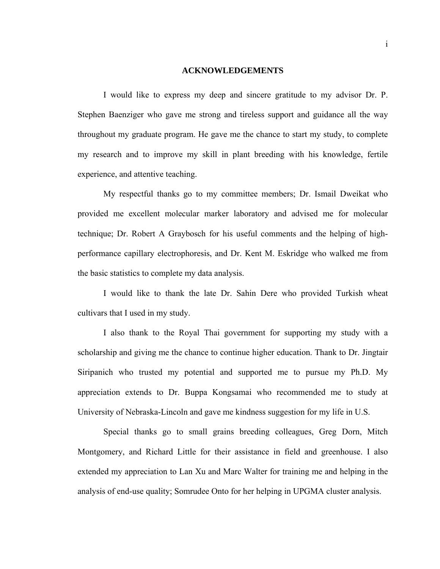### **ACKNOWLEDGEMENTS**

 I would like to express my deep and sincere gratitude to my advisor Dr. P. Stephen Baenziger who gave me strong and tireless support and guidance all the way throughout my graduate program. He gave me the chance to start my study, to complete my research and to improve my skill in plant breeding with his knowledge, fertile experience, and attentive teaching.

 My respectful thanks go to my committee members; Dr. Ismail Dweikat who provided me excellent molecular marker laboratory and advised me for molecular technique; Dr. Robert A Graybosch for his useful comments and the helping of highperformance capillary electrophoresis, and Dr. Kent M. Eskridge who walked me from the basic statistics to complete my data analysis.

I would like to thank the late Dr. Sahin Dere who provided Turkish wheat cultivars that I used in my study.

I also thank to the Royal Thai government for supporting my study with a scholarship and giving me the chance to continue higher education. Thank to Dr. Jingtair Siripanich who trusted my potential and supported me to pursue my Ph.D. My appreciation extends to Dr. Buppa Kongsamai who recommended me to study at University of Nebraska-Lincoln and gave me kindness suggestion for my life in U.S.

Special thanks go to small grains breeding colleagues, Greg Dorn, Mitch Montgomery, and Richard Little for their assistance in field and greenhouse. I also extended my appreciation to Lan Xu and Marc Walter for training me and helping in the analysis of end-use quality; Somrudee Onto for her helping in UPGMA cluster analysis.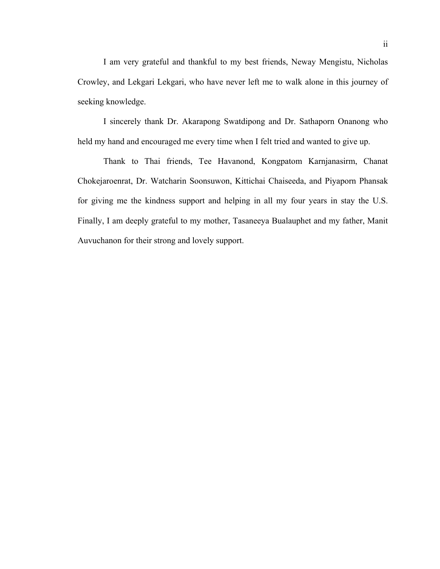I am very grateful and thankful to my best friends, Neway Mengistu, Nicholas Crowley, and Lekgari Lekgari, who have never left me to walk alone in this journey of seeking knowledge.

 I sincerely thank Dr. Akarapong Swatdipong and Dr. Sathaporn Onanong who held my hand and encouraged me every time when I felt tried and wanted to give up.

 Thank to Thai friends, Tee Havanond, Kongpatom Karnjanasirm, Chanat Chokejaroenrat, Dr. Watcharin Soonsuwon, Kittichai Chaiseeda, and Piyaporn Phansak for giving me the kindness support and helping in all my four years in stay the U.S. Finally, I am deeply grateful to my mother, Tasaneeya Bualauphet and my father, Manit Auvuchanon for their strong and lovely support.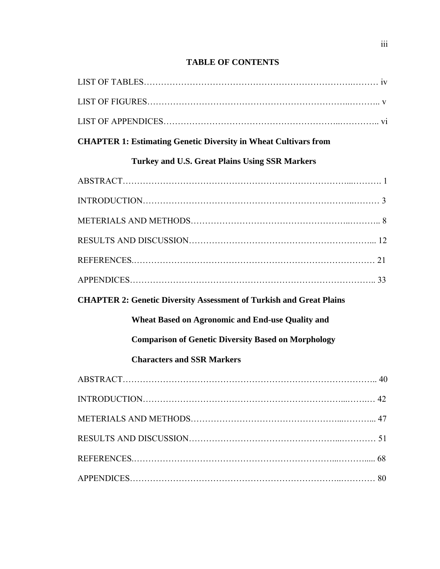## **TABLE OF CONTENTS**

| <b>CHAPTER 1: Estimating Genetic Diversity in Wheat Cultivars from</b>     |
|----------------------------------------------------------------------------|
| <b>Turkey and U.S. Great Plains Using SSR Markers</b>                      |
|                                                                            |
|                                                                            |
|                                                                            |
|                                                                            |
|                                                                            |
|                                                                            |
| <b>CHAPTER 2: Genetic Diversity Assessment of Turkish and Great Plains</b> |
| <b>Wheat Based on Agronomic and End-use Quality and</b>                    |
| <b>Comparison of Genetic Diversity Based on Morphology</b>                 |
| <b>Characters and SSR Markers</b>                                          |
|                                                                            |
| INTRODUCTION<br>42                                                         |
|                                                                            |
|                                                                            |
|                                                                            |
|                                                                            |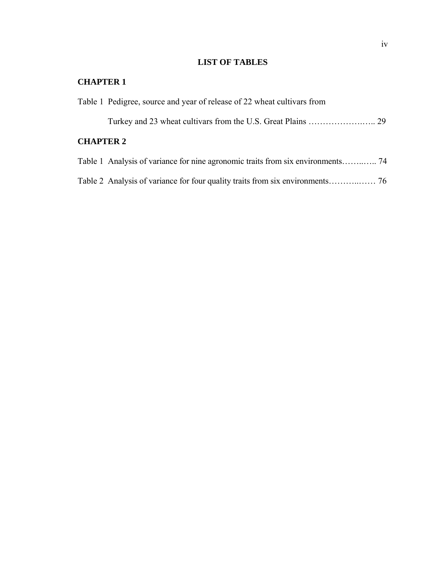## **LIST OF TABLES**

## **CHAPTER 1**

|                  | Table 1 Pedigree, source and year of release of 22 wheat cultivars from         |  |
|------------------|---------------------------------------------------------------------------------|--|
|                  |                                                                                 |  |
| <b>CHAPTER 2</b> |                                                                                 |  |
|                  | Table 1 Analysis of variance for nine agronomic traits from six environments 74 |  |
|                  |                                                                                 |  |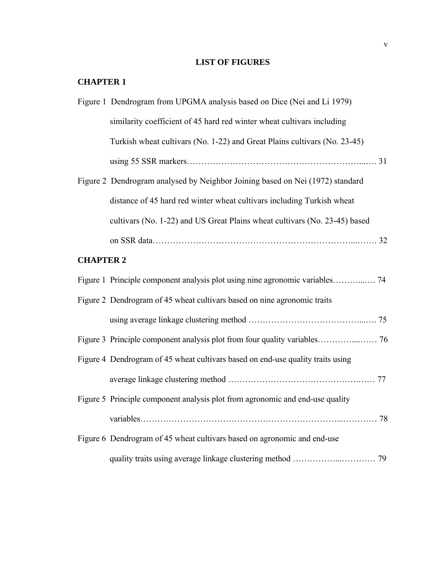## **LIST OF FIGURES**

## **CHAPTER 1**

|                  | Figure 1 Dendrogram from UPGMA analysis based on Dice (Nei and Li 1979)         |  |
|------------------|---------------------------------------------------------------------------------|--|
|                  | similarity coefficient of 45 hard red winter wheat cultivars including          |  |
|                  | Turkish wheat cultivars (No. 1-22) and Great Plains cultivars (No. 23-45)       |  |
|                  |                                                                                 |  |
|                  | Figure 2 Dendrogram analysed by Neighbor Joining based on Nei (1972) standard   |  |
|                  | distance of 45 hard red winter wheat cultivars including Turkish wheat          |  |
|                  | cultivars (No. 1-22) and US Great Plains wheat cultivars (No. 23-45) based      |  |
|                  |                                                                                 |  |
| <b>CHAPTER 2</b> |                                                                                 |  |
|                  |                                                                                 |  |
|                  | Figure 2 Dendrogram of 45 wheat cultivars based on nine agronomic traits        |  |
|                  |                                                                                 |  |
|                  |                                                                                 |  |
|                  | Figure 4 Dendrogram of 45 wheat cultivars based on end-use quality traits using |  |
|                  |                                                                                 |  |
|                  | Figure 5 Principle component analysis plot from agronomic and end-use quality   |  |
|                  |                                                                                 |  |
|                  | Figure 6 Dendrogram of 45 wheat cultivars based on agronomic and end-use        |  |
|                  |                                                                                 |  |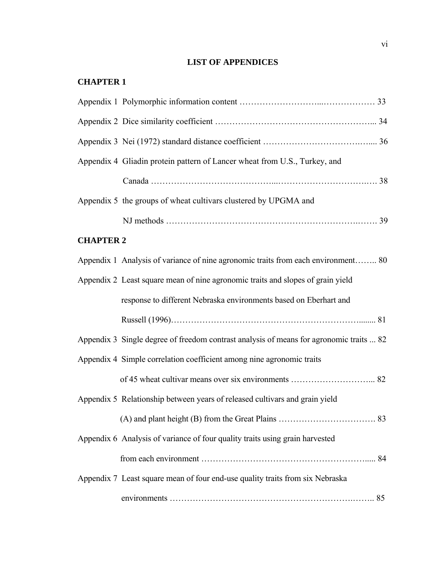## **LIST OF APPENDICES**

## **CHAPTER 1**

|                  | Appendix 4 Gliadin protein pattern of Lancer wheat from U.S., Turkey, and               |  |
|------------------|-----------------------------------------------------------------------------------------|--|
|                  |                                                                                         |  |
|                  | Appendix 5 the groups of wheat cultivars clustered by UPGMA and                         |  |
|                  |                                                                                         |  |
| <b>CHAPTER 2</b> |                                                                                         |  |
|                  | Appendix 1 Analysis of variance of nine agronomic traits from each environment 80       |  |
|                  | Appendix 2 Least square mean of nine agronomic traits and slopes of grain yield         |  |
|                  | response to different Nebraska environments based on Eberhart and                       |  |
|                  |                                                                                         |  |
|                  | Appendix 3 Single degree of freedom contrast analysis of means for agronomic traits  82 |  |
|                  | Appendix 4 Simple correlation coefficient among nine agronomic traits                   |  |
|                  |                                                                                         |  |
|                  | Appendix 5 Relationship between years of released cultivars and grain yield             |  |
|                  |                                                                                         |  |
|                  | Appendix 6 Analysis of variance of four quality traits using grain harvested            |  |
|                  |                                                                                         |  |
|                  | Appendix 7 Least square mean of four end-use quality traits from six Nebraska           |  |
|                  |                                                                                         |  |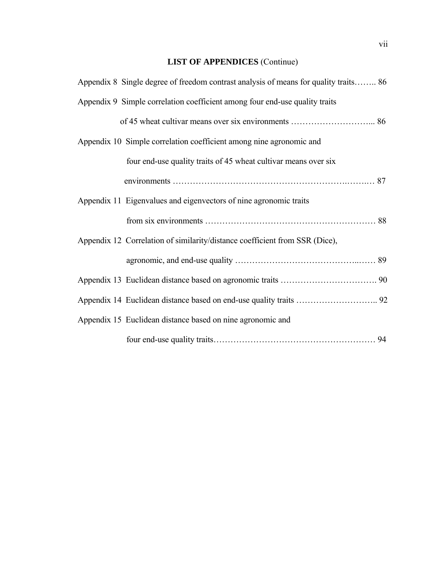## **LIST OF APPENDICES** (Continue)

| Appendix 8 Single degree of freedom contrast analysis of means for quality traits 86 |  |
|--------------------------------------------------------------------------------------|--|
| Appendix 9 Simple correlation coefficient among four end-use quality traits          |  |
|                                                                                      |  |
| Appendix 10 Simple correlation coefficient among nine agronomic and                  |  |
| four end-use quality traits of 45 wheat cultivar means over six                      |  |
|                                                                                      |  |
| Appendix 11 Eigenvalues and eigenvectors of nine agronomic traits                    |  |
|                                                                                      |  |
| Appendix 12 Correlation of similarity/distance coefficient from SSR (Dice),          |  |
|                                                                                      |  |
|                                                                                      |  |
|                                                                                      |  |
| Appendix 15 Euclidean distance based on nine agronomic and                           |  |
|                                                                                      |  |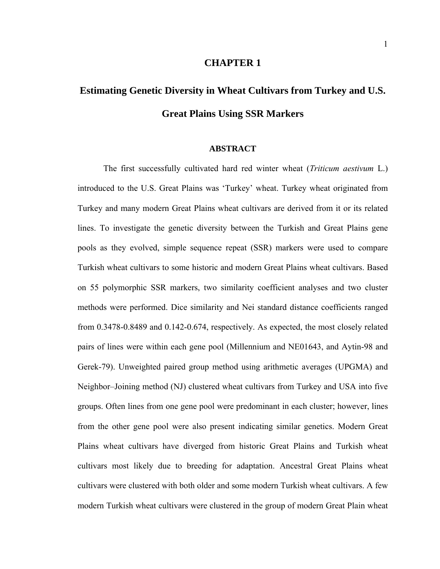### **CHAPTER 1**

# **Estimating Genetic Diversity in Wheat Cultivars from Turkey and U.S. Great Plains Using SSR Markers**

### **ABSTRACT**

 The first successfully cultivated hard red winter wheat (*Triticum aestivum* L.) introduced to the U.S. Great Plains was 'Turkey' wheat. Turkey wheat originated from Turkey and many modern Great Plains wheat cultivars are derived from it or its related lines. To investigate the genetic diversity between the Turkish and Great Plains gene pools as they evolved, simple sequence repeat (SSR) markers were used to compare Turkish wheat cultivars to some historic and modern Great Plains wheat cultivars. Based on 55 polymorphic SSR markers, two similarity coefficient analyses and two cluster methods were performed. Dice similarity and Nei standard distance coefficients ranged from 0.3478-0.8489 and 0.142-0.674, respectively. As expected, the most closely related pairs of lines were within each gene pool (Millennium and NE01643, and Aytin-98 and Gerek-79). Unweighted paired group method using arithmetic averages (UPGMA) and Neighbor–Joining method (NJ) clustered wheat cultivars from Turkey and USA into five groups. Often lines from one gene pool were predominant in each cluster; however, lines from the other gene pool were also present indicating similar genetics. Modern Great Plains wheat cultivars have diverged from historic Great Plains and Turkish wheat cultivars most likely due to breeding for adaptation. Ancestral Great Plains wheat cultivars were clustered with both older and some modern Turkish wheat cultivars. A few modern Turkish wheat cultivars were clustered in the group of modern Great Plain wheat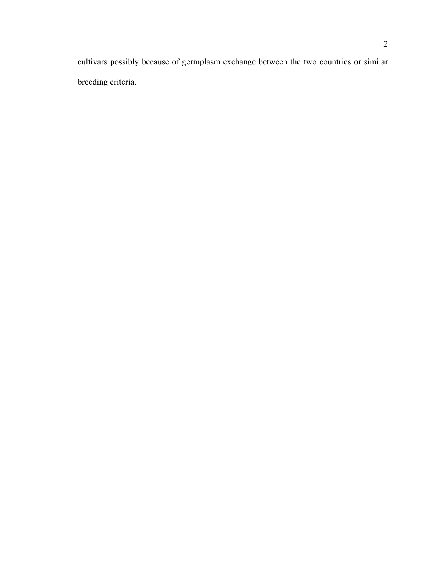cultivars possibly because of germplasm exchange between the two countries or similar breeding criteria.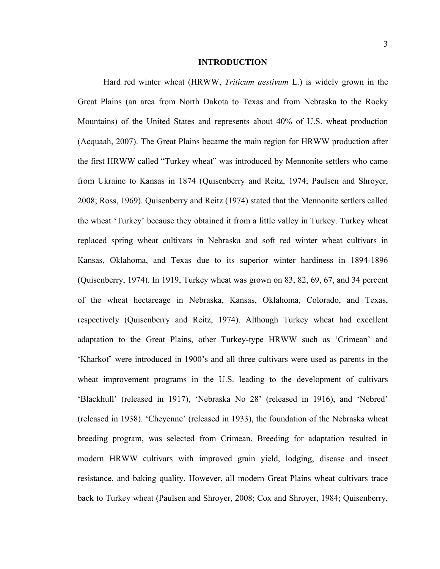### **INTRODUCTION**

Hard red winter wheat (HRWW, *Triticum aestivum* L.) is widely grown in the Great Plains (an area from North Dakota to Texas and from Nebraska to the Rocky Mountains) of the United States and represents about 40% of U.S. wheat production (Acquaah, 2007). The Great Plains became the main region for HRWW production after the first HRWW called "Turkey wheat" was introduced by Mennonite settlers who came from Ukraine to Kansas in 1874 (Quisenberry and Reitz, 1974; Paulsen and Shroyer, 2008; Ross, 1969). Quisenberry and Reitz (1974) stated that the Mennonite settlers called the wheat 'Turkey' because they obtained it from a little valley in Turkey. Turkey wheat replaced spring wheat cultivars in Nebraska and soft red winter wheat cultivars in Kansas, Oklahoma, and Texas due to its superior winter hardiness in 1894-1896 (Quisenberry, 1974). In 1919, Turkey wheat was grown on 83, 82, 69, 67, and 34 percent of the wheat hectareage in Nebraska, Kansas, Oklahoma, Colorado, and Texas, respectively (Quisenberry and Reitz, 1974). Although Turkey wheat had excellent adaptation to the Great Plains, other Turkey-type HRWW such as 'Crimean' and 'Kharkof' were introduced in 1900's and all three cultivars were used as parents in the wheat improvement programs in the U.S. leading to the development of cultivars 'Blackhull' (released in 1917), 'Nebraska No 28' (released in 1916), and 'Nebred' (released in 1938). 'Cheyenne' (released in 1933), the foundation of the Nebraska wheat breeding program, was selected from Crimean. Breeding for adaptation resulted in modern HRWW cultivars with improved grain yield, lodging, disease and insect resistance, and baking quality. However, all modern Great Plains wheat cultivars trace back to Turkey wheat (Paulsen and Shroyer, 2008; Cox and Shroyer, 1984; Quisenberry,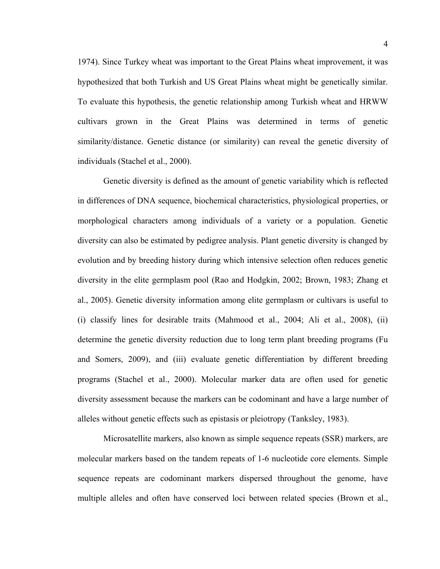1974). Since Turkey wheat was important to the Great Plains wheat improvement, it was hypothesized that both Turkish and US Great Plains wheat might be genetically similar. To evaluate this hypothesis, the genetic relationship among Turkish wheat and HRWW cultivars grown in the Great Plains was determined in terms of genetic similarity/distance. Genetic distance (or similarity) can reveal the genetic diversity of individuals (Stachel et al., 2000).

 Genetic diversity is defined as the amount of genetic variability which is reflected in differences of DNA sequence, biochemical characteristics, physiological properties, or morphological characters among individuals of a variety or a population. Genetic diversity can also be estimated by pedigree analysis. Plant genetic diversity is changed by evolution and by breeding history during which intensive selection often reduces genetic diversity in the elite germplasm pool (Rao and Hodgkin, 2002; Brown, 1983; Zhang et al., 2005). Genetic diversity information among elite germplasm or cultivars is useful to (i) classify lines for desirable traits (Mahmood et al., 2004; Ali et al., 2008), (ii) determine the genetic diversity reduction due to long term plant breeding programs (Fu and Somers, 2009), and (iii) evaluate genetic differentiation by different breeding programs (Stachel et al., 2000). Molecular marker data are often used for genetic diversity assessment because the markers can be codominant and have a large number of alleles without genetic effects such as epistasis or pleiotropy (Tanksley, 1983).

 Microsatellite markers, also known as simple sequence repeats (SSR) markers, are molecular markers based on the tandem repeats of 1-6 nucleotide core elements. Simple sequence repeats are codominant markers dispersed throughout the genome, have multiple alleles and often have conserved loci between related species (Brown et al.,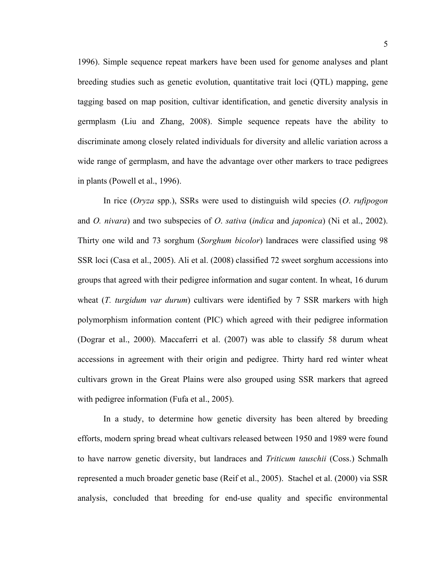1996). Simple sequence repeat markers have been used for genome analyses and plant breeding studies such as genetic evolution, quantitative trait loci (QTL) mapping, gene tagging based on map position, cultivar identification, and genetic diversity analysis in germplasm (Liu and Zhang, 2008). Simple sequence repeats have the ability to discriminate among closely related individuals for diversity and allelic variation across a wide range of germplasm, and have the advantage over other markers to trace pedigrees in plants (Powell et al., 1996).

 In rice (*Oryza* spp.), SSRs were used to distinguish wild species (*O*. *rufipogon* and *O. nivara*) and two subspecies of *O*. *sativa* (*indica* and *japonica*) (Ni et al., 2002). Thirty one wild and 73 sorghum (*Sorghum bicolor*) landraces were classified using 98 SSR loci (Casa et al., 2005). Ali et al. (2008) classified 72 sweet sorghum accessions into groups that agreed with their pedigree information and sugar content. In wheat, 16 durum wheat (*T. turgidum var durum*) cultivars were identified by 7 SSR markers with high polymorphism information content (PIC) which agreed with their pedigree information (Dograr et al., 2000). Maccaferri et al. (2007) was able to classify 58 durum wheat accessions in agreement with their origin and pedigree. Thirty hard red winter wheat cultivars grown in the Great Plains were also grouped using SSR markers that agreed with pedigree information (Fufa et al., 2005).

 In a study, to determine how genetic diversity has been altered by breeding efforts, modern spring bread wheat cultivars released between 1950 and 1989 were found to have narrow genetic diversity, but landraces and *Triticum tauschii* (Coss.) Schmalh represented a much broader genetic base (Reif et al., 2005). Stachel et al. (2000) via SSR analysis, concluded that breeding for end-use quality and specific environmental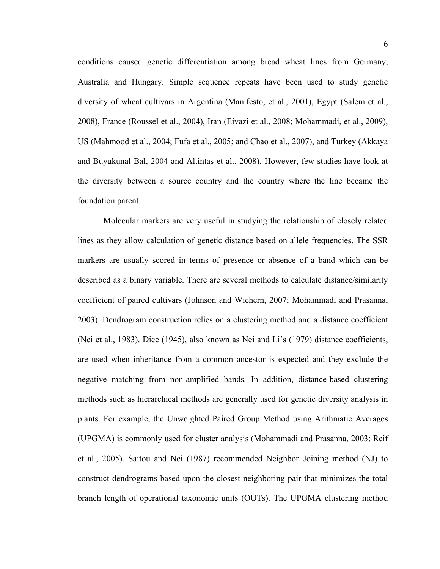conditions caused genetic differentiation among bread wheat lines from Germany, Australia and Hungary. Simple sequence repeats have been used to study genetic diversity of wheat cultivars in Argentina (Manifesto, et al., 2001), Egypt (Salem et al., 2008), France (Roussel et al., 2004), Iran (Eivazi et al., 2008; Mohammadi, et al., 2009), US (Mahmood et al., 2004; Fufa et al., 2005; and Chao et al., 2007), and Turkey (Akkaya and Buyukunal-Bal, 2004 and Altintas et al., 2008). However, few studies have look at the diversity between a source country and the country where the line became the foundation parent.

 Molecular markers are very useful in studying the relationship of closely related lines as they allow calculation of genetic distance based on allele frequencies. The SSR markers are usually scored in terms of presence or absence of a band which can be described as a binary variable. There are several methods to calculate distance/similarity coefficient of paired cultivars (Johnson and Wichern, 2007; Mohammadi and Prasanna, 2003). Dendrogram construction relies on a clustering method and a distance coefficient (Nei et al., 1983). Dice (1945), also known as Nei and Li's (1979) distance coefficients, are used when inheritance from a common ancestor is expected and they exclude the negative matching from non-amplified bands. In addition, distance-based clustering methods such as hierarchical methods are generally used for genetic diversity analysis in plants. For example, the Unweighted Paired Group Method using Arithmatic Averages (UPGMA) is commonly used for cluster analysis (Mohammadi and Prasanna, 2003; Reif et al., 2005). Saitou and Nei (1987) recommended Neighbor–Joining method (NJ) to construct dendrograms based upon the closest neighboring pair that minimizes the total branch length of operational taxonomic units (OUTs). The UPGMA clustering method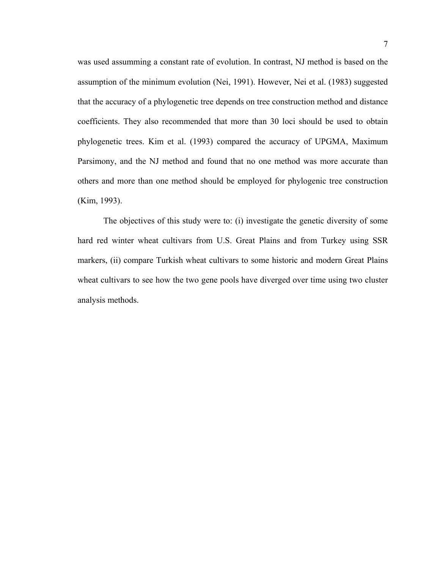was used assumming a constant rate of evolution. In contrast, NJ method is based on the assumption of the minimum evolution (Nei, 1991). However, Nei et al. (1983) suggested that the accuracy of a phylogenetic tree depends on tree construction method and distance coefficients. They also recommended that more than 30 loci should be used to obtain phylogenetic trees. Kim et al. (1993) compared the accuracy of UPGMA, Maximum Parsimony, and the NJ method and found that no one method was more accurate than others and more than one method should be employed for phylogenic tree construction (Kim, 1993).

 The objectives of this study were to: (i) investigate the genetic diversity of some hard red winter wheat cultivars from U.S. Great Plains and from Turkey using SSR markers, (ii) compare Turkish wheat cultivars to some historic and modern Great Plains wheat cultivars to see how the two gene pools have diverged over time using two cluster analysis methods.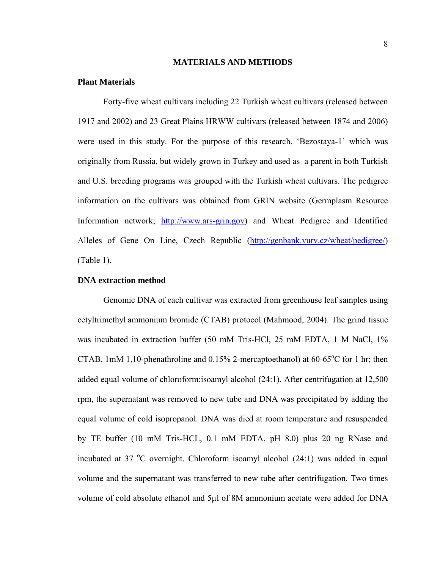### **MATERIALS AND METHODS**

### **Plant Materials**

Forty-five wheat cultivars including 22 Turkish wheat cultivars (released between 1917 and 2002) and 23 Great Plains HRWW cultivars (released between 1874 and 2006) were used in this study. For the purpose of this research, 'Bezostaya-1' which was originally from Russia, but widely grown in Turkey and used as a parent in both Turkish and U.S. breeding programs was grouped with the Turkish wheat cultivars. The pedigree information on the cultivars was obtained from GRIN website (Germplasm Resource Information network; [http://www.ars-grin.gov](http://www.ars-grin.gov/)) and Wheat Pedigree and Identified Alleles of Gene On Line, Czech Republic [\(http://genbank.vurv.cz/wheat/pedigree/\)](http://genbank.vurv.cz/wheat/pedigree/) (Table 1).

### **DNA extraction method**

Genomic DNA of each cultivar was extracted from greenhouse leaf samples using cetyltrimethyl ammonium bromide (CTAB) protocol (Mahmood, 2004). The grind tissue was incubated in extraction buffer (50 mM Tris-HCl, 25 mM EDTA, 1 M NaCl, 1% CTAB, 1mM 1,10-phenathroline and  $0.15\%$  2-mercaptoethanol) at 60-65 $\degree$ C for 1 hr; then added equal volume of chloroform:isoamyl alcohol (24:1). After centrifugation at 12,500 rpm, the supernatant was removed to new tube and DNA was precipitated by adding the equal volume of cold isopropanol. DNA was died at room temperature and resuspended by TE buffer (10 mM Tris-HCL, 0.1 mM EDTA, pH 8.0) plus 20 ng RNase and incubated at 37 °C overnight. Chloroform isoamyl alcohol (24:1) was added in equal volume and the supernatant was transferred to new tube after centrifugation. Two times volume of cold absolute ethanol and 5µl of 8M ammonium acetate were added for DNA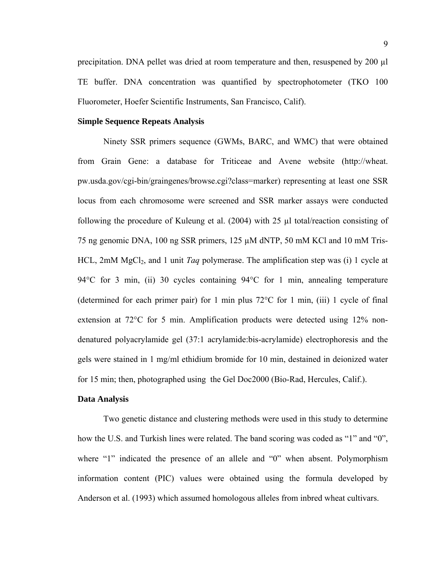precipitation. DNA pellet was dried at room temperature and then, resuspened by 200 µl TE buffer. DNA concentration was quantified by spectrophotometer (TKO 100 Fluorometer, Hoefer Scientific Instruments, San Francisco, Calif).

### **Simple Sequence Repeats Analysis**

Ninety SSR primers sequence (GWMs, BARC, and WMC) that were obtained from Grain Gene: a database for Triticeae and Avene website (http://wheat. pw.usda.gov/cgi-bin/graingenes/browse.cgi?class=marker) representing at least one SSR locus from each chromosome were screened and SSR marker assays were conducted following the procedure of Kuleung et al. (2004) with 25 µl total/reaction consisting of 75 ng genomic DNA, 100 ng SSR primers, 125 µM dNTP, 50 mM KCl and 10 mM Tris-HCL, 2mM MgCl<sub>2</sub>, and 1 unit *Taq* polymerase. The amplification step was (i) 1 cycle at 94°C for 3 min, (ii) 30 cycles containing 94°C for 1 min, annealing temperature (determined for each primer pair) for 1 min plus  $72^{\circ}$ C for 1 min, (iii) 1 cycle of final extension at 72°C for 5 min. Amplification products were detected using 12% nondenatured polyacrylamide gel (37:1 acrylamide:bis-acrylamide) electrophoresis and the gels were stained in 1 mg/ml ethidium bromide for 10 min, destained in deionized water for 15 min; then, photographed using the Gel Doc2000 (Bio-Rad, Hercules, Calif.).

### **Data Analysis**

Two genetic distance and clustering methods were used in this study to determine how the U.S. and Turkish lines were related. The band scoring was coded as "1" and "0", where "1" indicated the presence of an allele and "0" when absent. Polymorphism information content (PIC) values were obtained using the formula developed by Anderson et al. (1993) which assumed homologous alleles from inbred wheat cultivars.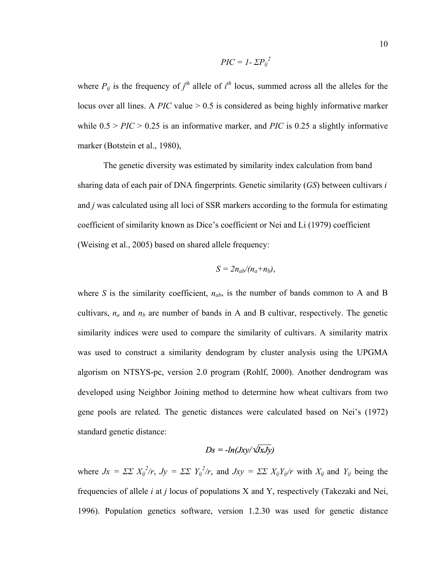$$
PIC = I - \Sigma P_{ij}^2
$$

where  $P_{ij}$  is the frequency of  $j^{th}$  allele of  $i^{th}$  locus, summed across all the alleles for the locus over all lines. A *PIC* value > 0.5 is considered as being highly informative marker while  $0.5 > PIC > 0.25$  is an informative marker, and *PIC* is 0.25 a slightly informative marker (Botstein et al., 1980),

The genetic diversity was estimated by similarity index calculation from band sharing data of each pair of DNA fingerprints. Genetic similarity (*GS*) between cultivars *i*  and *j* was calculated using all loci of SSR markers according to the formula for estimating coefficient of similarity known as Dice's coefficient or Nei and Li (1979) coefficient (Weising et al., 2005) based on shared allele frequency:

$$
S=2n_{ab}/(n_a+n_b),
$$

where *S* is the similarity coefficient,  $n_{ab}$ , is the number of bands common to A and B cultivars,  $n_a$  and  $n_b$  are number of bands in A and B cultivar, respectively. The genetic similarity indices were used to compare the similarity of cultivars. A similarity matrix was used to construct a similarity dendogram by cluster analysis using the UPGMA algorism on NTSYS-pc, version 2.0 program (Rohlf, 2000). Another dendrogram was developed using Neighbor Joining method to determine how wheat cultivars from two gene pools are related. The genetic distances were calculated based on Nei's (1972) standard genetic distance:

$$
Ds = -ln(Jxy/\sqrt{JxJy})
$$

where  $Jx = \Sigma \Sigma X_{ij}^2/r$ ,  $Jy = \Sigma \Sigma Y_{ij}^2/r$ , and  $Jxy = \Sigma \Sigma X_{ij}Y_{ij}/r$  with  $X_{ij}$  and  $Y_{ij}$  being the frequencies of allele *i* at *j* locus of populations X and Y, respectively (Takezaki and Nei, 1996). Population genetics software, version 1.2.30 was used for genetic distance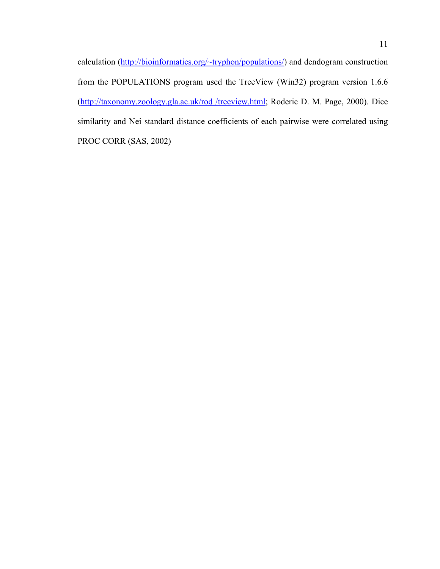calculation ([http://bioinformatics.org/~tryphon/populations/](http://bioinformatics.org/%7Etryphon/populations/)) and dendogram construction from the POPULATIONS program used the TreeView (Win32) program version 1.6.6 ([http://taxonomy.zoology.gla.ac.uk/rod /treeview.html;](http://taxonomy.zoology.gla.ac.uk/rod%20/treeview.html) Roderic D. M. Page, 2000). Dice similarity and Nei standard distance coefficients of each pairwise were correlated using PROC CORR (SAS, 2002)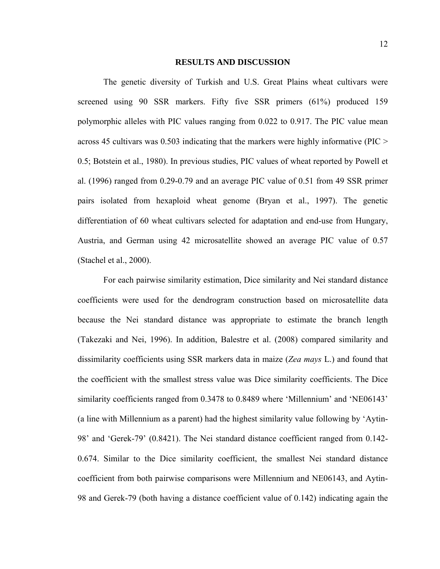### **RESULTS AND DISCUSSION**

The genetic diversity of Turkish and U.S. Great Plains wheat cultivars were screened using 90 SSR markers. Fifty five SSR primers (61%) produced 159 polymorphic alleles with PIC values ranging from 0.022 to 0.917. The PIC value mean across 45 cultivars was 0.503 indicating that the markers were highly informative (PIC > 0.5; Botstein et al., 1980). In previous studies, PIC values of wheat reported by Powell et al. (1996) ranged from 0.29-0.79 and an average PIC value of 0.51 from 49 SSR primer pairs isolated from hexaploid wheat genome (Bryan et al., 1997). The genetic differentiation of 60 wheat cultivars selected for adaptation and end-use from Hungary, Austria, and German using 42 microsatellite showed an average PIC value of 0.57 (Stachel et al., 2000).

For each pairwise similarity estimation, Dice similarity and Nei standard distance coefficients were used for the dendrogram construction based on microsatellite data because the Nei standard distance was appropriate to estimate the branch length (Takezaki and Nei, 1996). In addition, Balestre et al. (2008) compared similarity and dissimilarity coefficients using SSR markers data in maize (*Zea mays* L.) and found that the coefficient with the smallest stress value was Dice similarity coefficients. The Dice similarity coefficients ranged from 0.3478 to 0.8489 where 'Millennium' and 'NE06143' (a line with Millennium as a parent) had the highest similarity value following by 'Aytin-98' and 'Gerek-79' (0.8421). The Nei standard distance coefficient ranged from 0.142- 0.674. Similar to the Dice similarity coefficient, the smallest Nei standard distance coefficient from both pairwise comparisons were Millennium and NE06143, and Aytin-98 and Gerek-79 (both having a distance coefficient value of 0.142) indicating again the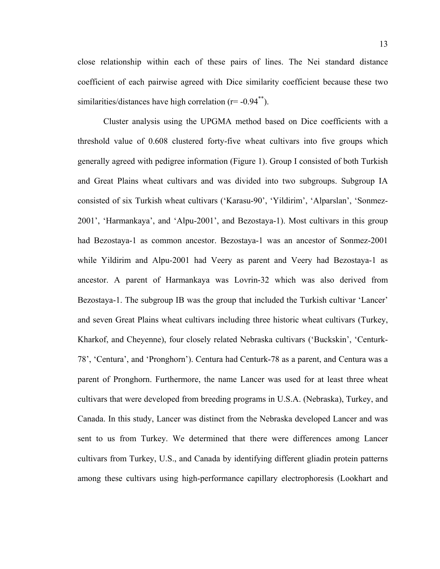close relationship within each of these pairs of lines. The Nei standard distance coefficient of each pairwise agreed with Dice similarity coefficient because these two similarities/distances have high correlation  $(r= -0.94^{**})$ .

Cluster analysis using the UPGMA method based on Dice coefficients with a threshold value of 0.608 clustered forty-five wheat cultivars into five groups which generally agreed with pedigree information (Figure 1). Group I consisted of both Turkish and Great Plains wheat cultivars and was divided into two subgroups. Subgroup IA consisted of six Turkish wheat cultivars ('Karasu-90', 'Yildirim', 'Alparslan', 'Sonmez-2001', 'Harmankaya', and 'Alpu-2001', and Bezostaya-1). Most cultivars in this group had Bezostaya-1 as common ancestor. Bezostaya-1 was an ancestor of Sonmez-2001 while Yildirim and Alpu-2001 had Veery as parent and Veery had Bezostaya-1 as ancestor. A parent of Harmankaya was Lovrin-32 which was also derived from Bezostaya-1. The subgroup IB was the group that included the Turkish cultivar 'Lancer' and seven Great Plains wheat cultivars including three historic wheat cultivars (Turkey, Kharkof, and Cheyenne), four closely related Nebraska cultivars ('Buckskin', 'Centurk-78', 'Centura', and 'Pronghorn'). Centura had Centurk-78 as a parent, and Centura was a parent of Pronghorn. Furthermore, the name Lancer was used for at least three wheat cultivars that were developed from breeding programs in U.S.A. (Nebraska), Turkey, and Canada. In this study, Lancer was distinct from the Nebraska developed Lancer and was sent to us from Turkey. We determined that there were differences among Lancer cultivars from Turkey, U.S., and Canada by identifying different gliadin protein patterns among these cultivars using high-performance capillary electrophoresis (Lookhart and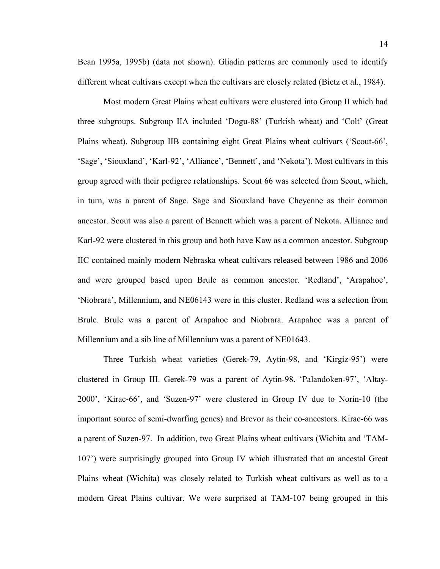Bean 1995a, 1995b) (data not shown). Gliadin patterns are commonly used to identify different wheat cultivars except when the cultivars are closely related (Bietz et al., 1984).

Most modern Great Plains wheat cultivars were clustered into Group II which had three subgroups. Subgroup IIA included 'Dogu-88' (Turkish wheat) and 'Colt' (Great Plains wheat). Subgroup IIB containing eight Great Plains wheat cultivars ('Scout-66', 'Sage', 'Siouxland', 'Karl-92', 'Alliance', 'Bennett', and 'Nekota'). Most cultivars in this group agreed with their pedigree relationships. Scout 66 was selected from Scout, which, in turn, was a parent of Sage. Sage and Siouxland have Cheyenne as their common ancestor. Scout was also a parent of Bennett which was a parent of Nekota. Alliance and Karl-92 were clustered in this group and both have Kaw as a common ancestor. Subgroup IIC contained mainly modern Nebraska wheat cultivars released between 1986 and 2006 and were grouped based upon Brule as common ancestor. 'Redland', 'Arapahoe', 'Niobrara', Millennium, and NE06143 were in this cluster. Redland was a selection from Brule. Brule was a parent of Arapahoe and Niobrara. Arapahoe was a parent of Millennium and a sib line of Millennium was a parent of NE01643.

Three Turkish wheat varieties (Gerek-79, Aytin-98, and 'Kirgiz-95') were clustered in Group III. Gerek-79 was a parent of Aytin-98. 'Palandoken-97', 'Altay-2000', 'Kirac-66', and 'Suzen-97' were clustered in Group IV due to Norin-10 (the important source of semi-dwarfing genes) and Brevor as their co-ancestors. Kirac-66 was a parent of Suzen-97. In addition, two Great Plains wheat cultivars (Wichita and 'TAM-107') were surprisingly grouped into Group IV which illustrated that an ancestal Great Plains wheat (Wichita) was closely related to Turkish wheat cultivars as well as to a modern Great Plains cultivar. We were surprised at TAM-107 being grouped in this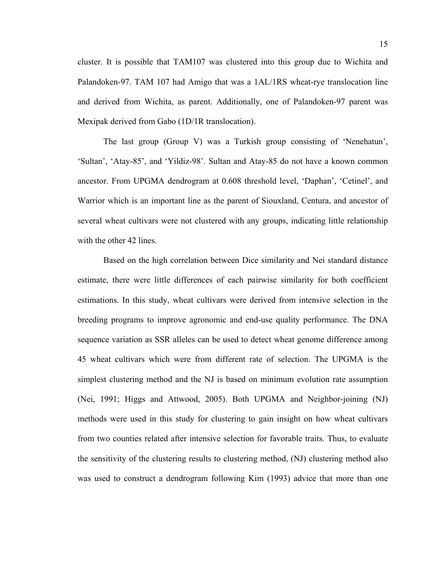cluster. It is possible that TAM107 was clustered into this group due to Wichita and Palandoken-97. TAM 107 had Amigo that was a 1AL/1RS wheat-rye translocation line and derived from Wichita, as parent. Additionally, one of Palandoken-97 parent was Mexipak derived from Gabo (1D/1R translocation).

The last group (Group V) was a Turkish group consisting of 'Nenehatun', 'Sultan', 'Atay-85', and 'Yildiz-98'. Sultan and Atay-85 do not have a known common ancestor. From UPGMA dendrogram at 0.608 threshold level, 'Daphan', 'Cetinel', and Warrior which is an important line as the parent of Siouxland, Centura, and ancestor of several wheat cultivars were not clustered with any groups, indicating little relationship with the other 42 lines.

Based on the high correlation between Dice similarity and Nei standard distance estimate, there were little differences of each pairwise similarity for both coefficient estimations. In this study, wheat cultivars were derived from intensive selection in the breeding programs to improve agronomic and end-use quality performance. The DNA sequence variation as SSR alleles can be used to detect wheat genome difference among 45 wheat cultivars which were from different rate of selection. The UPGMA is the simplest clustering method and the NJ is based on minimum evolution rate assumption (Nei, 1991; Higgs and Attwood, 2005). Both UPGMA and Neighbor-joining (NJ) methods were used in this study for clustering to gain insight on how wheat cultivars from two counties related after intensive selection for favorable traits. Thus, to evaluate the sensitivity of the clustering results to clustering method, (NJ) clustering method also was used to construct a dendrogram following Kim (1993) advice that more than one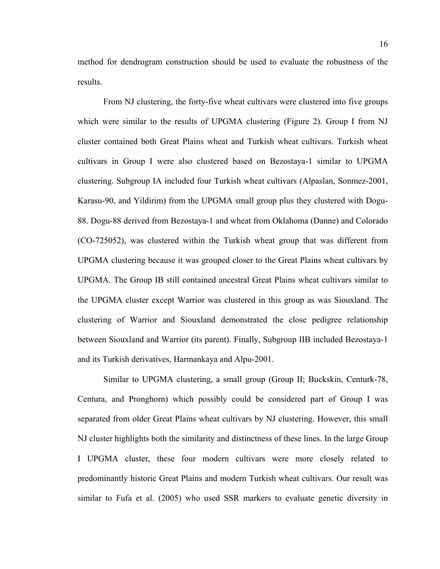method for dendrogram construction should be used to evaluate the robustness of the results.

From NJ clustering, the forty-five wheat cultivars were clustered into five groups which were similar to the results of UPGMA clustering (Figure 2). Group I from NJ cluster contained both Great Plains wheat and Turkish wheat cultivars. Turkish wheat cultivars in Group I were also clustered based on Bezostaya-1 similar to UPGMA clustering. Subgroup IA included four Turkish wheat cultivars (Alpaslan, Sonmez-2001, Karasu-90, and Yildirim) from the UPGMA small group plus they clustered with Dogu-88. Dogu-88 derived from Bezostaya-1 and wheat from Oklahoma (Danne) and Colorado (CO-725052), was clustered within the Turkish wheat group that was different from UPGMA clustering because it was grouped closer to the Great Plains wheat cultivars by UPGMA. The Group IB still contained ancestral Great Plains wheat cultivars similar to the UPGMA cluster except Warrior was clustered in this group as was Siouxland. The clustering of Warrior and Siouxland demonstrated the close pedigree relationship between Siouxland and Warrior (its parent). Finally, Subgroup IIB included Bezostaya-1 and its Turkish derivatives, Harmankaya and Alpu-2001.

Similar to UPGMA clustering, a small group (Group II; Buckskin, Centurk-78, Centura, and Pronghorn) which possibly could be considered part of Group I was separated from older Great Plains wheat cultivars by NJ clustering. However, this small NJ cluster highlights both the similarity and distinctness of these lines. In the large Group I UPGMA cluster, these four modern cultivars were more closely related to predominantly historic Great Plains and modern Turkish wheat cultivars. Our result was similar to Fufa et al. (2005) who used SSR markers to evaluate genetic diversity in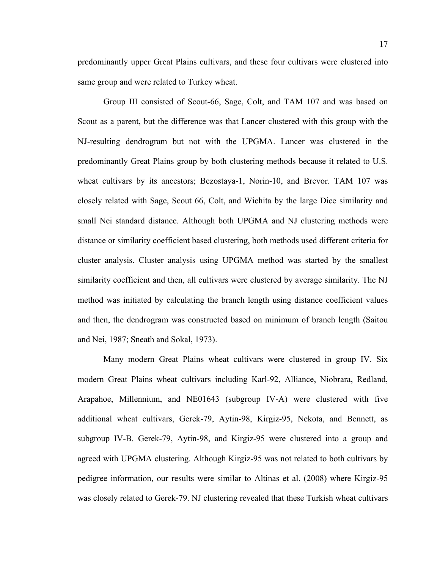predominantly upper Great Plains cultivars, and these four cultivars were clustered into same group and were related to Turkey wheat.

Group III consisted of Scout-66, Sage, Colt, and TAM 107 and was based on Scout as a parent, but the difference was that Lancer clustered with this group with the NJ-resulting dendrogram but not with the UPGMA. Lancer was clustered in the predominantly Great Plains group by both clustering methods because it related to U.S. wheat cultivars by its ancestors; Bezostaya-1, Norin-10, and Brevor. TAM 107 was closely related with Sage, Scout 66, Colt, and Wichita by the large Dice similarity and small Nei standard distance. Although both UPGMA and NJ clustering methods were distance or similarity coefficient based clustering, both methods used different criteria for cluster analysis. Cluster analysis using UPGMA method was started by the smallest similarity coefficient and then, all cultivars were clustered by average similarity. The NJ method was initiated by calculating the branch length using distance coefficient values and then, the dendrogram was constructed based on minimum of branch length (Saitou and Nei, 1987; Sneath and Sokal, 1973).

Many modern Great Plains wheat cultivars were clustered in group IV. Six modern Great Plains wheat cultivars including Karl-92, Alliance, Niobrara, Redland, Arapahoe, Millennium, and NE01643 (subgroup IV-A) were clustered with five additional wheat cultivars, Gerek-79, Aytin-98, Kirgiz-95, Nekota, and Bennett, as subgroup IV-B. Gerek-79, Aytin-98, and Kirgiz-95 were clustered into a group and agreed with UPGMA clustering. Although Kirgiz-95 was not related to both cultivars by pedigree information, our results were similar to Altinas et al. (2008) where Kirgiz-95 was closely related to Gerek-79. NJ clustering revealed that these Turkish wheat cultivars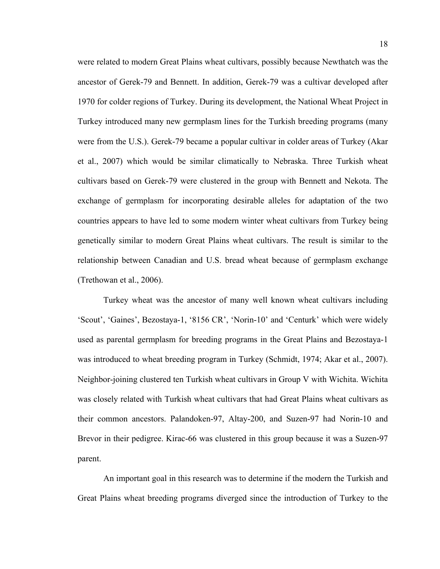were related to modern Great Plains wheat cultivars, possibly because Newthatch was the ancestor of Gerek-79 and Bennett. In addition, Gerek-79 was a cultivar developed after 1970 for colder regions of Turkey. During its development, the National Wheat Project in Turkey introduced many new germplasm lines for the Turkish breeding programs (many were from the U.S.). Gerek-79 became a popular cultivar in colder areas of Turkey (Akar et al., 2007) which would be similar climatically to Nebraska. Three Turkish wheat cultivars based on Gerek-79 were clustered in the group with Bennett and Nekota. The exchange of germplasm for incorporating desirable alleles for adaptation of the two countries appears to have led to some modern winter wheat cultivars from Turkey being genetically similar to modern Great Plains wheat cultivars. The result is similar to the relationship between Canadian and U.S. bread wheat because of germplasm exchange (Trethowan et al., 2006).

Turkey wheat was the ancestor of many well known wheat cultivars including 'Scout', 'Gaines', Bezostaya-1, '8156 CR', 'Norin-10' and 'Centurk' which were widely used as parental germplasm for breeding programs in the Great Plains and Bezostaya-1 was introduced to wheat breeding program in Turkey (Schmidt, 1974; Akar et al., 2007). Neighbor-joining clustered ten Turkish wheat cultivars in Group V with Wichita. Wichita was closely related with Turkish wheat cultivars that had Great Plains wheat cultivars as their common ancestors. Palandoken-97, Altay-200, and Suzen-97 had Norin-10 and Brevor in their pedigree. Kirac-66 was clustered in this group because it was a Suzen-97 parent.

An important goal in this research was to determine if the modern the Turkish and Great Plains wheat breeding programs diverged since the introduction of Turkey to the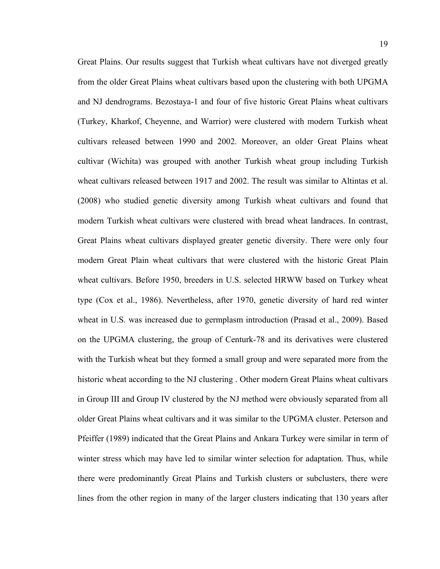Great Plains. Our results suggest that Turkish wheat cultivars have not diverged greatly from the older Great Plains wheat cultivars based upon the clustering with both UPGMA and NJ dendrograms. Bezostaya-1 and four of five historic Great Plains wheat cultivars (Turkey, Kharkof, Cheyenne, and Warrior) were clustered with modern Turkish wheat cultivars released between 1990 and 2002. Moreover, an older Great Plains wheat cultivar (Wichita) was grouped with another Turkish wheat group including Turkish wheat cultivars released between 1917 and 2002. The result was similar to Altintas et al. (2008) who studied genetic diversity among Turkish wheat cultivars and found that modern Turkish wheat cultivars were clustered with bread wheat landraces. In contrast, Great Plains wheat cultivars displayed greater genetic diversity. There were only four modern Great Plain wheat cultivars that were clustered with the historic Great Plain wheat cultivars. Before 1950, breeders in U.S. selected HRWW based on Turkey wheat type (Cox et al., 1986). Nevertheless, after 1970, genetic diversity of hard red winter wheat in U.S. was increased due to germplasm introduction (Prasad et al., 2009). Based on the UPGMA clustering, the group of Centurk-78 and its derivatives were clustered with the Turkish wheat but they formed a small group and were separated more from the historic wheat according to the NJ clustering . Other modern Great Plains wheat cultivars in Group III and Group IV clustered by the NJ method were obviously separated from all older Great Plains wheat cultivars and it was similar to the UPGMA cluster. Peterson and Pfeiffer (1989) indicated that the Great Plains and Ankara Turkey were similar in term of winter stress which may have led to similar winter selection for adaptation. Thus, while there were predominantly Great Plains and Turkish clusters or subclusters, there were lines from the other region in many of the larger clusters indicating that 130 years after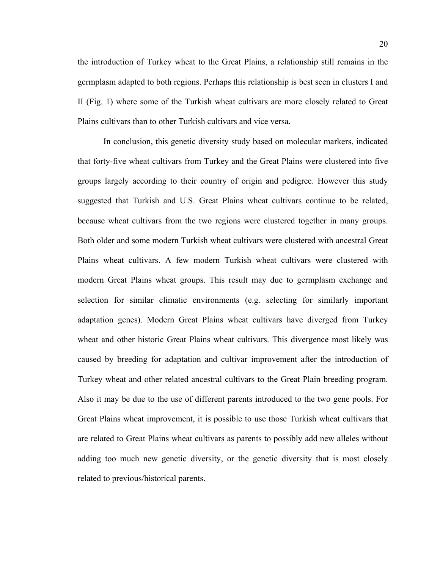the introduction of Turkey wheat to the Great Plains, a relationship still remains in the germplasm adapted to both regions. Perhaps this relationship is best seen in clusters I and II (Fig. 1) where some of the Turkish wheat cultivars are more closely related to Great Plains cultivars than to other Turkish cultivars and vice versa.

In conclusion, this genetic diversity study based on molecular markers, indicated that forty-five wheat cultivars from Turkey and the Great Plains were clustered into five groups largely according to their country of origin and pedigree. However this study suggested that Turkish and U.S. Great Plains wheat cultivars continue to be related, because wheat cultivars from the two regions were clustered together in many groups. Both older and some modern Turkish wheat cultivars were clustered with ancestral Great Plains wheat cultivars. A few modern Turkish wheat cultivars were clustered with modern Great Plains wheat groups. This result may due to germplasm exchange and selection for similar climatic environments (e.g. selecting for similarly important adaptation genes). Modern Great Plains wheat cultivars have diverged from Turkey wheat and other historic Great Plains wheat cultivars. This divergence most likely was caused by breeding for adaptation and cultivar improvement after the introduction of Turkey wheat and other related ancestral cultivars to the Great Plain breeding program. Also it may be due to the use of different parents introduced to the two gene pools. For Great Plains wheat improvement, it is possible to use those Turkish wheat cultivars that are related to Great Plains wheat cultivars as parents to possibly add new alleles without adding too much new genetic diversity, or the genetic diversity that is most closely related to previous/historical parents.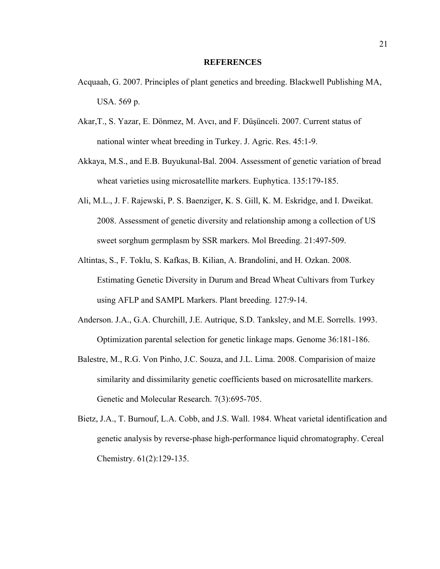#### **REFERENCES**

- Acquaah, G. 2007. Principles of plant genetics and breeding. Blackwell Publishing MA, USA. 569 p.
- Akar,T., S. Yazar, E. Dönmez, M. Avcı, and F. Düşünceli. 2007. Current status of national winter wheat breeding in Turkey. J. Agric. Res. 45:1-9.
- Akkaya, M.S., and E.B. Buyukunal-Bal. 2004. Assessment of genetic variation of bread wheat varieties using microsatellite markers. Euphytica. 135:179-185.
- Ali, M.L., J. F. Rajewski, P. S. Baenziger, K. S. Gill, K. M. Eskridge, and I. Dweikat. 2008. Assessment of genetic diversity and relationship among a collection of US sweet sorghum germplasm by SSR markers. Mol Breeding. 21:497-509.
- Altintas, S., F. Toklu, S. Kafkas, B. Kilian, A. Brandolini, and H. Ozkan. 2008. Estimating Genetic Diversity in Durum and Bread Wheat Cultivars from Turkey using AFLP and SAMPL Markers. Plant breeding. 127:9-14.
- Anderson. J.A., G.A. Churchill, J.E. Autrique, S.D. Tanksley, and M.E. Sorrells. 1993. Optimization parental selection for genetic linkage maps. Genome 36:181-186.
- Balestre, M., R.G. Von Pinho, J.C. Souza, and J.L. Lima. 2008. Comparision of maize similarity and dissimilarity genetic coefficients based on microsatellite markers. Genetic and Molecular Research. 7(3):695-705.
- Bietz, J.A., T. Burnouf, L.A. Cobb, and J.S. Wall. 1984. Wheat varietal identification and genetic analysis by reverse-phase high-performance liquid chromatography. Cereal Chemistry. 61(2):129-135.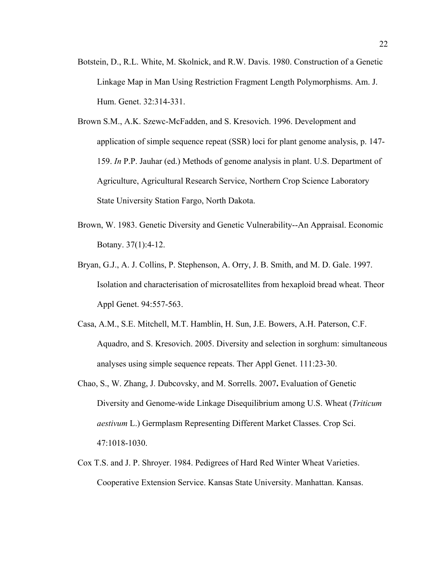- Botstein, D., R.L. White, M. Skolnick, and R.W. Davis. 1980. Construction of a Genetic Linkage Map in Man Using Restriction Fragment Length Polymorphisms. Am. J. Hum. Genet. 32:314-331.
- Brown S.M., A.K. Szewc-McFadden, and S. Kresovich. 1996. Development and application of simple sequence repeat (SSR) loci for plant genome analysis, p. 147- 159. *In* P.P. Jauhar (ed.) Methods of genome analysis in plant. U.S. Department of Agriculture, Agricultural Research Service, Northern Crop Science Laboratory State University Station Fargo, North Dakota.
- Brown, W. 1983. Genetic Diversity and Genetic Vulnerability--An Appraisal. Economic Botany. 37(1):4-12.
- Bryan, G.J., A. J. Collins, P. Stephenson, A. Orry, J. B. Smith, and M. D. Gale. 1997. Isolation and characterisation of microsatellites from hexaploid bread wheat. Theor Appl Genet. 94:557-563.
- Casa, A.M., S.E. Mitchell, M.T. Hamblin, H. Sun, J.E. Bowers, A.H. Paterson, C.F. Aquadro, and S. Kresovich. 2005. Diversity and selection in sorghum: simultaneous analyses using simple sequence repeats. Ther Appl Genet. 111:23-30.
- Chao, S., W. Zhang, J. Dubcovsky, and M. Sorrells. 2007**.** Evaluation of Genetic Diversity and Genome-wide Linkage Disequilibrium among U.S. Wheat (*Triticum aestivum* L.) Germplasm Representing Different Market Classes. Crop Sci. 47:1018-1030.
- Cox T.S. and J. P. Shroyer. 1984. Pedigrees of Hard Red Winter Wheat Varieties. Cooperative Extension Service. Kansas State University. Manhattan. Kansas.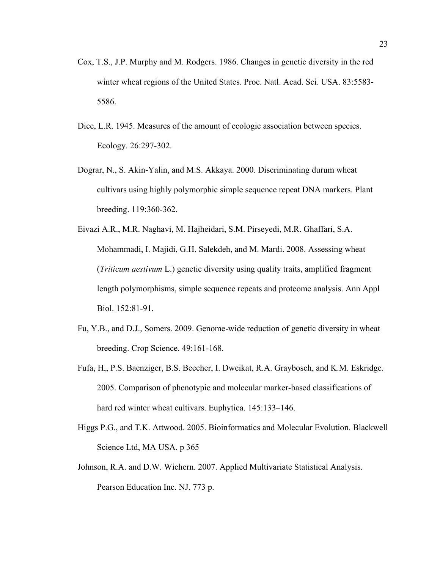- Cox, T.S., J.P. Murphy and M. Rodgers. 1986. Changes in genetic diversity in the red winter wheat regions of the United States. Proc. Natl. Acad. Sci. USA. 83:5583- 5586.
- Dice, L.R. 1945. Measures of the amount of ecologic association between species. Ecology. 26:297-302.
- Dograr, N., S. Akin-Yalin, and M.S. Akkaya. 2000. Discriminating durum wheat cultivars using highly polymorphic simple sequence repeat DNA markers. Plant breeding. 119:360-362.
- Eivazi A.R., M.R. Naghavi, M. Hajheidari, S.M. Pirseyedi, M.R. Ghaffari, S.A. Mohammadi, I. Majidi, G.H. Salekdeh, and M. Mardi. 2008. Assessing wheat (*Triticum aestivum* L.) genetic diversity using quality traits, amplified fragment length polymorphisms, simple sequence repeats and proteome analysis. Ann Appl Biol. 152:81-91.
- Fu, Y.B., and D.J., Somers. 2009. Genome-wide reduction of genetic diversity in wheat breeding. Crop Science. 49:161-168.
- Fufa, H,, P.S. Baenziger, B.S. Beecher, I. Dweikat, R.A. Graybosch, and K.M. Eskridge. 2005. Comparison of phenotypic and molecular marker-based classifications of hard red winter wheat cultivars. Euphytica. 145:133–146.
- Higgs P.G., and T.K. Attwood. 2005. Bioinformatics and Molecular Evolution. Blackwell Science Ltd, MA USA. p 365
- Johnson, R.A. and D.W. Wichern. 2007. Applied Multivariate Statistical Analysis. Pearson Education Inc. NJ. 773 p.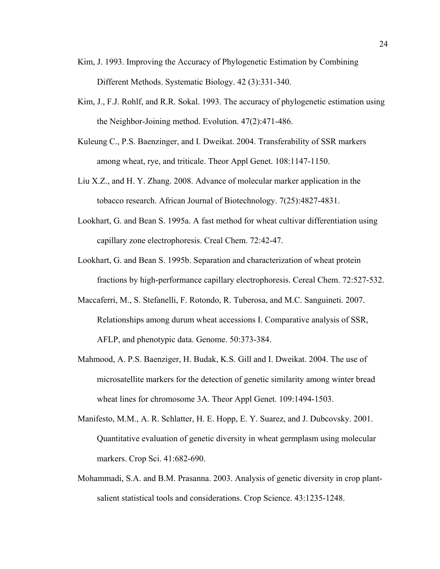- Kim, J. 1993. Improving the Accuracy of Phylogenetic Estimation by Combining Different Methods. Systematic Biology. 42 (3):331-340.
- Kim, J., F.J. Rohlf, and R.R. Sokal. 1993. The accuracy of phylogenetic estimation using the Neighbor-Joining method. Evolution. 47(2):471-486.
- Kuleung C., P.S. Baenzinger, and I. Dweikat. 2004. Transferability of SSR markers among wheat, rye, and triticale. Theor Appl Genet. 108:1147-1150.
- Liu X.Z., and H. Y. Zhang. 2008. Advance of molecular marker application in the tobacco research. African Journal of Biotechnology. 7(25):4827-4831.
- Lookhart, G. and Bean S. 1995a. A fast method for wheat cultivar differentiation using capillary zone electrophoresis. Creal Chem. 72:42-47.
- Lookhart, G. and Bean S. 1995b. Separation and characterization of wheat protein fractions by high-performance capillary electrophoresis. Cereal Chem. 72:527-532.
- Maccaferri, M., S. Stefanelli, F. Rotondo, R. Tuberosa, and M.C. Sanguineti. 2007. Relationships among durum wheat accessions I. Comparative analysis of SSR, AFLP, and phenotypic data. Genome. 50:373-384.
- Mahmood, A. P.S. Baenziger, H. Budak, K.S. Gill and I. Dweikat. 2004. The use of microsatellite markers for the detection of genetic similarity among winter bread wheat lines for chromosome 3A. Theor Appl Genet. 109:1494-1503.
- Manifesto, M.M., A. R. Schlatter, H. E. Hopp, E. Y. Suarez, and J. Dubcovsky. 2001. Quantitative evaluation of genetic diversity in wheat germplasm using molecular markers. Crop Sci. 41:682-690.
- Mohammadi, S.A. and B.M. Prasanna. 2003. Analysis of genetic diversity in crop plantsalient statistical tools and considerations. Crop Science. 43:1235-1248.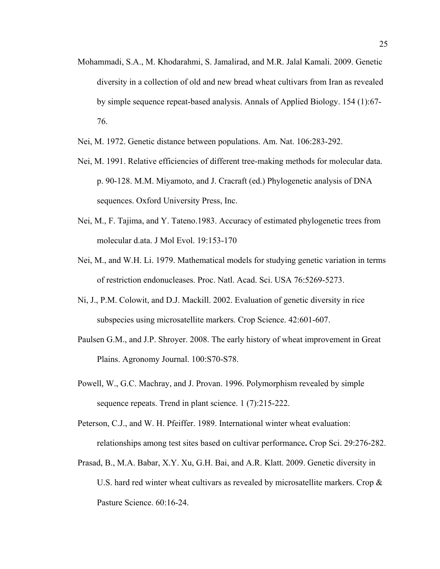- Mohammadi, S.A., M. Khodarahmi, S. Jamalirad, and M.R. Jalal Kamali. 2009. Genetic diversity in a collection of old and new bread wheat cultivars from Iran as revealed by simple sequence repeat-based analysis. Annals of Applied Biology. 154 (1):67- 76.
- Nei, M. 1972. Genetic distance between populations. Am. Nat. 106:283-292.
- Nei, M. 1991. Relative efficiencies of different tree-making methods for molecular data. p. 90-128. M.M. Miyamoto, and J. Cracraft (ed.) Phylogenetic analysis of DNA sequences. Oxford University Press, Inc.
- Nei, M., F. Tajima, and Y. Tateno.1983. Accuracy of estimated phylogenetic trees from molecular d.ata. J Mol Evol. 19:153-170
- Nei, M., and W.H. Li. 1979. Mathematical models for studying genetic variation in terms of restriction endonucleases. Proc. Natl. Acad. Sci. USA 76:5269-5273.
- Ni, J., P.M. Colowit, and D.J. Mackill. 2002. Evaluation of genetic diversity in rice subspecies using microsatellite markers. Crop Science. 42:601-607.
- Paulsen G.M., and J.P. Shroyer. 2008. The early history of wheat improvement in Great Plains. Agronomy Journal. 100:S70-S78.
- Powell, W., G.C. Machray, and J. Provan. 1996. Polymorphism revealed by simple sequence repeats. Trend in plant science. 1 (7):215-222.
- Peterson, C.J., and W. H. Pfeiffer. 1989. International winter wheat evaluation: relationships among test sites based on cultivar performance**.** Crop Sci. 29:276-282.
- Prasad, B., M.A. Babar, X.Y. Xu, G.H. Bai, and A.R. Klatt. 2009. Genetic diversity in U.S. hard red winter wheat cultivars as revealed by microsatellite markers. Crop & Pasture Science. 60:16-24.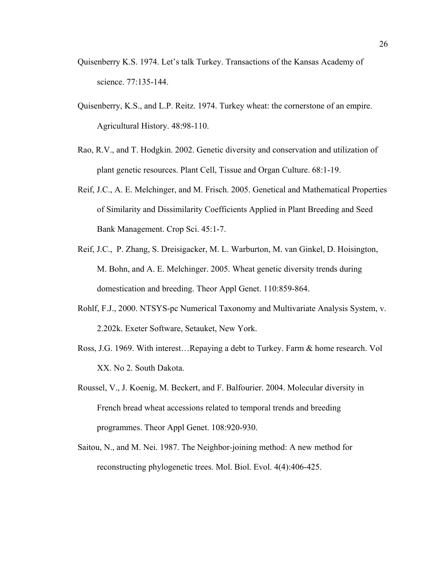- Quisenberry K.S. 1974. Let's talk Turkey. Transactions of the Kansas Academy of science. 77:135-144.
- Quisenberry, K.S., and L.P. Reitz. 1974. Turkey wheat: the cornerstone of an empire. Agricultural History. 48:98-110.
- Rao, R.V., and T. Hodgkin. 2002. Genetic diversity and conservation and utilization of plant genetic resources. Plant Cell, Tissue and Organ Culture. 68:1-19.
- Reif, J.C., A. E. Melchinger, and M. Frisch. 2005. Genetical and Mathematical Properties of Similarity and Dissimilarity Coefficients Applied in Plant Breeding and Seed Bank Management. Crop Sci. 45:1-7.
- Reif, J.C., P. Zhang, S. Dreisigacker, M. L. Warburton, M. van Ginkel, D. Hoisington, M. Bohn, and A. E. Melchinger. 2005. Wheat genetic diversity trends during domestication and breeding. Theor Appl Genet. 110:859-864.
- Rohlf, F.J., 2000. NTSYS-pc Numerical Taxonomy and Multivariate Analysis System, v. 2.202k. Exeter Software, Setauket, New York.
- Ross, J.G. 1969. With interest…Repaying a debt to Turkey. Farm & home research. Vol XX. No 2. South Dakota.
- Roussel, V., J. Koenig, M. Beckert, and F. Balfourier. 2004. Molecular diversity in French bread wheat accessions related to temporal trends and breeding programmes. Theor Appl Genet. 108:920-930.
- Saitou, N., and M. Nei. 1987. The Neighbor-joining method: A new method for reconstructing phylogenetic trees. Mol. Biol. Evol. 4(4):406-425.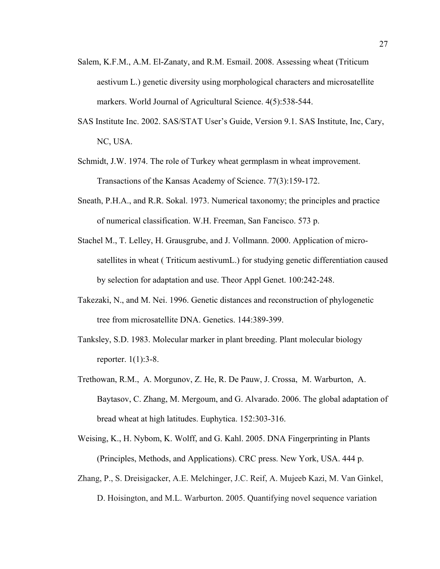- Salem, K.F.M., A.M. El-Zanaty, and R.M. Esmail. 2008. Assessing wheat (Triticum aestivum L.) genetic diversity using morphological characters and microsatellite markers. World Journal of Agricultural Science. 4(5):538-544.
- SAS Institute Inc. 2002. SAS/STAT User's Guide, Version 9.1. SAS Institute, Inc, Cary, NC, USA.
- Schmidt, J.W. 1974. The role of Turkey wheat germplasm in wheat improvement. Transactions of the Kansas Academy of Science. 77(3):159-172.
- Sneath, P.H.A., and R.R. Sokal. 1973. Numerical taxonomy; the principles and practice of numerical classification. W.H. Freeman, San Fancisco. 573 p.
- Stachel M., T. Lelley, H. Grausgrube, and J. Vollmann. 2000. Application of microsatellites in wheat ( Triticum aestivumL.) for studying genetic differentiation caused by selection for adaptation and use. Theor Appl Genet. 100:242-248.
- Takezaki, N., and M. Nei. 1996. Genetic distances and reconstruction of phylogenetic tree from microsatellite DNA. Genetics. 144:389-399.
- Tanksley, S.D. 1983. Molecular marker in plant breeding. Plant molecular biology reporter. 1(1):3-8.
- Trethowan, R.M., A. Morgunov, Z. He, R. De Pauw, J. Crossa, M. Warburton, A. Baytasov, C. Zhang, M. Mergoum, and G. Alvarado. 2006. The global adaptation of bread wheat at high latitudes. Euphytica. 152:303-316.
- Weising, K., H. Nybom, K. Wolff, and G. Kahl. 2005. DNA Fingerprinting in Plants (Principles, Methods, and Applications). CRC press. New York, USA. 444 p.
- Zhang, P., S. Dreisigacker, A.E. Melchinger, J.C. Reif, A. Mujeeb Kazi, M. Van Ginkel, D. Hoisington, and M.L. Warburton. 2005. Quantifying novel sequence variation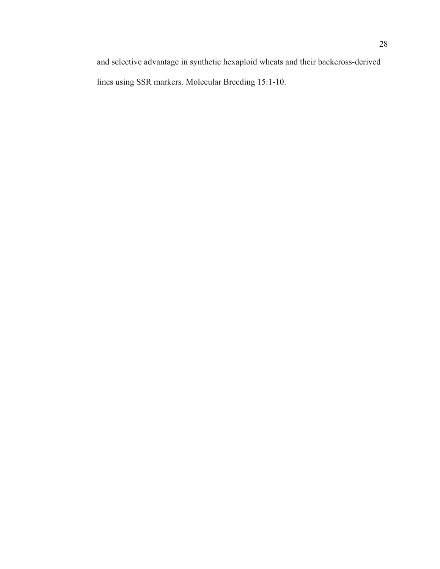and selective advantage in synthetic hexaploid wheats and their backcross-derived lines using SSR markers. Molecular Breeding 15:1-10.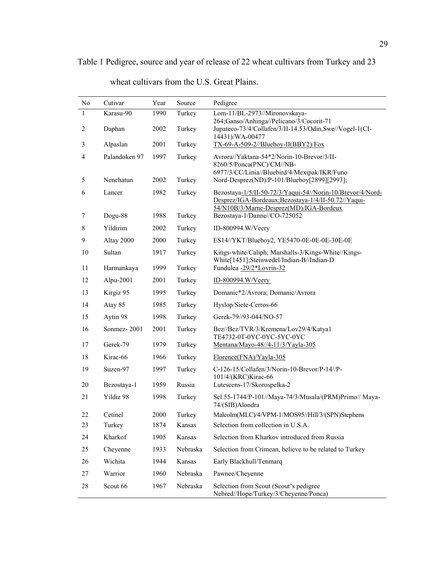| No           | Cutivar       | Year | Source   | Pedigree                                                                                                                                                     |
|--------------|---------------|------|----------|--------------------------------------------------------------------------------------------------------------------------------------------------------------|
| $\mathbf{1}$ | Karasu-90     | 1990 | Turkey   | Lom-11/BL-2973//Mironovskaya-                                                                                                                                |
| 2            | Daphan        | 2002 | Turkey   | 264;Ganso/Anhinga//Pelicano/3/Cocorit-71<br>Jupateco-73/4/Collafen/3/II-14.53/Odin,Swe//Vogel-1(CI-<br>14431)/WA-00477                                       |
| 3            | Alpaslan      | 2001 | Turkey   | $TX-69-A-509-2/Blueboy-II(BBY2)/Fox$                                                                                                                         |
| 4            | Palandoken 97 | 1997 | Turkey   | Avrora//Yaktana-54*2/Norin-10-Brevor/3/II-<br>8260/5/Ponca(PNC)/CM//NB-<br>6977/3/CC/Linia//Bluebird/4/Mexipak/IKR/Funo                                      |
| 5            | Nenehatun     | 2002 | Turkey   | Nord-Desprez(ND)/P-101/Blueboy[2899][2993];                                                                                                                  |
| 6            | Lancer        | 1982 | Turkey   | Bezostaya-1/5/II-50-72/3/Yaqui-54//Norin-10/Brevor/4/Nord-<br>Desprez/IGA-Bordeaux;Bezostaya-1/4/II-50.72//Yaqui-<br>54/N10B/3/Marne-Desprez(MD)/IGA-Bordeux |
| 7            | Dogu-88       | 1988 | Turkey   | Bezostaya-1/Danne//CO-725052                                                                                                                                 |
| 8            | Yildirim      | 2002 | Turkey   | ID-800994.W/Veery                                                                                                                                            |
| 9            | Altay 2000    | 2000 | Turkey   | ES14//YKT/Blueboy2, YE5470-0E-0E-0E-30E-0E                                                                                                                   |
| 10           | Sultan        | 1917 | Turkey   | Kings-white/Caliph; Marshalls-3/Kings-White//Kings-<br>White[1451];Steinwedel/Indian-B//Indian-D                                                             |
| 11           | Harmankaya    | 1999 | Turkey   | Fundulea -29/2*Lovrin-32                                                                                                                                     |
| 12           | Alpu-2001     | 2001 | Turkey   | ID-800994.W/Veery                                                                                                                                            |
| 13           | Kirgiz 95     | 1995 | Turkey   | Domanic*2/Avrora; Domanic/Avrora                                                                                                                             |
| 14           | Atay 85       | 1985 | Turkey   | Hyslop/Siete-Cerros-66                                                                                                                                       |
| 15           | Aytin 98      | 1998 | Turkey   | Gerek-79//93-044/NO-57                                                                                                                                       |
| 16           | Sonmez-2001   | 2001 | Turkey   | Bez//Bez/TVR/3/Kremena/Lov29/4/Katya1<br>TE4732-0T-0YC-0YC-5YC-0YC                                                                                           |
| 17           | Gerek-79      | 1979 | Turkey   | Mentana/Mayo-48//4-11/3/Yayla-305                                                                                                                            |
| 18           | Kirac-66      | 1966 | Turkey   | Florence(FNA)/Yayla-305                                                                                                                                      |
| 19           | Suzen-97      | 1997 | Turkey   | C-126-15/Collafen/3/Norin-10-Brevor/P-14//P-<br>101/4/(KRC)Kirac-66                                                                                          |
| 20           | Bezostaya-1   | 1959 | Russia   | Lutescens-17/Skorospelka-2                                                                                                                                   |
| 21           | Yildiz 98     | 1998 | Turkey   | Sel.55-1744/P-101//Maya-74/3/Musala/(PRM)Primo// Maya-<br>74/(SIB)Alondra                                                                                    |
| 22           | Cetinel       | 2000 | Turkey   | Malcolm(MLC)/4/VPM-1/MOS95//Hill/3/(SPN)Stephens                                                                                                             |
| 23           | Turkey        | 1874 | Kansas   | Selection from collection in U.S.A.                                                                                                                          |
| 24           | Kharkof       | 1905 | Kansas   | Selection from Kharkov introduced from Russia                                                                                                                |
| 25           | Cheyenne      | 1933 | Nebraska | Selection from Crimean, believe to be related to Turkey                                                                                                      |
| 26           | Wichita       | 1944 | Kansas   | Early Blackhull/Tenmarq                                                                                                                                      |
| 27           | Warrior       | 1960 | Nebraska | Pawnee/Cheyenne                                                                                                                                              |
| 28           | Scout 66      | 1967 | Nebraska | Selection from Scout (Scout's pedigree<br>Nebred//Hope/Turkey/3/Cheyenne/Ponca)                                                                              |

wheat cultivars from the U.S. Great Plains.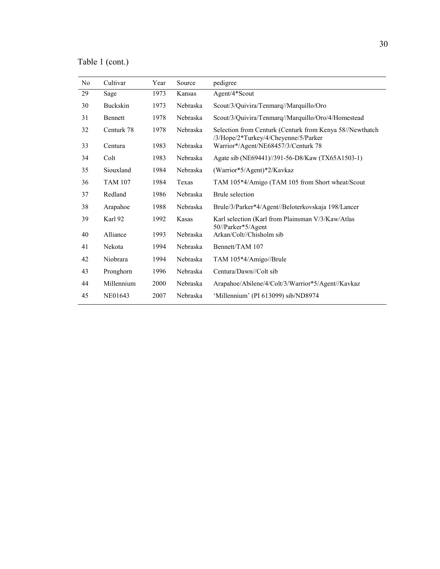Table 1 (cont.)

| N <sub>0</sub> | Cultivar       | Year | Source   | pedigree                                                                                         |
|----------------|----------------|------|----------|--------------------------------------------------------------------------------------------------|
| 29             | Sage           | 1973 | Kansas   | Agent/4*Scout                                                                                    |
| 30             | Buckskin       | 1973 | Nebraska | Scout/3/Quivira/Tenmarq//Marquillo/Oro                                                           |
| 31             | Bennett        | 1978 | Nebraska | Scout/3/Quivira/Tenmarq//Marquillo/Oro/4/Homestead                                               |
| 32             | Centurk 78     | 1978 | Nebraska | Selection from Centurk (Centurk from Kenya 58//Newthatch<br>/3/Hope/2*Turkey/4/Cheyenne/5/Parker |
| 33             | Centura        | 1983 | Nebraska | Warrior*/Agent/NE68457/3/Centurk 78                                                              |
| 34             | Colt           | 1983 | Nebraska | Agate sib (NE69441)//391-56-D8/Kaw (TX65A1503-1)                                                 |
| 35             | Siouxland      | 1984 | Nebraska | (Warrior*5/Agent)*2/Kavkaz                                                                       |
| 36             | <b>TAM 107</b> | 1984 | Texas    | TAM 105*4/Amigo (TAM 105 from Short wheat/Scout                                                  |
| 37             | Redland        | 1986 | Nebraska | <b>Brule</b> selection                                                                           |
| 38             | Arapahoe       | 1988 | Nebraska | Brule/3/Parker*4/Agent//Beloterkovskaja 198/Lancer                                               |
| 39             | Karl 92        | 1992 | Kasas    | Karl selection (Karl from Plainsman V/3/Kaw/Atlas<br>50//Parker*5/Agent                          |
| 40             | Alliance       | 1993 | Nebraska | Arkan/Colt//Chisholm sib                                                                         |
| 41             | Nekota         | 1994 | Nebraska | Bennett/TAM 107                                                                                  |
| 42             | Niobrara       | 1994 | Nebraska | TAM 105*4/Amigo//Brule                                                                           |
| 43             | Pronghorn      | 1996 | Nebraska | Centura/Dawn//Colt sib                                                                           |
| 44             | Millennium     | 2000 | Nebraska | Arapahoe/Abilene/4/Colt/3/Warrior*5/Agent//Kavkaz                                                |
| 45             | NE01643        | 2007 | Nebraska | 'Millennium' (PI 613099) sib/ND8974                                                              |
|                |                |      |          |                                                                                                  |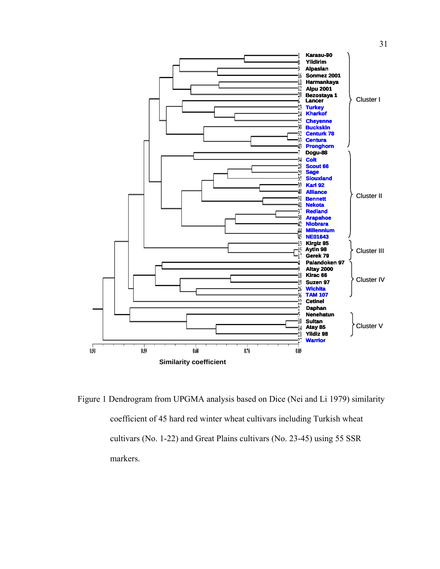

Figure 1 Dendrogram from UPGMA analysis based on Dice (Nei and Li 1979) similarity coefficient of 45 hard red winter wheat cultivars including Turkish wheat cultivars (No. 1-22) and Great Plains cultivars (No. 23-45) using 55 SSR markers.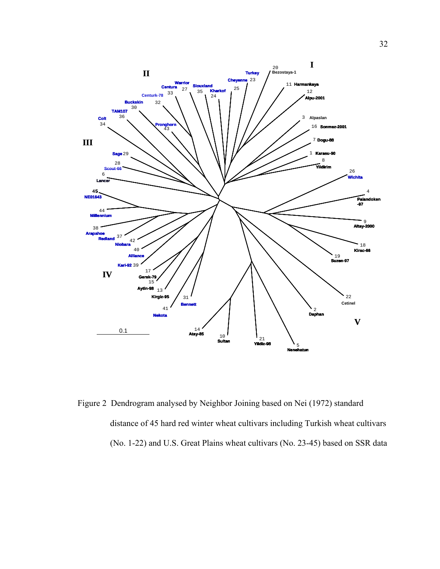

Figure 2 Dendrogram analysed by Neighbor Joining based on Nei (1972) standard distance of 45 hard red winter wheat cultivars including Turkish wheat cultivars (No. 1-22) and U.S. Great Plains wheat cultivars (No. 23-45) based on SSR data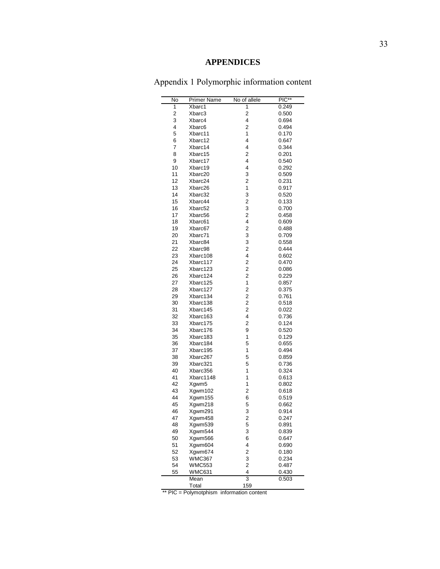# **APPENDICES**

Appendix 1 Polymorphic information content

| No | Primer Name   | No of allele            | $\overline{PIC^{**}}$ |
|----|---------------|-------------------------|-----------------------|
| 1  | Xbarc1        | 1                       | 0.249                 |
| 2  | Xbarc3        | $\overline{c}$          | 0.500                 |
| 3  | Xbarc4        | 4                       | 0.694                 |
| 4  | Xbarc6        | 2                       | 0.494                 |
| 5  | Xbarc11       | 1                       | 0.170                 |
| 6  | Xbarc12       | 4                       | 0.647                 |
| 7  | Xbarc14       | 4                       | 0.344                 |
| 8  | Xbarc15       | 2                       | 0.201                 |
| 9  | Xbarc17       | 4                       | 0.540                 |
| 10 | Xbarc19       | 4                       | 0.292                 |
| 11 | Xbarc20       | 3                       | 0.509                 |
| 12 | Xbarc24       | 2                       | 0.231                 |
| 13 | Xbarc26       | 1                       | 0.917                 |
| 14 | Xbarc32       | 3                       | 0.520                 |
| 15 | Xbarc44       | 2                       | 0.133                 |
| 16 | Xbarc52       | 3                       | 0.700                 |
| 17 | Xbarc56       | $\overline{2}$          | 0.458                 |
| 18 | Xbarc61       | 4                       | 0.609                 |
| 19 |               | 2                       |                       |
|    | Xbarc67       |                         | 0.488                 |
| 20 | Xbarc71       | 3                       | 0.709                 |
| 21 | Xbarc84       | 3                       | 0.558                 |
| 22 | Xbarc98       | 2                       | 0.444                 |
| 23 | Xbarc108      | 4                       | 0.602                 |
| 24 | Xbarc117      | 2                       | 0.470                 |
| 25 | Xbarc123      | $\overline{c}$          | 0.086                 |
| 26 | Xbarc124      | $\overline{2}$          | 0.229                 |
| 27 | Xbarc125      | 1                       | 0.857                 |
| 28 | Xbarc127      | 2                       | 0.375                 |
| 29 | Xbarc134      | 2                       | 0.761                 |
| 30 | Xbarc138      | $\overline{2}$          | 0.518                 |
| 31 | Xbarc145      | $\overline{2}$          | 0.022                 |
| 32 | Xbarc163      | 4                       | 0.736                 |
| 33 | Xbarc175      | $\overline{2}$          | 0.124                 |
| 34 | Xbarc176      | 9                       | 0.520                 |
| 35 | Xbarc183      | 1                       | 0.129                 |
| 36 | Xbarc184      | 5                       | 0.655                 |
| 37 | Xbarc195      | 1                       | 0.494                 |
| 38 | Xbarc267      | 5                       | 0.859                 |
| 39 | Xbarc321      | 5                       | 0.736                 |
|    |               | 1                       |                       |
| 40 | Xbarc356      |                         | 0.324                 |
| 41 | Xbarc1148     | 1                       | 0.613                 |
| 42 | Xgwm5         | 1                       | 0.802                 |
| 43 | Xgwm102       | $\overline{\mathbf{c}}$ | 0.618                 |
| 44 | Xgwm155       | 6                       | 0.519                 |
| 45 | Xgwm218       | 5                       | 0.662                 |
| 46 | Xgwm291       | 3                       | 0.914                 |
| 47 | Xgwm458       | 2                       | 0.247                 |
| 48 | Xgwm539       | 5                       | 0.891                 |
| 49 | Xgwm544       | 3                       | 0.839                 |
| 50 | Xgwm566       | 6                       | 0.647                 |
| 51 | Xgwm604       | 4                       | 0.690                 |
| 52 | Xgwm674       | $\overline{\mathbf{c}}$ | 0.180                 |
| 53 | <b>WMC367</b> | 3                       | 0.234                 |
| 54 | <b>WMC553</b> | $\overline{\mathbf{c}}$ | 0.487                 |
| 55 | WMC631        | 4                       | 0.430                 |
|    | Mean          | $\overline{3}$          | 0.503                 |
|    | Total         | 159                     |                       |
|    |               |                         |                       |

\*\* PIC = Polymotphism information content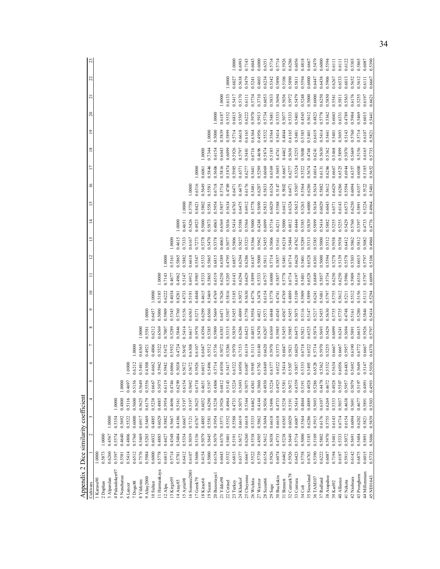| Appendix 2 Dice similarity coefficient |        |        |        |        |        |         |        |          |        |        |        |                |        |                |                |        |        |                 |              |                  |                  |         |
|----------------------------------------|--------|--------|--------|--------|--------|---------|--------|----------|--------|--------|--------|----------------|--------|----------------|----------------|--------|--------|-----------------|--------------|------------------|------------------|---------|
| Cultivars                              |        |        |        |        | S      | $\circ$ |        | $\infty$ | ۰      |        |        | $\overline{2}$ |        | $\overline{4}$ | $\overline{5}$ | $\geq$ |        | $\overline{18}$ | $\mathbf{r}$ | $\approx$        | $\overline{c}$   | Z<br>22 |
| 1 Karasu90                             | 1.0000 |        |        |        |        |         |        |          |        |        |        |                |        |                |                |        |        |                 |              |                  |                  |         |
| 2 Daphan                               | 0.5873 | 1.0000 |        |        |        |         |        |          |        |        |        |                |        |                |                |        |        |                 |              |                  |                  |         |
| 3 Alparslan                            | 0.6260 | 0.4567 | 1.0000 |        |        |         |        |          |        |        |        |                |        |                |                |        |        |                 |              |                  |                  |         |
| 4 Palandoken97                         | 0.5397 | 0.5574 | 0.5354 | 1.0000 |        |         |        |          |        |        |        |                |        |                |                |        |        |                 |              |                  |                  |         |
| 5 Nenehatun                            | 0.5581 | 0.4640 | 0.5692 | 0.4800 | 1.0000 |         |        |          |        |        |        |                |        |                |                |        |        |                 |              |                  |                  |         |
| 6 Lancer                               | 0.5414 | 0.4806 | 0.5522 | 0.5116 | 0.4697 | 1.0000  |        |          |        |        |        |                |        |                |                |        |        |                 |              |                  |                  |         |
| 7 Dogu88                               | 0.6512 | 0.5760 | 0.6000 | 0.5600 | 0.5156 | 0.6212  | .0000  |          |        |        |        |                |        |                |                |        |        |                 |              |                  |                  |         |
| 8 Yildirim                             | 0.7576 | 0.5469 | 0.6917 | 0.5625 | 0.5649 | 0.5481  | 0.6565 | 00001    |        |        |        |                |        |                |                |        |        |                 |              |                  |                  |         |
| 9 Altay2000                            | 0.5984 | 0.5203 | 0.5469 | 0.6179 | 0.5556 | 0.4308  | 1,4921 | 0.5581   | 1.0000 |        |        |                |        |                |                |        |        |                 |              |                  |                  |         |
| 10 Sultan                              | 0.6000 | 0.6032 | 0.4885 | 0.5238 | 0.6667 | 0.4662  | 0.4806 | 0.6212   | 0.6457 | 1.0000 |        |                |        |                |                |        |        |                 |              |                  |                  |         |
| 11 Harmankaya                          | 0.5778 | 0.4885 | 0.6029 | 0.4885 | 0.5075 | 0.5942  | 0.5522 | 0.6569   | 0.5000 | 0.5185 | 1.0000 |                |        |                |                |        |        |                 |              |                  |                  |         |
| $12$ Alpu                              | 0.6815 | 0.4427 | 0.5882 | 0.5954 | 0.6119 | 0.5942  | 0.5672 | 0.7007   | 0.5909 | 0.6222 | 0.7143 | 1.0000         |        |                |                |        |        |                 |              |                  |                  |         |
| 13 Kirgiz95                            | 0.5714 | 0.4348 | 0.5667 | 0.4696 | 0.4746 | 0.6066  | 0.5932 | 0.5289   | 0.5345 | 0.4034 | 0.4677 | 0.5161         | 1.0000 |                |                |        |        |                 |              |                  |                  |         |
| 14 Atay85                              | 0.5781 | 0.5484 | 0.4186 | 0.5161 | 0.6299 | 0.5038  | 0.4724 | 0.5846   | 0.5760 | 0.8281 | 0.4962 | 0.5865         | 0.4615 | 1.0000         |                |        |        |                 |              |                  |                  |         |
| 15 Aytin98                             | 0.6412 | 0.5354 | 0.6667 | 0.5197 | 0.6154 | 0.5672  | 0.5692 | 0.5414   | 0.5156 | 0.4733 | 0.5147 | 0.5882         | 0.7333 | 0.4651         | 00001          |        |        |                 |              |                  |                  |         |
| 16 Sonmez2001                          | 0.6107 | 0.5039 | 0.7121 | 0.5197 | 0.5692 | 0.5672  | 0.6308 | 0.6617   | 0.6563 | 0.5191 | 0.6912 | 0.6618         | 0.6167 | 0.5426         | 0.5758         | 1.0000 |        |                 |              |                  |                  |         |
| 17 Gerek 79                            | 0.5606 | 0.5156 | 0.6767 | 0.5625 | 0.6718 | 0.5926  | 0.6107 | 0.5970   | 0.5271 | 0.4848 | 0.5985 | 0.5547         | 0.7273 | 0.4923         | 0.8421         | 0.6316 | 1.0000 |                 |              |                  |                  |         |
| 18 Kirac66                             | 0.4154 | 0.5079 | 0.4885 | 0.6032 | 0.4651 | 0.6015  | 0.6047 | 0.4394   | 0.6299 | 0.4615 | 0.5333 | 0.5333         | 0.5378 | 0.5000         | 0.5802         | 0.5649 | 0.6061 | 1.0000          |              |                  |                  |         |
| 19 Suzen                               | 0.5000 | 0.5645 | 0.5581 | 0.6290 | 0.5197 | 0.5496  | 0.5512 | 0.5385   | 0.6560 | 0.5469 | 0.5865 | 0.5865         | 0.5470 | 0.5873         | 0.5581         | 0.5581 | 0.5846 | 0.7344          | 1.0000       |                  |                  |         |
| 20 Bezostaya                           | 0.6154 | 0.5079 | 0.5954 | 0.5238 | 0.4806 | 0.5714  | 0.5736 | 0.5909   | 0.5669 | 0.4769 | 0.6519 | 0.6815         | 0.5378 | 0.4063         | 0.5954         | 0.6718 | 0.5606 | 0.6154          | 0.5000       | 1.0000           |                  |         |
| 21 Yildiz98                            | 0.6043 | 0.6370 | 0.5571 | 0.5926 | 0.6812 | 0.4930  | 0.5072 | 0.6383   | 0.6471 | 0.7626 | 0.6250 | 0.6389         | 0.4063 | 0.6569         | 0.5857         | 0.5714 | 0.5816 | 0.6043          | 0.5839       | 0.6187           | 1.0000           |         |
| 22 Cetinel                             | 0.5532 | 0.5401 | 0.5352 | 0.4964 | 0.5143 | 0.5417  | 0.5286 | 0.5315   | 0.5507 | 0.5816 | 0.5205 | 0.4795         | 0.5077 | 0.5036         | 0.5634         | 0.4789 | 0.5874 | 0.6099          | 0.5899       | 0.5532           | 1.0000<br>0.6133 |         |
| 23 Turkey                              | 0.6815 | 0.5191 | 0.5588 | 0.4733 | 0.5224 | 0.6522  | 0.5970 | 0.5839   | 0.5455 | 0.5185 | 0.6143 | 0.6857         | 0.5806 | 0.5414         | 0.6765         | 0.6471 | 0.5985 | 0.5926          | 0.5714       | 0.6815           | 0.6027<br>0.5417 | 1.0000  |
| 24 Kharkof                             | 0.6377 | 0.5672 | 0.6619 | 0.5075 | 0.5693 | 0.6950  | 0.7153 | 0.6286   | 0.4889 | 0.5072 | 0.6294 | 0.6294         | 0.5827 | 0.5588         | 0.6475         | 0.6475 | 0.6571 | 0.5797          | 0.6618       | 0.5507           | 0.5638<br>0.5170 | 0.6993  |
| 25 Cheyenne                            | 0.6667 | 0.6260 | 0.6618 | 0.5344 | 0.5075 | 0.6087  | 0.6119 | 0.6423   | 0.5758 | 0.5630 | 0.6429 | 0.6286         | 0.5323 | 0.5564         | 0.6912         | 0.6176 | 0.6277 | 0.5481          | .6165        | 0.6111<br>0.6222 | 0.5479           | 0.7143  |
| 26 Wichita                             | 0.5522 | 0.5538 | 0.5333 | 0.6462 | 0.4361 | 0.5985  | 0.5113 | 0.4853   | 0.5954 | 0.4776 | 0.5899 | 0.6187         | 0.5366 | 0.5000         | 0.5778         | 0.5481 | 0.5441 | 0.6716          | 0.6364       | 0.5970           | 0.5241<br>0.5734 | 0.6043  |
| 27 Warrior                             | 0.5739 | 0.4505 | 0.5862 | 0.4144 | 0.3860 | 0.5763  | 0.6140 | 0.5470   | 0.4821 | 0.3478 | 0.5333 | 0.5000         | 0.5962 | 0.4248         | 0.5690         | 0.6207 | 0.5299 | 0.4696          | 0.4956       | 0.5913           | 0.4603<br>0.3710 | 0.6000  |
| 28 Scout66                             | 0.6154 | 0.5612 | 0.5694 | 0.5036 | 0.4930 | 0.6849  | 0.6620 | 0.6207   | 0.5571 | 0.6154 | 0.6757 | 0.5811         | 0.5455 | 0.6099         | 0.5833         | 0.5833 | 0.6069 | 0.5874          | 0.5532       | 0.6053<br>0.5734 | 0.6234           | 0.6351  |
| 29 Sage                                | 0.5926 | 0.5038 | 0.6618 | 0.5496 | 0.5224 | 0.6377  | 0.5970 | 0.6569   | 0.4848 | 0.5778 | 0.6000 | 0.5714         | 0.5806 | 0.5714         | 0.6029         | 0.6324 | 0.6569 | 0.5185          | 0.5564       | 0.5833<br>0.5481 | 0.5342           | 0.5714  |
| 30 Buckskin                            | 0.6074 | 0.4733 | 0.6618 | 0.4733 | 0.4925 | 0.6522  | 0.5373 | 0.5985   | 0.4545 | 0.4741 | 0.5857 | 0.5857         | 0.5161 | 0.4211         | 0.5588         | 0.5147 | 0.5693 | 0.4741          | 0.5414       | 0.5694<br>0.5333 | 0.5890           | 0.5714  |
| 31 Bennett                             | 0.6462 | 0.5238 | 0.6565 | 0.5238 | 0.5581 | 0.5414  | 0.6047 | 0.5455   | 0.4567 | 0.4769 | 0.5778 | 0.5481         | 0.6218 | 0.5000         | 0.6412         | 0.5802 | 0.6667 | 0.4462          | 0.4844       | 0.5077           | 0.5106<br>0.5036 | 0.5926  |
| 32 Centurk78                           | 0.5926 | 0.5649 | 0.6029 | 0.5191 | 0.5672 | 0.5507  | 0.5821 | 0.5985   | 0.5455 | 0.4889 | 0.6714 | 0.6714         | 0.5484 | 0.4812         | 0.6324         | 0.6471 | 0.6277 | 0.5630          | 0.6165       | 0.5972<br>0.5333 | 0.5890           | 0.6286  |
| 33 Centura                             | 0.6423 | 0.5714 | 0.6087 | 0.5414 | 0.4559 | 0.5857  | 0.6029 | 0.6475   | 0.5075 | 0.5109 | 0.6197 | 0.6620         | 0.4762 | 0.4444         | 0.5652         | 0.5507 | 0.5324 | 0.5255          | 0.5481       | 0.5479<br>0.5401 | 0.5811           | 0.6056  |
| 34 Colt                                | 0.5758 | 0.5000 | 0.5564 | 0.4844 | 0.5191 | 0.5333  | 0.6718 | 0.5821   | 0.5116 | 0.5909 | 0.5401 | 0.5401         | 0.5289 | 0.5385         | 0.5263         | 0.5564 | 0.5522 | 0.5000          | 0.5385       | 0.4545           | 0.5594<br>0.5248 | 0.4818  |
| 35 Siouxland                           | 0.6763 | 0.5185 | 0.6286 | 0.4889 | 0.4928 | 0.5493  | 0.6522 | 0.6525   | 0.5147 | 0.5899 | 0.6528 | 0.6528         | 0.5313 | 0.5839         | 0.6000         | 0.6286 | 0.5674 | 0.4748          | 0.5401       | 0.5000<br>0.5612 | 0.6000           | 0.6667  |
| 36 TAM107                              | 0.5390 | 0.5109 | 0.5915 | 0.5693 | 0.5286 | 0.6528  | 0.5714 | 0.5874   | 0.5217 | 0.6241 | 0.6849 | 0.6301         | 0.5385 | 0.5899         | 0.5634         | 0.5634 | 0.6014 | 0.6241          | 0.6619       | 0.4823           | 0.6447<br>0.6000 | 0.5479  |
| 37 Redland                             | 0.6222 | 0.5802 | 0.6176 | 0.6107 | 0.4478 | 0.5362  | 0.5970 | 0.5693   | 0.5455 | 0.5481 | 0.5857 | 0.5000         | 0.5000 | 0.5414         | 0.6029         | 0.5882 | 0.6131 | 0.5630          | 0.5414       | 0.5778           | 0.6438<br>0.6250 | 0.6000  |
| 38 Arapahoe                            | 0.6087 | 0.5970 | 0.5755 | 0.6269 | 0.4672 | 0.5532  | 0.5255 | 0.5429   | 0.5630 | 0.5797 | 0.5734 | 0.5594         | 0.5512 | 0.5882         | 0.6043         | 0.5612 | 0.6286 | 0.5362          | 0.5441       | 0.5362           | 0.5906<br>0.5850 | 0.5594  |
| 39 Karl92                              | 0.7194 | 0.5481 | 0.6143 | 0.5333 | 0.4928 | 0.5634  | 0.6667 | 0.6099   | 0.5735 | 0.5755 | 0.6250 | 0.5278         | 0.5938 | 0.5255         | 0.6571         | 0.6429 | 0.6667 | 0.5468          | 0.5401       | 0.5541<br>0.6043 | 0.6267           | 0.6111  |
| 40 Alliance                            | 0.6187 | 0.5333 | 0.6714 | 0.5037 | 0.5507 | 0.6056  | 0.6667 | 0.6241   | 0.5735 | 0.5612 | 0.6250 | 0.5139         | 0.5938 | 0.5255         | 0.6143         | 0.6286 | 0.6525 | 0.5899          | 0.5693       | 0.5811<br>0.6331 | 0.6533           | 0.6111  |
| 41 Nekota                              | 0.5915 | 0.5072 | 0.6154 | 0.4638 | 0.5957 | 0.6483  | 0.5957 | 0.5694   | 0.4748 | 0.5211 | 0.5986 | 0.5578         | 0.6412 | 0.5429         | 0.6573         | 0.5594 | 0.6944 | 0.5070          | 0.5143       | 0.5563<br>0.4789 | 0.6013           | 0.6122  |
| 42 Niobrara                            | 0.6142 | 0.5691 | 0.6094 | 0.5691 | 0.5079 | 0.5692  | 0.6190 | 0.5891   | 0.5161 | 0.5512 | 0.5909 | 0.5303         | 0.5862 | 0.5760         | 0.6250         | 0.6094 | 0.6357 | 0.5669          | 0.5760       | 0.5984           | 0.5652<br>0.6176 | 0.5303  |
| 43 Pronghorn                           | 0.6875 | 0.5484 | 0.6202 | 0.4677 | 0.5197 | 0.5649  | 0.6772 | 0.6615   | 0.5280 | 0.5156 | 0.6316 | 0.6015         | 0.5812 | 0.5397         | 0.5891         | 0.6357 | 0.6000 | 0.5156          | 0.5714       | 0.5255<br>0.5469 | 0.5612           | 0.5865  |
| 44 Millennium                          | 0.6015 | 0.5891 | 0.5821 | 0.5891 | 16040  | 0.5147  | 0.6667 | 0.5926   | 0.5846 | 0.5113 | 0.5797 | 0.5797         | 0.5082 | 0.4733         | 0.5224         | 0.5522 | 0.5185 | 0.6165          | 0.6107       | 0.6197<br>0.6015 | 0.6111           | 0.6087  |
| 45 NE01643                             | 0.5735 | 0.5606 | 0.5839 | 0.5303 | 0.4593 | 0.5036  | 0.6370 | 0.5797   | 0.5414 | 0.5294 | 0.6099 | 0.5106         | 0.4960 | 0.4776         | 0.4964         | 0.5401 | 0.5652 | 0.5735          | 0.5821       | 0.6621<br>0.5441 | 0.6667           | 0.5390  |

34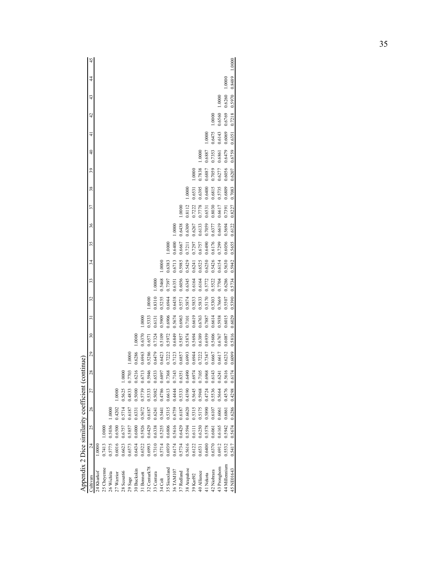|                                            | 45              |            |             |            |            |            |           |             |            |              |            |         |              |           |            |             |           |             |           |             |              |               | 1.0000     |
|--------------------------------------------|-----------------|------------|-------------|------------|------------|------------|-----------|-------------|------------|--------------|------------|---------|--------------|-----------|------------|-------------|-----------|-------------|-----------|-------------|--------------|---------------|------------|
|                                            | \$              |            |             |            |            |            |           |             |            |              |            |         |              |           |            |             |           |             |           |             |              | 1.0000        | 0.8489     |
|                                            | 43              |            |             |            |            |            |           |             |            |              |            |         |              |           |            |             |           |             |           |             | 1.0000       | 0.6260        | 0.5970     |
|                                            | $\overline{42}$ |            |             |            |            |            |           |             |            |              |            |         |              |           |            |             |           |             |           | 1.0000      | 0.6560       | 0.6769        | 0.7218     |
|                                            | $\frac{1}{4}$   |            |             |            |            |            |           |             |            |              |            |         |              |           |            |             |           |             | 1.0000    | 0.6475      | 0.6143       | 0.6069        | 0.6351     |
|                                            | $\overline{40}$ |            |             |            |            |            |           |             |            |              |            |         |              |           |            |             |           | 1.0000      | 0.6887    | 0.7353      | 0.6861       | 0.6479        | 0.6759     |
|                                            | 39              |            |             |            |            |            |           |             |            |              |            |         |              |           |            |             | 1.0000    | 0.7838      | 0.6887    | 0.7059      | 0.6277       | 0.6056        | 0.6207     |
|                                            | 38              |            |             |            |            |            |           |             |            |              |            |         |              |           |            | 1.0000      | 0.6531    | 0.6395      | 0.6400    | 0.6815      | 0.5735       | 0.6809        | 0.7083     |
|                                            | 37              |            |             |            |            |            |           |             |            |              |            |         |              |           | 1.0000     | 0.8112      | 0.7222    | 0.7778      | 0.6531    | 0.8030      | 0.6617       | 0.7391        | 0.8227     |
|                                            | 36              |            |             |            |            |            |           |             |            |              |            |         |              | 0000      | 0.6438     | 0.6309      | 0.6267    | 0.6133      | 0.7059    | 0.6377      | 0.6619       | 0.5694        | 0.6122     |
|                                            | 35              |            |             |            |            |            |           |             |            |              |            |         | 0000         | 0.6400    | 0.6667     | 0.721       | 0.7297    | 0.6757      | 0.6490    | 0.6176      | 0.7299       | 0.6056        | 0.5655     |
|                                            | 34              |            |             |            |            |            |           |             |            |              |            | 1.000C  | 0.6383       | 0.6713    | 0.5985     | 0.5429      | 0.6241    | 0.6525      | 0.6250    | 0.5426      | 0.6154       | 0.5630        | 0.5942     |
|                                            | 33              |            |             |            |            |            |           |             |            |              | 10000      | 0.5468  | 1.7397       | 0.6351    | 0.6056     | 0.6345      | 0.6164    | 0.6164      | 0.5772    | 0.5522      | 1.7704       | 0.6286        | 0.5734     |
|                                            | 32              |            |             |            |            |            |           |             |            | 1.0000       | 0.8310     | 1,5255  | 0.6944       | 0.6438    | 0.5571     | 0.5874      | 0.5833    | 0.5833      | 0.5170    | 0.5303      | 0.7669       | 0.5507        | 0.5390     |
|                                            | 51              |            |             |            |            |            |           |             | 0000       | 0.5333       |            | 0.5909  | 0.6906       | 0.5674    |            |             | 0.6619    |             |           | 0.6614      |              | 0.6015        |            |
|                                            | $\mathfrak{D}$  |            |             |            |            |            |           |             |            |              | 0.6131     |         |              |           | 0.6963     | 0.7101      |           | 0.6763      | 0.7887    |             | 0.5938       |               | 0.6029     |
|                                            | 29              |            |             |            |            |            |           | .000C       | 0.6370     | 0.6571       | 0.7324     | 0.5109  | 0.5972       | 0.6849    | 0.5857     | 0.5874      | 0.5694    | 0.6389      | 0.6939    | 0.5606      | 0.6767       | 0.6087        | 0.5816     |
| ontinue)                                   | 28              |            |             |            |            |            | .000(     | 0.6286      | 1,6963     | .5286        | .6479      | 1,6423  | 1.7222       | 17123     | 1.6857     | 0.6993      | 0.6944    | 1.7222      | 1.7347    | 0.6667      | 0.6617       | 0.6232        | 0.6099     |
|                                            |                 |            |             |            |            | 1.0000     | 0.7703    | 0.6216      | 0.6713     | 0.5946       | 0.6533     | 0.6897  | 0.7368       | 0.7143    | 0.6351     | 0.6490      | 0.6974    | 0.7105      | 0.6968    | 0.6143      | 0.6241       | 0.5616        | 0.6174     |
|                                            | 27              |            |             |            | 0000       | 0.5625     | 0.4833    | 0.5000      | 0.5739     | 0.5333       | 0.5082     | 0.4786  | 0.6613       | 0.4444    | 0.5333     | 0.4390      | 0.5645    | 0.5968      | 0.4724    | 0.5536      | 0.5664       | 0.4576        | 0.4298     |
|                                            | 26              |            |             | 1,0000     | 0.4202     | 0.5714     | 0.6187    | 0.6331      | 0.5672     | 0.6187       | 0.6241     | 0.5441  | 0.5315       | 0.6759    | 0.6187     | 0.6620      | 0.5315    | 0.5175      | 0.5890    | 0.6107      | 0.6061       | 0.6861        | 0.6286     |
|                                            | 25              |            | 1.0000      | 0.5036     | 0.6500     | 16757      | 1.5857    | 0.6000      | 0.5926     | 0.6429       | 0.6338     | 0.5255  | 0.6806       | 0.5616    | 0.6429     | 0.5594      | 0.6111    | 0.6250      | 0.5578    | 0.6061      | 0.6165       | 0.5942        | 0.5674     |
|                                            | $\overline{c}$  | 1.0000     | 0.7413      | 0.5775     | 0.6016     | 0.6623     | 0.6573    | 0.6434      | 0.6522     | 0.6993       | 0.7310     | 0.5714  | 0.6939       | 0.6174    | 0.5734     | 0.5616      | 0.6122    | 0.6531      | 0.6400    | 0.6370      | 0.6912       | 0.5532        | 0.5417     |
| Appendix 2 Dice similarity coefficient (co | Cultivars       | 24 Kharkof | 25 Cheyenne | 26 Wichita | 27 Warrior | 28 Scout66 | $29$ Sage | 30 Buckskin | 31 Bennett | 32 Centurk78 | 33 Centura | 34 Colt | 35 Siouxland | 36 TAM107 | 37 Redland | 38 Arapahoe | 39 Karl92 | 40 Alliance | 41 Nekota | 42 Niobrara | 43 Pronghorn | 44 Millennium | 45 NE01643 |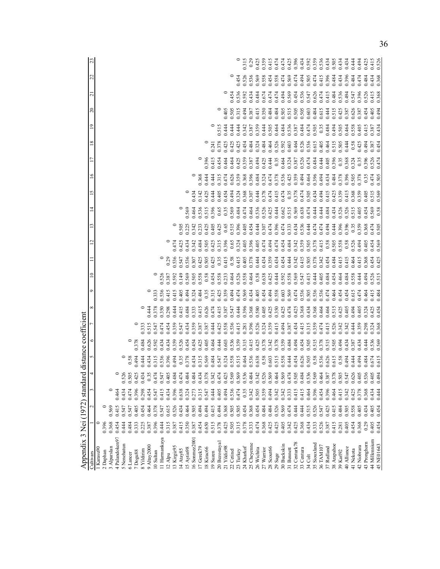| Appendix 3 Nei (1972) standar |       |       |       | rd distance coefficient                                                                                                                                                                                                                                               |                         |                                  |                         |                                  |                                                                                                                                                                                                                                                                                                   |                         |                                                    |                                                    |                                                   |                      |                                                     |                                           |                                           |                                          |                                           |                         |                                                                   |
|-------------------------------|-------|-------|-------|-----------------------------------------------------------------------------------------------------------------------------------------------------------------------------------------------------------------------------------------------------------------------|-------------------------|----------------------------------|-------------------------|----------------------------------|---------------------------------------------------------------------------------------------------------------------------------------------------------------------------------------------------------------------------------------------------------------------------------------------------|-------------------------|----------------------------------------------------|----------------------------------------------------|---------------------------------------------------|----------------------|-----------------------------------------------------|-------------------------------------------|-------------------------------------------|------------------------------------------|-------------------------------------------|-------------------------|-------------------------------------------------------------------|
| Cultivars                     |       |       |       |                                                                                                                                                                                                                                                                       |                         |                                  |                         | O                                | $\supseteq$                                                                                                                                                                                                                                                                                       |                         | ₫                                                  |                                                    | 14                                                | 51                   | $\tilde{=}$                                         |                                           | $\frac{8}{2}$                             | $\frac{1}{2}$                            | $\Omega$                                  | ಸ                       | 23<br>22                                                          |
| Karasu90                      |       |       |       |                                                                                                                                                                                                                                                                       |                         |                                  |                         |                                  |                                                                                                                                                                                                                                                                                                   |                         |                                                    |                                                    |                                                   |                      |                                                     |                                           |                                           |                                          |                                           |                         |                                                                   |
| 2 Daphan                      | 0.396 |       |       |                                                                                                                                                                                                                                                                       |                         |                                  |                         |                                  |                                                                                                                                                                                                                                                                                                   |                         |                                                    |                                                    |                                                   |                      |                                                     |                                           |                                           |                                          |                                           |                         |                                                                   |
| 3 Alparslan                   | 0.368 | 0.569 |       |                                                                                                                                                                                                                                                                       |                         |                                  |                         |                                  |                                                                                                                                                                                                                                                                                                   |                         |                                                    |                                                    |                                                   |                      |                                                     |                                           |                                           |                                          |                                           |                         |                                                                   |
| 4 Palandoken97                | 0.454 | 0.415 | 0.464 |                                                                                                                                                                                                                                                                       |                         |                                  |                         |                                  |                                                                                                                                                                                                                                                                                                   |                         |                                                    |                                                    |                                                   |                      |                                                     |                                           |                                           |                                          |                                           |                         |                                                                   |
| 5 Nenehatun                   | 0.444 | 0.547 | 0.434 |                                                                                                                                                                                                                                                                       |                         |                                  |                         |                                  |                                                                                                                                                                                                                                                                                                   |                         |                                                    |                                                    |                                                   |                      |                                                     |                                           |                                           |                                          |                                           |                         |                                                                   |
| 6 Lancer                      | 0.484 | 0.547 | 0.474 |                                                                                                                                                                                                                                                                       |                         |                                  |                         |                                  |                                                                                                                                                                                                                                                                                                   |                         |                                                    |                                                    |                                                   |                      |                                                     |                                           |                                           |                                          |                                           |                         |                                                                   |
| 7 Dogu88                      | 0.333 | 0.405 | 0.396 | $0.38$<br>0.494                                                                                                                                                                                                                                                       | $0.378$<br>0.3784       |                                  |                         |                                  |                                                                                                                                                                                                                                                                                                   |                         |                                                    |                                                    |                                                   |                      |                                                     |                                           |                                           |                                          |                                           |                         |                                                                   |
| 8 Yildirim                    | 0.225 | 0.454 | 0.298 | 0.444                                                                                                                                                                                                                                                                 |                         | 0.333                            |                         |                                  |                                                                                                                                                                                                                                                                                                   |                         |                                                    |                                                    |                                                   |                      |                                                     |                                           |                                           |                                          |                                           |                         |                                                                   |
| 9 Altay2000                   | 0.387 | 0.464 | 0.454 |                                                                                                                                                                                                                                                                       |                         | ).515                            | 0.444                   |                                  |                                                                                                                                                                                                                                                                                                   |                         |                                                    |                                                    |                                                   |                      |                                                     |                                           |                                           |                                          |                                           |                         |                                                                   |
| 10 Sultan                     | 0.396 | 0.378 | 0.547 | 0.434<br>0.315                                                                                                                                                                                                                                                        | 0.626<br>0.592          | 0.547                            | 0.378                   |                                  |                                                                                                                                                                                                                                                                                                   |                         |                                                    |                                                    |                                                   |                      |                                                     |                                           |                                           |                                          |                                           |                         |                                                                   |
| 11 Harmankaya                 | 0.444 | 0.547 | 0.415 | 536                                                                                                                                                                                                                                                                   | 0.434                   | 1.474                            | 0.350                   | 0.333<br>0.536                   |                                                                                                                                                                                                                                                                                                   |                         |                                                    |                                                    |                                                   |                      |                                                     |                                           |                                           |                                          |                                           |                         |                                                                   |
| 12 Alpu                       | 0.315 | 0.615 | 0.434 |                                                                                                                                                                                                                                                                       |                         | 0.454                            | 0.298                   |                                  |                                                                                                                                                                                                                                                                                                   |                         |                                                    |                                                    |                                                   |                      |                                                     |                                           |                                           |                                          |                                           |                         |                                                                   |
| 13 Kirgiz95                   | 0.387 | 0.526 | 0.396 |                                                                                                                                                                                                                                                                       | 0.434<br>0.359          | 1.359                            | ).444                   | 115<br>2115<br>2105              | 0.526<br>0.387<br>0.592                                                                                                                                                                                                                                                                           |                         | 0.474                                              |                                                    |                                                   |                      |                                                     |                                           |                                           |                                          |                                           |                         |                                                                   |
| 14 Atay85                     | 0.415 | 0.434 | 0.638 |                                                                                                                                                                                                                                                                       |                         | 0.547                            | 0.415                   |                                  | ).149                                                                                                                                                                                                                                                                                             |                         | 0.425                                              |                                                    |                                                   |                      |                                                     |                                           |                                           |                                          |                                           |                         |                                                                   |
| 15 Aytin98                    | 0.350 | 0.464 | 0.324 | 0.396<br>0.494<br>0.35<br>0.378                                                                                                                                                                                                                                       | 0.526<br>0.454          | 1.434                            |                         |                                  |                                                                                                                                                                                                                                                                                                   |                         | 1434                                               | 1505<br>1542<br>151425<br>161425                   |                                                   |                      |                                                     |                                           |                                           |                                          |                                           |                         |                                                                   |
| 16 Sonmez2001                 | 0.387 | 0.505 | 0.273 | 0.434                                                                                                                                                                                                                                                                 | 0.454                   | 0.359                            | 0.484<br>0.333          |                                  |                                                                                                                                                                                                                                                                                                   |                         |                                                    |                                                    |                                                   |                      |                                                     |                                           |                                           |                                          |                                           |                         |                                                                   |
| 17 Gerek79                    | 0.454 | 0.494 | 0.315 | 0.315                                                                                                                                                                                                                                                                 | 0.425                   | 1.387                            | 0.415                   | 194<br>0.324<br>0.35             | 0.569<br>0.505<br>0.588                                                                                                                                                                                                                                                                           |                         | 1342<br>1484<br>1505                               |                                                    |                                                   | 1434<br>1425<br>1425 | 0.368<br>0.444                                      |                                           |                                           |                                          |                                           |                         |                                                                   |
| 8 Kirac66                     | 0.650 | 0.494 | 0.547 | 0.569                                                                                                                                                                                                                                                                 | 0.405                   | 0.387                            | 0.626                   |                                  |                                                                                                                                                                                                                                                                                                   |                         |                                                    |                                                    |                                                   |                      |                                                     | 0.396                                     |                                           |                                          |                                           |                         |                                                                   |
| 19 Suzen                      | 0.515 | 0.415 | 0.444 | 0.484<br>0.547<br>0.324                                                                                                                                                                                                                                               | 0.464                   | 0.444                            | 0.474                   | 0.315<br>0.425<br>0.359          |                                                                                                                                                                                                                                                                                                   |                         |                                                    |                                                    |                                                   |                      | 0.444                                               | $0.415$<br>0.454                          | 0.241<br>0.378<br>0.425                   |                                          |                                           |                         |                                                                   |
| 20 Bezostaya                  | 0.378 | 0.494 | 0.405 |                                                                                                                                                                                                                                                                       | 0.444                   | 0.425                            | 0.415                   |                                  |                                                                                                                                                                                                                                                                                                   |                         |                                                    |                                                    |                                                   |                      | 0.315                                               |                                           |                                           |                                          |                                           |                         |                                                                   |
| 21 Yildiz98                   | 0.425 | 0.368 | 0.494 |                                                                                                                                                                                                                                                                       | 0.603                   |                                  | 0.387                   |                                  |                                                                                                                                                                                                                                                                                                   |                         |                                                    |                                                    |                                                   |                      | 0.474                                               |                                           |                                           | 0.515<br>0.444                           | 0.405                                     |                         |                                                                   |
| 22 Cetinel                    | 0.505 | 0.505 | 0.536 |                                                                                                                                                                                                                                                                       |                         |                                  |                         |                                  |                                                                                                                                                                                                                                                                                                   |                         |                                                    |                                                    |                                                   |                      |                                                     |                                           |                                           |                                          | ).505                                     |                         |                                                                   |
| 23 Turkey                     | 0.315 | 0.505 | 0.474 |                                                                                                                                                                                                                                                                       | 0.536<br>0.359          | 0.558<br>0.536<br>0.415          | $0.547$<br>0.444        |                                  |                                                                                                                                                                                                                                                                                                   |                         | 1425<br>1315<br>0.65<br>1324                       | 1.405<br>0.425<br>0.515<br>0.515                   | 0.569<br>0.464<br>0.515<br>0.65<br>0.356<br>0.359 |                      | 0.626                                               |                                           | 0.425                                     | 0.444<br>0.444                           | 0.315                                     | 0.454                   |                                                                   |
| 24 Kharkof                    | 0.378 | 0.454 | 0.35  |                                                                                                                                                                                                                                                                       | 0.315                   |                                  |                         |                                  |                                                                                                                                                                                                                                                                                                   |                         |                                                    |                                                    |                                                   |                      |                                                     | 0.464<br>0.464<br>0.425<br>0.387<br>0.494 |                                           |                                          | 0.454<br>0.536<br>0.592<br>1.494          |                         |                                                                   |
| 25 Cheyenne                   | 0.333 | 0.368 | 0.342 |                                                                                                                                                                                                                                                                       | 0.415                   | 0.281<br>0.396<br>0.524<br>0.324 | 0.396<br>0.368<br>0.580 |                                  |                                                                                                                                                                                                                                                                                                   |                         | 0.405                                              | 0.454                                              |                                                   |                      | 0.368                                               |                                           | 0.484<br>0.484                            | 1.342<br>1.387<br>1.359                  | 1.434<br>0.387<br>0.415                   | 0.526<br>0.536<br>0.569 |                                                                   |
| 26 Wichita                    | 0.474 | 0.454 | 0.505 |                                                                                                                                                                                                                                                                       | 0.425                   |                                  |                         |                                  |                                                                                                                                                                                                                                                                                                   |                         |                                                    |                                                    |                                                   |                      | 0.484                                               |                                           | 0.324                                     |                                          | 0.484                                     |                         |                                                                   |
| 27 Warrior                    | 0.368 | 0.484 | 0.359 |                                                                                                                                                                                                                                                                       | 0.378                   |                                  | $0.405$<br>$0.425$      |                                  |                                                                                                                                                                                                                                                                                                   |                         |                                                    |                                                    |                                                   |                      | 0.324                                               |                                           | 1.484                                     |                                          | 0.674                                     | 0.558                   |                                                                   |
| 28 Scout66                    | 0.425 | 0.484 | 0.494 |                                                                                                                                                                                                                                                                       | 0.342<br>0.378<br>0.359 | 0.359                            |                         |                                  |                                                                                                                                                                                                                                                                                                   |                         |                                                    |                                                    |                                                   |                      | 0.474                                               |                                           | 0.464                                     | 0.484<br>0.505<br>0.484                  | 0.474<br>0.484                            | 0.454                   |                                                                   |
| 29 Sage                       | 0.425 | 0.526 | 0.342 |                                                                                                                                                                                                                                                                       |                         | 0.494                            | 0.350                   |                                  |                                                                                                                                                                                                                                                                                                   |                         |                                                    |                                                    |                                                   |                      |                                                     |                                           | 0.526<br>0.592                            |                                          | 0.474                                     | 0.558                   |                                                                   |
| 30 Buckskin                   | 0.405 | 0.569 | 0.342 |                                                                                                                                                                                                                                                                       |                         |                                  | 0.425                   | 0.603<br>0.569<br>0.474          |                                                                                                                                                                                                                                                                                                   |                         |                                                    |                                                    |                                                   |                      |                                                     |                                           |                                           |                                          | 0.494                                     | 0.474                   |                                                                   |
| 31 Bennett                    | 0.342 | 0.474 | 0.333 |                                                                                                                                                                                                                                                                       | 0.494<br>0.494          | 0.387<br>0.434                   |                         |                                  |                                                                                                                                                                                                                                                                                                   | 0.444<br>0.342          |                                                    |                                                    |                                                   |                      |                                                     |                                           |                                           |                                          | 0.569                                     | $0.569$<br>0.474        |                                                                   |
| 32 Centurk78                  | 0.425 | 0.444 | 0.415 | $\begin{array}{r} 0.58\\ 0.515\\ 0.444\\ 0.636\\ 0.608\\ 0.609\\ 0.600\\ 0.600\\ 0.600\\ 0.600\\ 0.600\\ 0.600\\ 0.600\\ 0.600\\ 0.600\\ 0.600\\ 0.600\\ 0.600\\ 0.600\\ 0.600\\ 0.600\\ 0.600\\ 0.600\\ 0.600\\ 0.600\\ 0.600\\ 0.600\\ 0.600\\ 0.600\\ 0.600\\ 0.6$ |                         |                                  | 0.474<br>0.425<br>0.368 |                                  | $\begin{smallmatrix} 45.8 & 8 \\ 0.53 & 8 \\ 0.00 & 0.4 \\ 0.00 & 0.00 \\ 0.00 & 0.00 \\ 0.00 & 0.00 \\ 0.00 & 0.00 \\ 0.00 & 0.00 \\ 0.00 & 0.00 \\ 0.00 & 0.00 \\ 0.00 & 0.00 \\ 0.00 & 0.00 \\ 0.00 & 0.00 \\ 0.00 & 0.00 \\ 0.00 & 0.00 \\ 0.00 & 0.00 \\ 0.00 & 0.00 \\ 0.00 & 0.00 \\ 0.00$ |                         | 1954<br>1954 1955<br>1955 1956<br>1955 1959        |                                                    |                                                   |                      | 0.378<br>0.536<br>0.4359456<br>0.5394560<br>0.43594 |                                           | 0.603<br>0.464<br>0.536<br>0.615<br>0.464 | 0.536<br>0.387<br>0.484                  | 0.454<br>0.484<br>0.505<br>0.515<br>0.505 |                         | 0.315<br>0.2359 50.4350<br>0.4359 6.474 4750<br>0.436 6.436 6.434 |
| 33 Centura                    | 0.368 | 0.444 | 0.415 |                                                                                                                                                                                                                                                                       | 0.454                   | 0.415                            |                         |                                  |                                                                                                                                                                                                                                                                                                   | 0.415                   |                                                    |                                                    |                                                   |                      |                                                     |                                           |                                           |                                          | 0.536                                     | 0.494                   |                                                                   |
| 34 Colt                       | 0.434 | 0.515 | 0.464 |                                                                                                                                                                                                                                                                       | 0.505                   |                                  | 0.434                   | 0.536<br>0.505<br>0.536<br>0.536 | 0.415                                                                                                                                                                                                                                                                                             | 0.505                   | 0.505<br>0.378<br>0.505<br>0.508<br>0.526<br>0.494 |                                                    |                                                   |                      |                                                     |                                           |                                           | 1474<br>0.505<br>0.384<br>0.464<br>0.464 | 0.547<br>0.626<br>0.603                   | 0.505<br>0.474          | 0.592<br>0.359                                                    |
| 35 Siouxland                  | 0.333 | 0.526 | 0.396 |                                                                                                                                                                                                                                                                       | 0.515                   | 0.359                            | 0.368                   |                                  | 0.444                                                                                                                                                                                                                                                                                             |                         |                                                    |                                                    |                                                   |                      |                                                     |                                           |                                           |                                          | 0.484                                     |                         |                                                                   |
| 36 TAM107                     | 0.526 | 0.547 | 0.454 |                                                                                                                                                                                                                                                                       | 0.378                   | 0.474                            | 0.464                   |                                  | 0.484                                                                                                                                                                                                                                                                                             | 0.342<br>0.454<br>0.484 |                                                    | 0.474<br>0.494                                     |                                                   |                      |                                                     |                                           |                                           |                                          | 0.474<br>0.615<br>0.444                   | 0.415                   | 0.536<br>0.434<br>0.505<br>0.434                                  |
| 37 Redland                    | 0.387 | 0.425 | 0.396 |                                                                                                                                                                                                                                                                       | 0.515                   | 1415                             | 1.464                   | 0.474                            |                                                                                                                                                                                                                                                                                                   |                         |                                                    |                                                    |                                                   |                      |                                                     |                                           |                                           |                                          | 0.415                                     | 0.396                   |                                                                   |
| 38 Arapahoe                   | 0.415 | 0.415 | 0.464 |                                                                                                                                                                                                                                                                       | 0.505<br>0.494          | 0.526                            | 0.515                   | 0.464                            | 0.454                                                                                                                                                                                                                                                                                             |                         |                                                    | 0.444<br>0.396<br>0.355<br>0.359<br>0.368<br>0.505 | 1.434<br>0.526<br>0.515                           |                      | 0.484<br>0.378                                      |                                           | 0.515                                     |                                          | 0.484<br>0.515                            | 0.484                   |                                                                   |
| 39 Karl92                     | 0.281 | 0.484 | 0.415 |                                                                                                                                                                                                                                                                       |                         |                                  | )425                    | 0.454                            | 1464                                                                                                                                                                                                                                                                                              | 0.415                   |                                                    |                                                    |                                                   |                      |                                                     |                                           |                                           |                                          | 0.536<br>)425                             | 0.434                   |                                                                   |
| 40 Alliance                   | 0.405 | 0.505 | 0.342 |                                                                                                                                                                                                                                                                       | 0.434                   | 0.342                            | 0.405                   | 1454                             | 0.484                                                                                                                                                                                                                                                                                             | 0.415                   |                                                    |                                                    |                                                   |                      | 0.396                                               |                                           | 0.444                                     |                                          | 0.494<br>0.387                            | 0.396                   | 0.434                                                             |
| 41 Nekota                     | 0.454 | 0.558 | 0.425 |                                                                                                                                                                                                                                                                       | 0.387                   | 0.444                            | 0.494                   | 0.615                            | 0.558                                                                                                                                                                                                                                                                                             | 0.464<br>0.415          |                                                    |                                                    |                                                   |                      |                                                     |                                           | 0.58                                      | 0.558                                    | 0.547<br>0.396<br>0.626                   | 0.484                   | 0.494                                                             |
| 42 Niobrara                   | 0.368 | 0.405 | 0.378 | 0.494                                                                                                                                                                                                                                                                 | 0.434                   | 0.359                            | 0.405                   | (474)                            | 0.444                                                                                                                                                                                                                                                                                             |                         |                                                    |                                                    | 0.405                                             |                      | 0.505<br>0.378                                      |                                           | 0.425                                     | 0.405                                    | 0.387                                     | 0.474                   |                                                                   |
| 43 Pronghorn                  | 0.29  | 0.434 | 0.368 | 0.484                                                                                                                                                                                                                                                                 | 0.444                   | 0.298                            | 0.324                   | 0.464                            | 0.494                                                                                                                                                                                                                                                                                             | 0.368                   | 1405<br>1454<br>1569                               |                                                    | 0.454                                             | 0.405                | 0.35                                                | 0.368<br>0.324<br>0.35<br>0.526<br>0.526  | 0.494                                     | 0.415                                    | 0.526<br>0.454                            | 0.484                   | 0.425                                                             |
| 44 Millennium                 | 0.405 | 0.405 | 0.434 | 0.674<br>0.615                                                                                                                                                                                                                                                        | 0.536                   | 0.324                            | 0.425                   | 0.415                            |                                                                                                                                                                                                                                                                                                   | 0.454                   |                                                    |                                                    |                                                   |                      |                                                     |                                           | 0.387<br>0.454                            |                                          | 0.415<br>0.494                            | 0.434                   |                                                                   |
| 45 NE01643                    | 0.454 | 0.454 | 0.444 |                                                                                                                                                                                                                                                                       |                         | 0.368                            | 0.454                   | 0.484                            | 0.526                                                                                                                                                                                                                                                                                             | 0.425                   |                                                    |                                                    | 0.569                                             | 0.515                | $0.474$<br>0.505                                    |                                           |                                           | 0.387<br>0.434                           | 0.368                                     | 0.368                   | 0.415<br>0.526                                                    |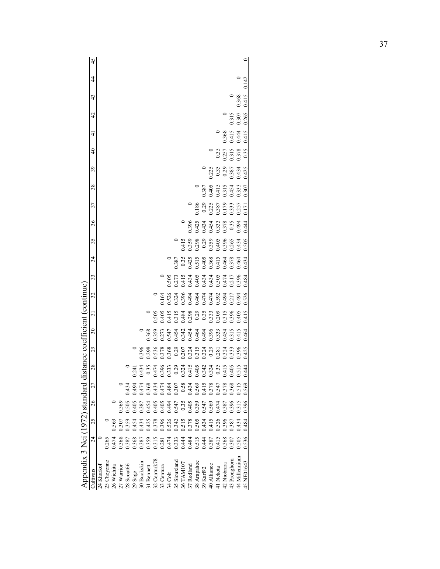|                                                                                                    | Appendix 3 Nei (1972) standard |       |       |                            | distance coefficient (continue)                    |       |         |       |       |       |       |       |                   |                  |                |                |       |                      |
|----------------------------------------------------------------------------------------------------|--------------------------------|-------|-------|----------------------------|----------------------------------------------------|-------|---------|-------|-------|-------|-------|-------|-------------------|------------------|----------------|----------------|-------|----------------------|
| 27<br>26<br>25<br>$\overline{24}$                                                                  |                                | 28    | 29    | $\overline{\phantom{0}}30$ | ಸ                                                  | 32    | 33      | 34    | 35    | 36    | 37    | 38    | 39                | $\frac{1}{4}$    | 4              | $\overline{4}$ | 43    | 45<br>$\overline{4}$ |
|                                                                                                    |                                |       |       |                            |                                                    |       |         |       |       |       |       |       |                   |                  |                |                |       |                      |
|                                                                                                    |                                |       |       |                            |                                                    |       |         |       |       |       |       |       |                   |                  |                |                |       |                      |
|                                                                                                    |                                |       |       |                            |                                                    |       |         |       |       |       |       |       |                   |                  |                |                |       |                      |
|                                                                                                    |                                |       |       |                            |                                                    |       |         |       |       |       |       |       |                   |                  |                |                |       |                      |
| $\begin{array}{c} 0 \\ 0.569 \\ 0.505 \\ 0.405 \\ 0.405 \\ \end{array}$<br>0.569<br>0.307<br>0.359 |                                |       |       |                            |                                                    |       |         |       |       |       |       |       |                   |                  |                |                |       |                      |
|                                                                                                    |                                | 0.24  |       |                            |                                                    |       |         |       |       |       |       |       |                   |                  |                |                |       |                      |
|                                                                                                    |                                | 0.434 | 0.396 |                            |                                                    |       |         |       |       |       |       |       |                   |                  |                |                |       |                      |
| 0.454<br>0.405<br>0.405<br>0.547<br>0.35<br>0.405                                                  |                                | 0.35  | 0.298 | 0.368                      |                                                    |       |         |       |       |       |       |       |                   |                  |                |                |       |                      |
|                                                                                                    |                                | 0.474 | 1.536 | 0.359                      | 0.505                                              |       |         |       |       |       |       |       |                   |                  |                |                |       |                      |
| 0.396                                                                                              |                                |       | 1.378 |                            |                                                    | 0.164 | $\circ$ |       |       |       |       |       |                   |                  |                |                |       |                      |
| 0.333                                                                                              |                                |       | 1.368 | 1.273<br>1.547             |                                                    | .526  | 0.505   |       |       |       |       |       |                   |                  |                |                |       |                      |
| 0.29                                                                                               |                                |       | 0.29  | 0.454                      |                                                    | 0.324 | 0.273   | 0.387 |       |       |       |       |                   |                  |                |                |       |                      |
| 0.324<br>0.415<br>0.405                                                                            |                                |       | 0.307 | 0.342                      |                                                    | 0.396 | 2.415   | 0.35  | 0.415 |       |       |       |                   |                  |                |                |       |                      |
|                                                                                                    |                                |       | 0.324 | 1454                       | 0.405<br>0.415<br>0.315<br>0.298<br>0.333<br>0.333 | 1.494 | 0.434   | 0.425 | 0.359 | 0.396 |       |       |                   |                  |                |                |       |                      |
| 0.359                                                                                              |                                |       | 0.315 | 0.464                      |                                                    | 1464  | 0.405   | 0.515 | 0.298 | 0.425 | 0.186 |       |                   |                  |                |                |       |                      |
| 0.547                                                                                              |                                | 0.342 | 0.324 | 1.494                      |                                                    | 0.474 | 0.434   | 0.405 | 0.29  | 0.434 | 0.29  | 0.387 |                   |                  |                |                |       |                      |
|                                                                                                    |                                | 0.324 |       | 0.396                      |                                                    | 0.474 | 0.434   | 0.368 | 1.359 | 0.454 | 0.225 | 0.405 | $\frac{0}{0.225}$ |                  |                |                |       |                      |
| 0.474<br>0.387                                                                                     |                                | 0.35  | 0.281 | 0.333                      | 0.209<br>0.315<br>0.396                            | 0.592 | 0.505   | 0.415 | 0.405 | 0.333 | 0.387 | 0.415 |                   | $\frac{0}{0.35}$ |                |                |       |                      |
|                                                                                                    |                                | 0.415 | 0.324 | 0.454                      |                                                    | 0.494 | 0.474   | 0.464 | 0.396 | 0.378 | 0.179 | 0.315 | 0.29              |                  | 0.368<br>0.415 |                |       |                      |
| 0.396                                                                                              |                                | 0.405 | 0.333 | 0.315                      |                                                    | 0.217 | 0.217   | 0.378 | 0.265 | 0.35  | 0.333 | 0.454 | 0.387             | 0.257<br>0.315   |                | 0.315          |       |                      |
| 0.515<br>0.315<br>0.505                                                                            |                                | 0.515 | 0.396 | 0.415                      | 0.405                                              | 0.494 | 0.396   | 0.464 | 0.434 | 0.494 | 0.257 | 0.333 | 0.434             | 0.378            | 0.444          | 0.307          | 0.368 |                      |
| 0.569<br>0.396<br>0.484<br>0.536                                                                   |                                | 0.444 | 0.425 | 0.464                      | 0.415                                              | 0.526 | 0.484   | 0.434 | 0.505 | 0.444 | 0.171 | 0.307 | 0.425             | 0.35             | 0.415          | 0.265          | 0.415 | 0.142                |
|                                                                                                    |                                |       |       |                            |                                                    |       |         |       |       |       |       |       |                   |                  |                |                |       |                      |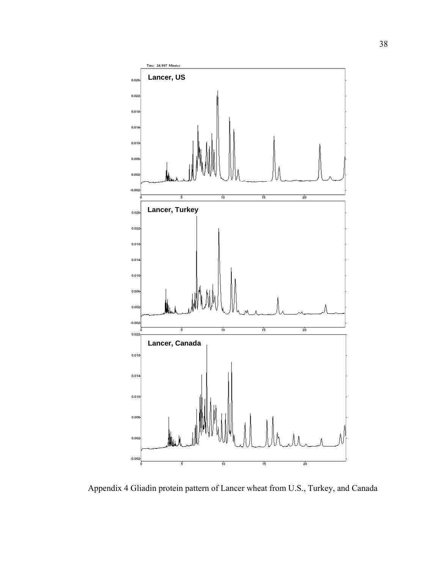

Appendix 4 Gliadin protein pattern of Lancer wheat from U.S., Turkey, and Canada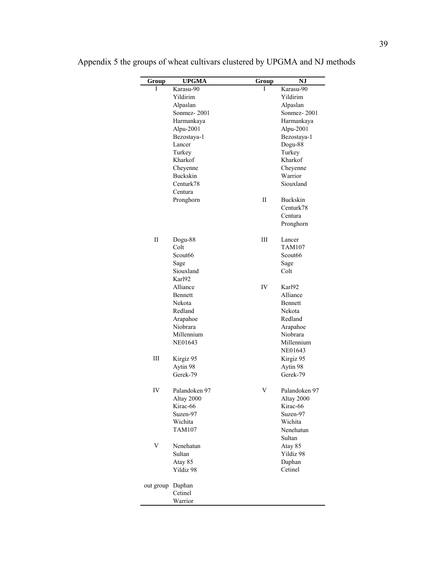| Group            | <b>UPGMA</b>  | Group | <b>NJ</b>           |
|------------------|---------------|-------|---------------------|
| I                | Karasu-90     | I     | Karasu-90           |
|                  | Yildirim      |       | Yildirim            |
|                  | Alpaslan      |       | Alpaslan            |
|                  | Sonmez-2001   |       | Sonmez-2001         |
|                  | Harmankaya    |       | Harmankaya          |
|                  | Alpu-2001     |       | Alpu-2001           |
|                  | Bezostaya-1   |       |                     |
|                  |               |       | Bezostaya-1         |
|                  | Lancer        |       | Dogu-88             |
|                  | Turkey        |       | Turkey              |
|                  | Kharkof       |       | Kharkof             |
|                  | Cheyenne      |       | Cheyenne            |
|                  | Buckskin      |       | Warrior             |
|                  | Centurk78     |       | Siouxland           |
|                  | Centura       |       |                     |
|                  | Pronghorn     | П     | Buckskin            |
|                  |               |       | Centurk78           |
|                  |               |       | Centura             |
|                  |               |       |                     |
|                  |               |       | Pronghorn           |
| П                | Dogu-88       | Ш     | Lancer              |
|                  | Colt          |       | <b>TAM107</b>       |
|                  | Scout66       |       | Scout <sub>66</sub> |
|                  | Sage          |       | Sage                |
|                  | Siouxland     |       | Colt                |
|                  | Karl92        |       |                     |
|                  |               |       |                     |
|                  | Alliance      | IV    | Karl92              |
|                  | Bennett       |       | Alliance            |
|                  | Nekota        |       | Bennett             |
|                  | Redland       |       | Nekota              |
|                  | Arapahoe      |       | Redland             |
|                  | Niobrara      |       | Arapahoe            |
|                  | Millennium    |       | Niobrara            |
|                  | NE01643       |       | Millennium          |
|                  |               |       | NE01643             |
| Ш                |               |       |                     |
|                  | Kirgiz 95     |       | Kirgiz 95           |
|                  | Aytin 98      |       | Aytin 98            |
|                  | Gerek-79      |       | Gerek-79            |
| IV               | Palandoken 97 | V     | Palandoken 97       |
|                  | Altay 2000    |       | Altay 2000          |
|                  | Kirac-66      |       | Kirac-66            |
|                  | Suzen-97      |       | Suzen-97            |
|                  | Wichita       |       | Wichita             |
|                  | <b>TAM107</b> |       |                     |
|                  |               |       | Nenehatun           |
|                  |               |       | Sultan              |
| V                | Nenehatun     |       | Atay 85             |
|                  | Sultan        |       | Yildiz 98           |
|                  | Atay 85       |       | Daphan              |
|                  | Yildiz 98     |       | Cetinel             |
| out group Daphan |               |       |                     |
|                  | Cetinel       |       |                     |
|                  |               |       |                     |

Appendix 5 the groups of wheat cultivars clustered by UPGMA and NJ methods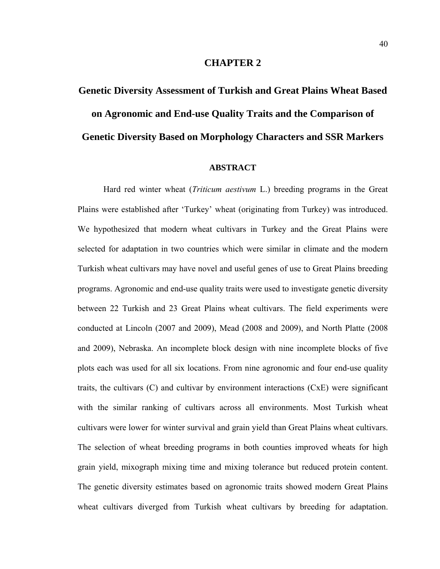### **CHAPTER 2**

# **Genetic Diversity Assessment of Turkish and Great Plains Wheat Based on Agronomic and End-use Quality Traits and the Comparison of Genetic Diversity Based on Morphology Characters and SSR Markers**

# **ABSTRACT**

 Hard red winter wheat (*Triticum aestivum* L.) breeding programs in the Great Plains were established after 'Turkey' wheat (originating from Turkey) was introduced. We hypothesized that modern wheat cultivars in Turkey and the Great Plains were selected for adaptation in two countries which were similar in climate and the modern Turkish wheat cultivars may have novel and useful genes of use to Great Plains breeding programs. Agronomic and end-use quality traits were used to investigate genetic diversity between 22 Turkish and 23 Great Plains wheat cultivars. The field experiments were conducted at Lincoln (2007 and 2009), Mead (2008 and 2009), and North Platte (2008 and 2009), Nebraska. An incomplete block design with nine incomplete blocks of five plots each was used for all six locations. From nine agronomic and four end-use quality traits, the cultivars (C) and cultivar by environment interactions (CxE) were significant with the similar ranking of cultivars across all environments. Most Turkish wheat cultivars were lower for winter survival and grain yield than Great Plains wheat cultivars. The selection of wheat breeding programs in both counties improved wheats for high grain yield, mixograph mixing time and mixing tolerance but reduced protein content. The genetic diversity estimates based on agronomic traits showed modern Great Plains wheat cultivars diverged from Turkish wheat cultivars by breeding for adaptation.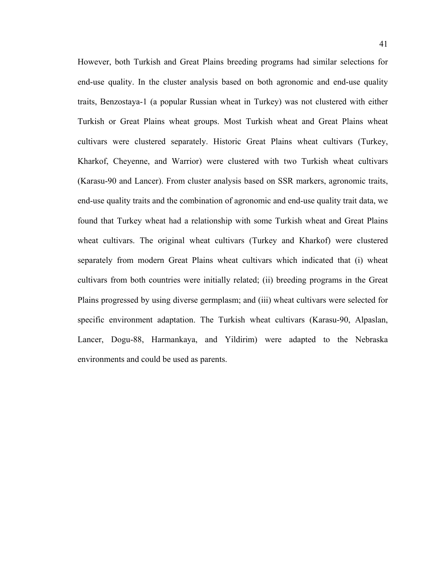However, both Turkish and Great Plains breeding programs had similar selections for end-use quality. In the cluster analysis based on both agronomic and end-use quality traits, Benzostaya-1 (a popular Russian wheat in Turkey) was not clustered with either Turkish or Great Plains wheat groups. Most Turkish wheat and Great Plains wheat cultivars were clustered separately. Historic Great Plains wheat cultivars (Turkey, Kharkof, Cheyenne, and Warrior) were clustered with two Turkish wheat cultivars (Karasu-90 and Lancer). From cluster analysis based on SSR markers, agronomic traits, end-use quality traits and the combination of agronomic and end-use quality trait data, we found that Turkey wheat had a relationship with some Turkish wheat and Great Plains wheat cultivars. The original wheat cultivars (Turkey and Kharkof) were clustered separately from modern Great Plains wheat cultivars which indicated that (i) wheat cultivars from both countries were initially related; (ii) breeding programs in the Great Plains progressed by using diverse germplasm; and (iii) wheat cultivars were selected for specific environment adaptation. The Turkish wheat cultivars (Karasu-90, Alpaslan, Lancer, Dogu-88, Harmankaya, and Yildirim) were adapted to the Nebraska environments and could be used as parents.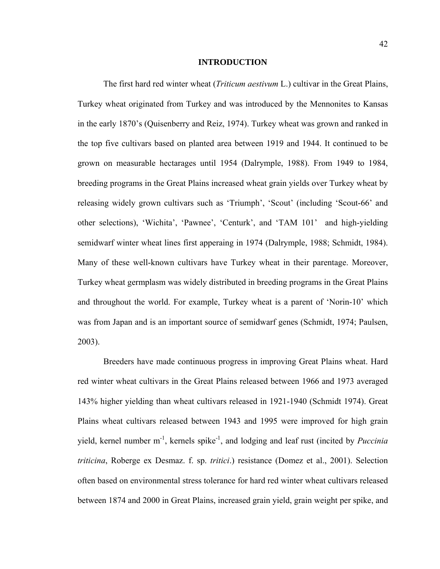#### **INTRODUCTION**

The first hard red winter wheat (*Triticum aestivum* L.) cultivar in the Great Plains, Turkey wheat originated from Turkey and was introduced by the Mennonites to Kansas in the early 1870's (Quisenberry and Reiz, 1974). Turkey wheat was grown and ranked in the top five cultivars based on planted area between 1919 and 1944. It continued to be grown on measurable hectarages until 1954 (Dalrymple, 1988). From 1949 to 1984, breeding programs in the Great Plains increased wheat grain yields over Turkey wheat by releasing widely grown cultivars such as 'Triumph', 'Scout' (including 'Scout-66' and other selections), 'Wichita', 'Pawnee', 'Centurk', and 'TAM 101' and high-yielding semidwarf winter wheat lines first apperaing in 1974 (Dalrymple, 1988; Schmidt, 1984). Many of these well-known cultivars have Turkey wheat in their parentage. Moreover, Turkey wheat germplasm was widely distributed in breeding programs in the Great Plains and throughout the world. For example, Turkey wheat is a parent of 'Norin-10' which was from Japan and is an important source of semidwarf genes (Schmidt, 1974; Paulsen, 2003).

Breeders have made continuous progress in improving Great Plains wheat. Hard red winter wheat cultivars in the Great Plains released between 1966 and 1973 averaged 143% higher yielding than wheat cultivars released in 1921-1940 (Schmidt 1974). Great Plains wheat cultivars released between 1943 and 1995 were improved for high grain yield, kernel number m<sup>-1</sup>, kernels spike<sup>-1</sup>, and lodging and leaf rust (incited by *Puccinia triticina*, Roberge ex Desmaz. f. sp. *tritici*.) resistance (Domez et al., 2001). Selection often based on environmental stress tolerance for hard red winter wheat cultivars released between 1874 and 2000 in Great Plains, increased grain yield, grain weight per spike, and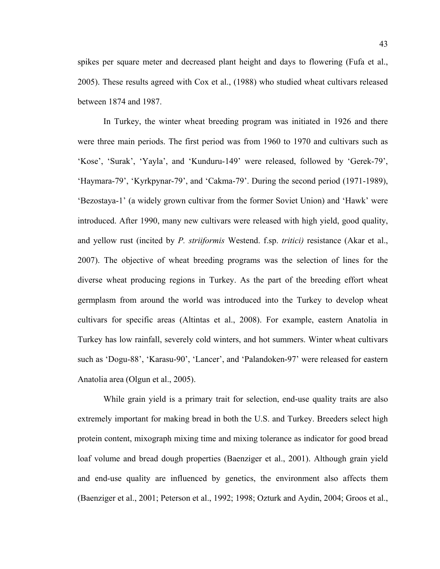spikes per square meter and decreased plant height and days to flowering (Fufa et al., 2005). These results agreed with Cox et al., (1988) who studied wheat cultivars released between 1874 and 1987.

In Turkey, the winter wheat breeding program was initiated in 1926 and there were three main periods. The first period was from 1960 to 1970 and cultivars such as 'Kose', 'Surak', 'Yayla', and 'Kunduru-149' were released, followed by 'Gerek-79', 'Haymara-79', 'Kyrkpynar-79', and 'Cakma-79'. During the second period (1971-1989), 'Bezostaya-1' (a widely grown cultivar from the former Soviet Union) and 'Hawk' were introduced. After 1990, many new cultivars were released with high yield, good quality, and yellow rust (incited by *P. striiformis* Westend. f.sp. *tritici)* resistance (Akar et al., 2007). The objective of wheat breeding programs was the selection of lines for the diverse wheat producing regions in Turkey. As the part of the breeding effort wheat germplasm from around the world was introduced into the Turkey to develop wheat cultivars for specific areas (Altintas et al., 2008). For example, eastern Anatolia in Turkey has low rainfall, severely cold winters, and hot summers. Winter wheat cultivars such as 'Dogu-88', 'Karasu-90', 'Lancer', and 'Palandoken-97' were released for eastern Anatolia area (Olgun et al., 2005).

While grain yield is a primary trait for selection, end-use quality traits are also extremely important for making bread in both the U.S. and Turkey. Breeders select high protein content, mixograph mixing time and mixing tolerance as indicator for good bread loaf volume and bread dough properties (Baenziger et al., 2001). Although grain yield and end-use quality are influenced by genetics, the environment also affects them (Baenziger et al., 2001; Peterson et al., 1992; 1998; Ozturk and Aydin, 2004; Groos et al.,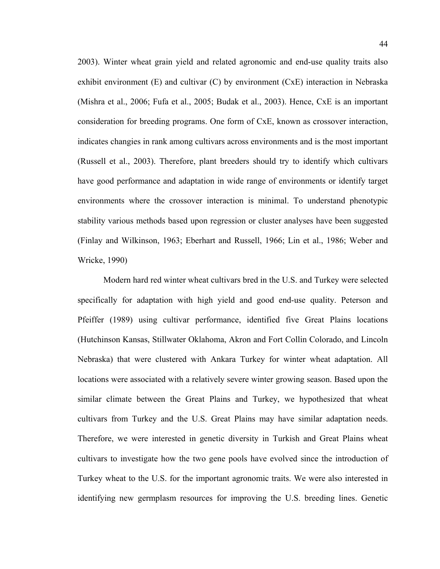2003). Winter wheat grain yield and related agronomic and end-use quality traits also exhibit environment (E) and cultivar (C) by environment (CxE) interaction in Nebraska (Mishra et al., 2006; Fufa et al., 2005; Budak et al., 2003). Hence, CxE is an important consideration for breeding programs. One form of CxE, known as crossover interaction, indicates changies in rank among cultivars across environments and is the most important (Russell et al., 2003). Therefore, plant breeders should try to identify which cultivars have good performance and adaptation in wide range of environments or identify target environments where the crossover interaction is minimal. To understand phenotypic stability various methods based upon regression or cluster analyses have been suggested (Finlay and Wilkinson, 1963; Eberhart and Russell, 1966; Lin et al., 1986; Weber and Wricke, 1990)

Modern hard red winter wheat cultivars bred in the U.S. and Turkey were selected specifically for adaptation with high yield and good end-use quality. Peterson and Pfeiffer (1989) using cultivar performance, identified five Great Plains locations (Hutchinson Kansas, Stillwater Oklahoma, Akron and Fort Collin Colorado, and Lincoln Nebraska) that were clustered with Ankara Turkey for winter wheat adaptation. All locations were associated with a relatively severe winter growing season. Based upon the similar climate between the Great Plains and Turkey, we hypothesized that wheat cultivars from Turkey and the U.S. Great Plains may have similar adaptation needs. Therefore, we were interested in genetic diversity in Turkish and Great Plains wheat cultivars to investigate how the two gene pools have evolved since the introduction of Turkey wheat to the U.S. for the important agronomic traits. We were also interested in identifying new germplasm resources for improving the U.S. breeding lines. Genetic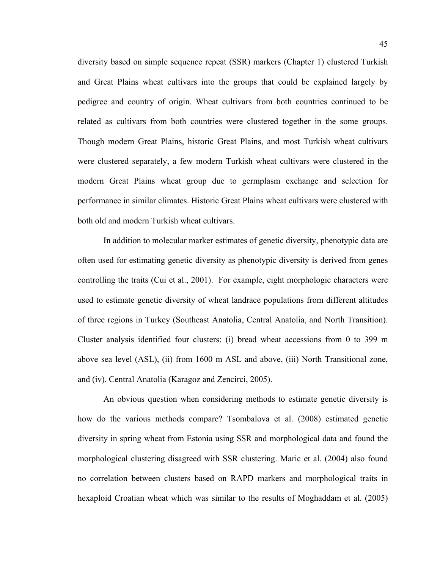diversity based on simple sequence repeat (SSR) markers (Chapter 1) clustered Turkish and Great Plains wheat cultivars into the groups that could be explained largely by pedigree and country of origin. Wheat cultivars from both countries continued to be related as cultivars from both countries were clustered together in the some groups. Though modern Great Plains, historic Great Plains, and most Turkish wheat cultivars were clustered separately, a few modern Turkish wheat cultivars were clustered in the modern Great Plains wheat group due to germplasm exchange and selection for performance in similar climates. Historic Great Plains wheat cultivars were clustered with both old and modern Turkish wheat cultivars.

In addition to molecular marker estimates of genetic diversity, phenotypic data are often used for estimating genetic diversity as phenotypic diversity is derived from genes controlling the traits (Cui et al., 2001). For example, eight morphologic characters were used to estimate genetic diversity of wheat landrace populations from different altitudes of three regions in Turkey (Southeast Anatolia, Central Anatolia, and North Transition). Cluster analysis identified four clusters: (i) bread wheat accessions from 0 to 399 m above sea level (ASL), (ii) from 1600 m ASL and above, (iii) North Transitional zone, and (iv). Central Anatolia (Karagoz and Zencirci, 2005).

An obvious question when considering methods to estimate genetic diversity is how do the various methods compare? Tsombalova et al. (2008) estimated genetic diversity in spring wheat from Estonia using SSR and morphological data and found the morphological clustering disagreed with SSR clustering. Maric et al. (2004) also found no correlation between clusters based on RAPD markers and morphological traits in hexaploid Croatian wheat which was similar to the results of Moghaddam et al. (2005)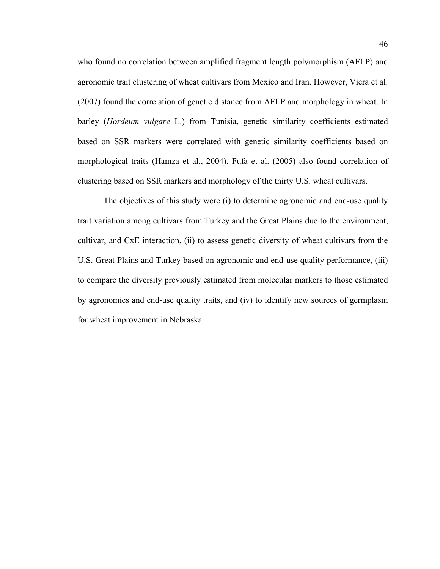who found no correlation between amplified fragment length polymorphism (AFLP) and agronomic trait clustering of wheat cultivars from Mexico and Iran. However, Viera et al. (2007) found the correlation of genetic distance from AFLP and morphology in wheat. In barley (*Hordeum vulgare* L.) from Tunisia, genetic similarity coefficients estimated based on SSR markers were correlated with genetic similarity coefficients based on morphological traits (Hamza et al., 2004). Fufa et al. (2005) also found correlation of clustering based on SSR markers and morphology of the thirty U.S. wheat cultivars.

The objectives of this study were (i) to determine agronomic and end-use quality trait variation among cultivars from Turkey and the Great Plains due to the environment, cultivar, and CxE interaction, (ii) to assess genetic diversity of wheat cultivars from the U.S. Great Plains and Turkey based on agronomic and end-use quality performance, (iii) to compare the diversity previously estimated from molecular markers to those estimated by agronomics and end-use quality traits, and (iv) to identify new sources of germplasm for wheat improvement in Nebraska.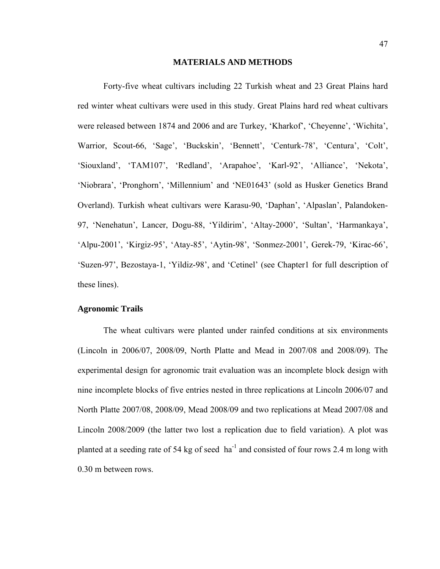#### **MATERIALS AND METHODS**

Forty-five wheat cultivars including 22 Turkish wheat and 23 Great Plains hard red winter wheat cultivars were used in this study. Great Plains hard red wheat cultivars were released between 1874 and 2006 and are Turkey, 'Kharkof', 'Cheyenne', 'Wichita', Warrior, Scout-66, 'Sage', 'Buckskin', 'Bennett', 'Centurk-78', 'Centura', 'Colt', 'Siouxland', 'TAM107', 'Redland', 'Arapahoe', 'Karl-92', 'Alliance', 'Nekota', 'Niobrara', 'Pronghorn', 'Millennium' and 'NE01643' (sold as Husker Genetics Brand Overland). Turkish wheat cultivars were Karasu-90, 'Daphan', 'Alpaslan', Palandoken-97, 'Nenehatun', Lancer, Dogu-88, 'Yildirim', 'Altay-2000', 'Sultan', 'Harmankaya', 'Alpu-2001', 'Kirgiz-95', 'Atay-85', 'Aytin-98', 'Sonmez-2001', Gerek-79, 'Kirac-66', 'Suzen-97', Bezostaya-1, 'Yildiz-98', and 'Cetinel' (see Chapter1 for full description of these lines).

## **Agronomic Trails**

The wheat cultivars were planted under rainfed conditions at six environments (Lincoln in 2006/07, 2008/09, North Platte and Mead in 2007/08 and 2008/09). The experimental design for agronomic trait evaluation was an incomplete block design with nine incomplete blocks of five entries nested in three replications at Lincoln 2006/07 and North Platte 2007/08, 2008/09, Mead 2008/09 and two replications at Mead 2007/08 and Lincoln 2008/2009 (the latter two lost a replication due to field variation). A plot was planted at a seeding rate of 54 kg of seed  $ha^{-1}$  and consisted of four rows 2.4 m long with 0.30 m between rows.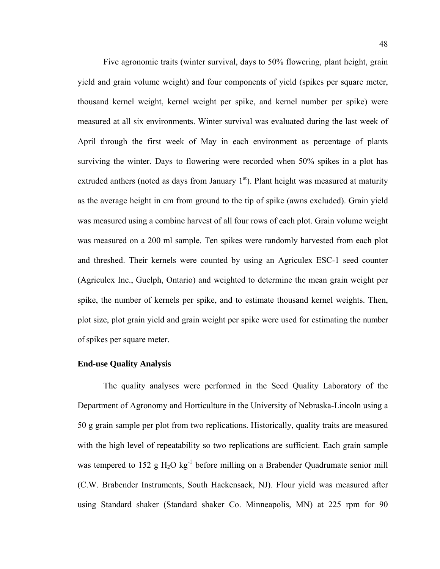Five agronomic traits (winter survival, days to 50% flowering, plant height, grain yield and grain volume weight) and four components of yield (spikes per square meter, thousand kernel weight, kernel weight per spike, and kernel number per spike) were measured at all six environments. Winter survival was evaluated during the last week of April through the first week of May in each environment as percentage of plants surviving the winter. Days to flowering were recorded when 50% spikes in a plot has extruded anthers (noted as days from January  $1<sup>st</sup>$ ). Plant height was measured at maturity as the average height in cm from ground to the tip of spike (awns excluded). Grain yield was measured using a combine harvest of all four rows of each plot. Grain volume weight was measured on a 200 ml sample. Ten spikes were randomly harvested from each plot and threshed. Their kernels were counted by using an Agriculex ESC-1 seed counter (Agriculex Inc., Guelph, Ontario) and weighted to determine the mean grain weight per spike, the number of kernels per spike, and to estimate thousand kernel weights. Then, plot size, plot grain yield and grain weight per spike were used for estimating the number of spikes per square meter.

## **End-use Quality Analysis**

The quality analyses were performed in the Seed Quality Laboratory of the Department of Agronomy and Horticulture in the University of Nebraska-Lincoln using a 50 g grain sample per plot from two replications. Historically, quality traits are measured with the high level of repeatability so two replications are sufficient. Each grain sample was tempered to 152 g  $H_2O$  kg<sup>-1</sup> before milling on a Brabender Quadrumate senior mill (C.W. Brabender Instruments, South Hackensack, NJ). Flour yield was measured after using Standard shaker (Standard shaker Co. Minneapolis, MN) at 225 rpm for 90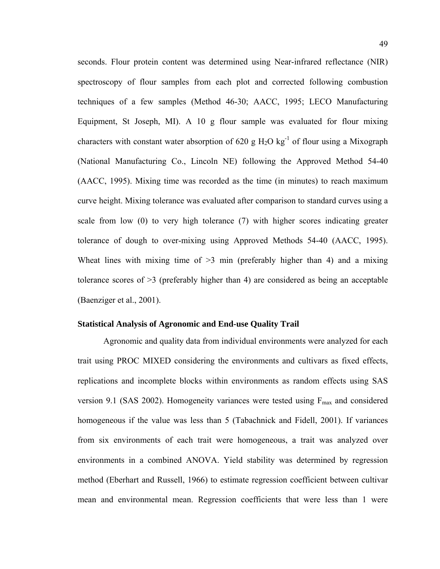seconds. Flour protein content was determined using Near-infrared reflectance (NIR) spectroscopy of flour samples from each plot and corrected following combustion techniques of a few samples (Method 46-30; AACC, 1995; LECO Manufacturing Equipment, St Joseph, MI). A 10 g flour sample was evaluated for flour mixing characters with constant water absorption of 620 g  $H_2O$  kg<sup>-1</sup> of flour using a Mixograph (National Manufacturing Co., Lincoln NE) following the Approved Method 54-40 (AACC, 1995). Mixing time was recorded as the time (in minutes) to reach maximum curve height. Mixing tolerance was evaluated after comparison to standard curves using a scale from low (0) to very high tolerance (7) with higher scores indicating greater tolerance of dough to over-mixing using Approved Methods 54-40 (AACC, 1995). Wheat lines with mixing time of  $\geq$ 3 min (preferably higher than 4) and a mixing tolerance scores of >3 (preferably higher than 4) are considered as being an acceptable (Baenziger et al., 2001).

# **Statistical Analysis of Agronomic and End-use Quality Trail**

Agronomic and quality data from individual environments were analyzed for each trait using PROC MIXED considering the environments and cultivars as fixed effects, replications and incomplete blocks within environments as random effects using SAS version 9.1 (SAS 2002). Homogeneity variances were tested using  $F_{\text{max}}$  and considered homogeneous if the value was less than 5 (Tabachnick and Fidell, 2001). If variances from six environments of each trait were homogeneous, a trait was analyzed over environments in a combined ANOVA. Yield stability was determined by regression method (Eberhart and Russell, 1966) to estimate regression coefficient between cultivar mean and environmental mean. Regression coefficients that were less than 1 were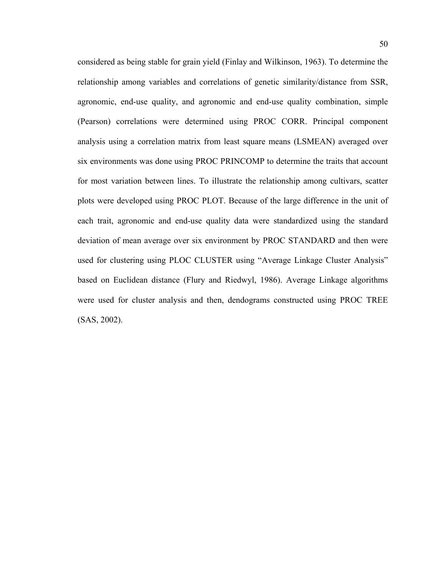considered as being stable for grain yield (Finlay and Wilkinson, 1963). To determine the relationship among variables and correlations of genetic similarity/distance from SSR, agronomic, end-use quality, and agronomic and end-use quality combination, simple (Pearson) correlations were determined using PROC CORR. Principal component analysis using a correlation matrix from least square means (LSMEAN) averaged over six environments was done using PROC PRINCOMP to determine the traits that account for most variation between lines. To illustrate the relationship among cultivars, scatter plots were developed using PROC PLOT. Because of the large difference in the unit of each trait, agronomic and end-use quality data were standardized using the standard deviation of mean average over six environment by PROC STANDARD and then were used for clustering using PLOC CLUSTER using "Average Linkage Cluster Analysis" based on Euclidean distance (Flury and Riedwyl, 1986). Average Linkage algorithms were used for cluster analysis and then, dendograms constructed using PROC TREE (SAS, 2002).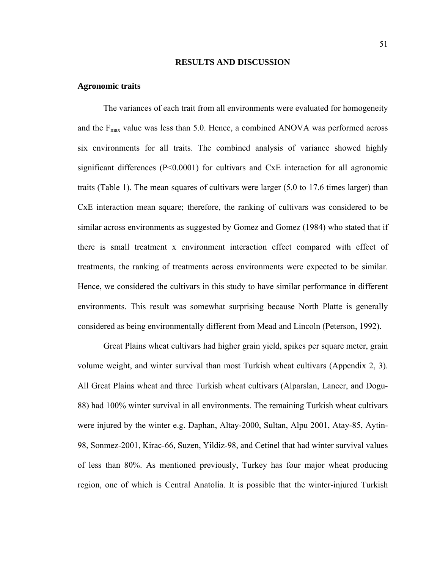#### **RESULTS AND DISCUSSION**

#### **Agronomic traits**

The variances of each trait from all environments were evaluated for homogeneity and the  $F_{\text{max}}$  value was less than 5.0. Hence, a combined ANOVA was performed across six environments for all traits. The combined analysis of variance showed highly significant differences (P<0.0001) for cultivars and CxE interaction for all agronomic traits (Table 1). The mean squares of cultivars were larger (5.0 to 17.6 times larger) than CxE interaction mean square; therefore, the ranking of cultivars was considered to be similar across environments as suggested by Gomez and Gomez (1984) who stated that if there is small treatment x environment interaction effect compared with effect of treatments, the ranking of treatments across environments were expected to be similar. Hence, we considered the cultivars in this study to have similar performance in different environments. This result was somewhat surprising because North Platte is generally considered as being environmentally different from Mead and Lincoln (Peterson, 1992).

Great Plains wheat cultivars had higher grain yield, spikes per square meter, grain volume weight, and winter survival than most Turkish wheat cultivars (Appendix 2, 3). All Great Plains wheat and three Turkish wheat cultivars (Alparslan, Lancer, and Dogu-88) had 100% winter survival in all environments. The remaining Turkish wheat cultivars were injured by the winter e.g. Daphan, Altay-2000, Sultan, Alpu 2001, Atay-85, Aytin-98, Sonmez-2001, Kirac-66, Suzen, Yildiz-98, and Cetinel that had winter survival values of less than 80%. As mentioned previously, Turkey has four major wheat producing region, one of which is Central Anatolia. It is possible that the winter-injured Turkish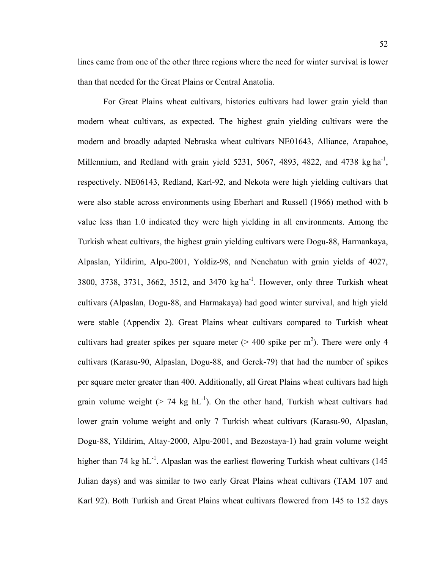lines came from one of the other three regions where the need for winter survival is lower than that needed for the Great Plains or Central Anatolia.

For Great Plains wheat cultivars, historics cultivars had lower grain yield than modern wheat cultivars, as expected. The highest grain yielding cultivars were the modern and broadly adapted Nebraska wheat cultivars NE01643, Alliance, Arapahoe, Millennium, and Redland with grain yield 5231, 5067, 4893, 4822, and 4738 kg  $\text{ha}^{-1}$ , respectively. NE06143, Redland, Karl-92, and Nekota were high yielding cultivars that were also stable across environments using Eberhart and Russell (1966) method with b value less than 1.0 indicated they were high yielding in all environments. Among the Turkish wheat cultivars, the highest grain yielding cultivars were Dogu-88, Harmankaya, Alpaslan, Yildirim, Alpu-2001, Yoldiz-98, and Nenehatun with grain yields of 4027, 3800, 3738, 3731, 3662, 3512, and 3470 kg ha<sup>-1</sup>. However, only three Turkish wheat cultivars (Alpaslan, Dogu-88, and Harmakaya) had good winter survival, and high yield were stable (Appendix 2). Great Plains wheat cultivars compared to Turkish wheat cultivars had greater spikes per square meter ( $> 400$  spike per m<sup>2</sup>). There were only 4 cultivars (Karasu-90, Alpaslan, Dogu-88, and Gerek-79) that had the number of spikes per square meter greater than 400. Additionally, all Great Plains wheat cultivars had high grain volume weight ( $> 74$  kg hL<sup>-1</sup>). On the other hand, Turkish wheat cultivars had lower grain volume weight and only 7 Turkish wheat cultivars (Karasu-90, Alpaslan, Dogu-88, Yildirim, Altay-2000, Alpu-2001, and Bezostaya-1) had grain volume weight higher than 74 kg  $hL^{-1}$ . Alpaslan was the earliest flowering Turkish wheat cultivars (145) Julian days) and was similar to two early Great Plains wheat cultivars (TAM 107 and Karl 92). Both Turkish and Great Plains wheat cultivars flowered from 145 to 152 days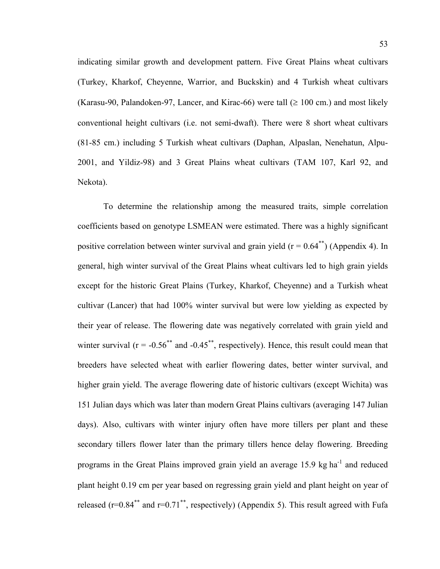indicating similar growth and development pattern. Five Great Plains wheat cultivars (Turkey, Kharkof, Cheyenne, Warrior, and Buckskin) and 4 Turkish wheat cultivars (Karasu-90, Palandoken-97, Lancer, and Kirac-66) were tall ( $\geq 100$  cm.) and most likely conventional height cultivars (i.e. not semi-dwaft). There were 8 short wheat cultivars (81-85 cm.) including 5 Turkish wheat cultivars (Daphan, Alpaslan, Nenehatun, Alpu-2001, and Yildiz-98) and 3 Great Plains wheat cultivars (TAM 107, Karl 92, and Nekota).

 To determine the relationship among the measured traits, simple correlation coefficients based on genotype LSMEAN were estimated. There was a highly significant positive correlation between winter survival and grain yield ( $r = 0.64^{**}$ ) (Appendix 4). In general, high winter survival of the Great Plains wheat cultivars led to high grain yields except for the historic Great Plains (Turkey, Kharkof, Cheyenne) and a Turkish wheat cultivar (Lancer) that had 100% winter survival but were low yielding as expected by their year of release. The flowering date was negatively correlated with grain yield and winter survival ( $r = -0.56^{**}$  and  $-0.45^{**}$ , respectively). Hence, this result could mean that breeders have selected wheat with earlier flowering dates, better winter survival, and higher grain yield. The average flowering date of historic cultivars (except Wichita) was 151 Julian days which was later than modern Great Plains cultivars (averaging 147 Julian days). Also, cultivars with winter injury often have more tillers per plant and these secondary tillers flower later than the primary tillers hence delay flowering. Breeding programs in the Great Plains improved grain yield an average 15.9 kg ha<sup>-1</sup> and reduced plant height 0.19 cm per year based on regressing grain yield and plant height on year of released ( $r=0.84^{**}$  and  $r=0.71^{**}$ , respectively) (Appendix 5). This result agreed with Fufa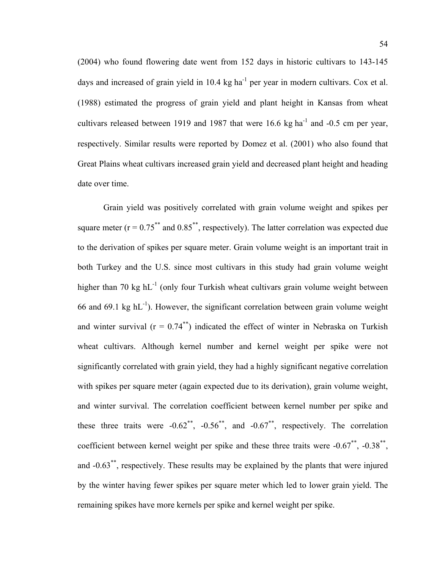(2004) who found flowering date went from 152 days in historic cultivars to 143-145 days and increased of grain yield in  $10.4 \text{ kg ha}^{-1}$  per year in modern cultivars. Cox et al. (1988) estimated the progress of grain yield and plant height in Kansas from wheat cultivars released between 1919 and 1987 that were 16.6 kg ha<sup>-1</sup> and -0.5 cm per year, respectively. Similar results were reported by Domez et al. (2001) who also found that Great Plains wheat cultivars increased grain yield and decreased plant height and heading date over time.

Grain yield was positively correlated with grain volume weight and spikes per square meter ( $r = 0.75^{**}$  and  $0.85^{**}$ , respectively). The latter correlation was expected due to the derivation of spikes per square meter. Grain volume weight is an important trait in both Turkey and the U.S. since most cultivars in this study had grain volume weight higher than 70 kg  $hL^{-1}$  (only four Turkish wheat cultivars grain volume weight between 66 and 69.1 kg  $hL^{-1}$ ). However, the significant correlation between grain volume weight and winter survival ( $r = 0.74$ <sup>\*\*</sup>) indicated the effect of winter in Nebraska on Turkish wheat cultivars. Although kernel number and kernel weight per spike were not significantly correlated with grain yield, they had a highly significant negative correlation with spikes per square meter (again expected due to its derivation), grain volume weight, and winter survival. The correlation coefficient between kernel number per spike and these three traits were  $-0.62^{**}$ ,  $-0.56^{**}$ , and  $-0.67^{**}$ , respectively. The correlation coefficient between kernel weight per spike and these three traits were -0.67\*\*, -0.38\*\*, and -0.63\*\*, respectively. These results may be explained by the plants that were injured by the winter having fewer spikes per square meter which led to lower grain yield. The remaining spikes have more kernels per spike and kernel weight per spike.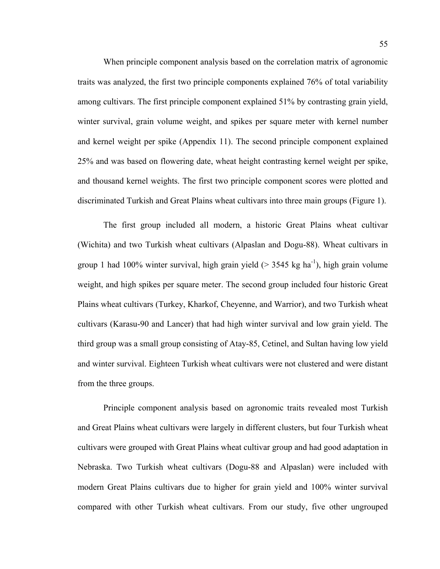When principle component analysis based on the correlation matrix of agronomic traits was analyzed, the first two principle components explained 76% of total variability among cultivars. The first principle component explained 51% by contrasting grain yield, winter survival, grain volume weight, and spikes per square meter with kernel number and kernel weight per spike (Appendix 11). The second principle component explained 25% and was based on flowering date, wheat height contrasting kernel weight per spike, and thousand kernel weights. The first two principle component scores were plotted and discriminated Turkish and Great Plains wheat cultivars into three main groups (Figure 1).

The first group included all modern, a historic Great Plains wheat cultivar (Wichita) and two Turkish wheat cultivars (Alpaslan and Dogu-88). Wheat cultivars in group 1 had 100% winter survival, high grain yield ( $>$  3545 kg ha<sup>-1</sup>), high grain volume weight, and high spikes per square meter. The second group included four historic Great Plains wheat cultivars (Turkey, Kharkof, Cheyenne, and Warrior), and two Turkish wheat cultivars (Karasu-90 and Lancer) that had high winter survival and low grain yield. The third group was a small group consisting of Atay-85, Cetinel, and Sultan having low yield and winter survival. Eighteen Turkish wheat cultivars were not clustered and were distant from the three groups.

Principle component analysis based on agronomic traits revealed most Turkish and Great Plains wheat cultivars were largely in different clusters, but four Turkish wheat cultivars were grouped with Great Plains wheat cultivar group and had good adaptation in Nebraska. Two Turkish wheat cultivars (Dogu-88 and Alpaslan) were included with modern Great Plains cultivars due to higher for grain yield and 100% winter survival compared with other Turkish wheat cultivars. From our study, five other ungrouped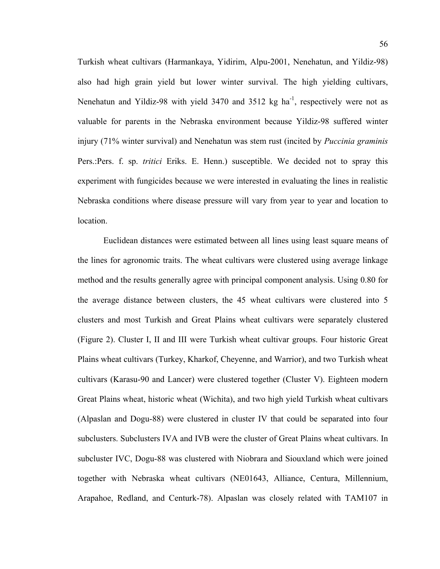Turkish wheat cultivars (Harmankaya, Yidirim, Alpu-2001, Nenehatun, and Yildiz-98) also had high grain yield but lower winter survival. The high yielding cultivars, Nenehatun and Yildiz-98 with yield 3470 and 3512 kg ha<sup>-1</sup>, respectively were not as valuable for parents in the Nebraska environment because Yildiz-98 suffered winter injury (71% winter survival) and Nenehatun was stem rust (incited by *Puccinia graminis* Pers.:Pers. f. sp. *tritici* Eriks. E. Henn.) susceptible. We decided not to spray this experiment with fungicides because we were interested in evaluating the lines in realistic Nebraska conditions where disease pressure will vary from year to year and location to location.

 Euclidean distances were estimated between all lines using least square means of the lines for agronomic traits. The wheat cultivars were clustered using average linkage method and the results generally agree with principal component analysis. Using 0.80 for the average distance between clusters, the 45 wheat cultivars were clustered into 5 clusters and most Turkish and Great Plains wheat cultivars were separately clustered (Figure 2). Cluster I, II and III were Turkish wheat cultivar groups. Four historic Great Plains wheat cultivars (Turkey, Kharkof, Cheyenne, and Warrior), and two Turkish wheat cultivars (Karasu-90 and Lancer) were clustered together (Cluster V). Eighteen modern Great Plains wheat, historic wheat (Wichita), and two high yield Turkish wheat cultivars (Alpaslan and Dogu-88) were clustered in cluster IV that could be separated into four subclusters. Subclusters IVA and IVB were the cluster of Great Plains wheat cultivars. In subcluster IVC, Dogu-88 was clustered with Niobrara and Siouxland which were joined together with Nebraska wheat cultivars (NE01643, Alliance, Centura, Millennium, Arapahoe, Redland, and Centurk-78). Alpaslan was closely related with TAM107 in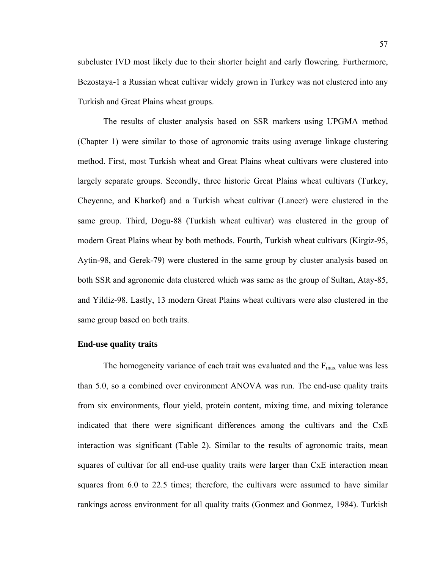subcluster IVD most likely due to their shorter height and early flowering. Furthermore, Bezostaya-1 a Russian wheat cultivar widely grown in Turkey was not clustered into any Turkish and Great Plains wheat groups.

The results of cluster analysis based on SSR markers using UPGMA method (Chapter 1) were similar to those of agronomic traits using average linkage clustering method. First, most Turkish wheat and Great Plains wheat cultivars were clustered into largely separate groups. Secondly, three historic Great Plains wheat cultivars (Turkey, Cheyenne, and Kharkof) and a Turkish wheat cultivar (Lancer) were clustered in the same group. Third, Dogu-88 (Turkish wheat cultivar) was clustered in the group of modern Great Plains wheat by both methods. Fourth, Turkish wheat cultivars (Kirgiz-95, Aytin-98, and Gerek-79) were clustered in the same group by cluster analysis based on both SSR and agronomic data clustered which was same as the group of Sultan, Atay-85, and Yildiz-98. Lastly, 13 modern Great Plains wheat cultivars were also clustered in the same group based on both traits.

## **End-use quality traits**

The homogeneity variance of each trait was evaluated and the  $F_{\text{max}}$  value was less than 5.0, so a combined over environment ANOVA was run. The end-use quality traits from six environments, flour yield, protein content, mixing time, and mixing tolerance indicated that there were significant differences among the cultivars and the CxE interaction was significant (Table 2). Similar to the results of agronomic traits, mean squares of cultivar for all end-use quality traits were larger than CxE interaction mean squares from 6.0 to 22.5 times; therefore, the cultivars were assumed to have similar rankings across environment for all quality traits (Gonmez and Gonmez, 1984). Turkish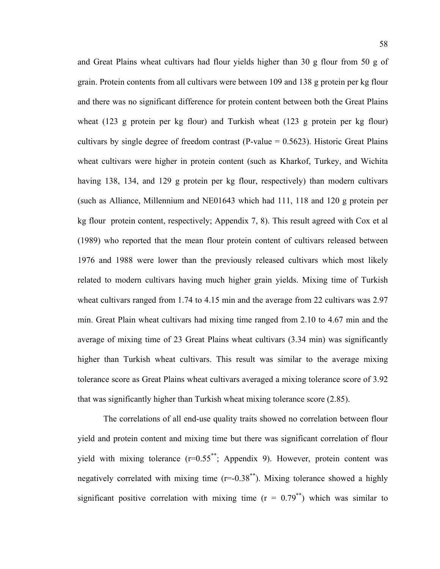and Great Plains wheat cultivars had flour yields higher than 30 g flour from 50 g of grain. Protein contents from all cultivars were between 109 and 138 g protein per kg flour and there was no significant difference for protein content between both the Great Plains wheat (123 g protein per kg flour) and Turkish wheat (123 g protein per kg flour) cultivars by single degree of freedom contrast (P-value  $= 0.5623$ ). Historic Great Plains wheat cultivars were higher in protein content (such as Kharkof, Turkey, and Wichita having 138, 134, and 129 g protein per kg flour, respectively) than modern cultivars (such as Alliance, Millennium and NE01643 which had 111, 118 and 120 g protein per kg flour protein content, respectively; Appendix 7, 8). This result agreed with Cox et al (1989) who reported that the mean flour protein content of cultivars released between 1976 and 1988 were lower than the previously released cultivars which most likely related to modern cultivars having much higher grain yields. Mixing time of Turkish wheat cultivars ranged from 1.74 to 4.15 min and the average from 22 cultivars was 2.97 min. Great Plain wheat cultivars had mixing time ranged from 2.10 to 4.67 min and the average of mixing time of 23 Great Plains wheat cultivars (3.34 min) was significantly higher than Turkish wheat cultivars. This result was similar to the average mixing tolerance score as Great Plains wheat cultivars averaged a mixing tolerance score of 3.92 that was significantly higher than Turkish wheat mixing tolerance score (2.85).

The correlations of all end-use quality traits showed no correlation between flour yield and protein content and mixing time but there was significant correlation of flour yield with mixing tolerance  $(r=0.55^{**})$ ; Appendix 9). However, protein content was negatively correlated with mixing time  $(r=-0.38^{**})$ . Mixing tolerance showed a highly significant positive correlation with mixing time  $(r = 0.79^{**})$  which was similar to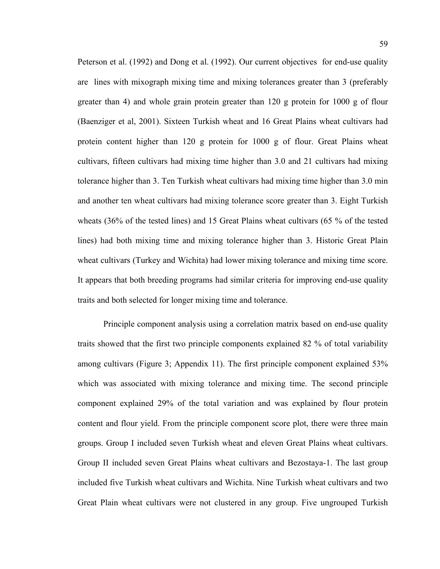Peterson et al. (1992) and Dong et al. (1992). Our current objectives for end-use quality are lines with mixograph mixing time and mixing tolerances greater than 3 (preferably greater than 4) and whole grain protein greater than 120 g protein for 1000 g of flour (Baenziger et al, 2001). Sixteen Turkish wheat and 16 Great Plains wheat cultivars had protein content higher than 120 g protein for 1000 g of flour. Great Plains wheat cultivars, fifteen cultivars had mixing time higher than 3.0 and 21 cultivars had mixing tolerance higher than 3. Ten Turkish wheat cultivars had mixing time higher than 3.0 min and another ten wheat cultivars had mixing tolerance score greater than 3. Eight Turkish wheats (36% of the tested lines) and 15 Great Plains wheat cultivars (65 % of the tested lines) had both mixing time and mixing tolerance higher than 3. Historic Great Plain wheat cultivars (Turkey and Wichita) had lower mixing tolerance and mixing time score. It appears that both breeding programs had similar criteria for improving end-use quality traits and both selected for longer mixing time and tolerance.

Principle component analysis using a correlation matrix based on end-use quality traits showed that the first two principle components explained 82 % of total variability among cultivars (Figure 3; Appendix 11). The first principle component explained 53% which was associated with mixing tolerance and mixing time. The second principle component explained 29% of the total variation and was explained by flour protein content and flour yield. From the principle component score plot, there were three main groups. Group I included seven Turkish wheat and eleven Great Plains wheat cultivars. Group II included seven Great Plains wheat cultivars and Bezostaya-1. The last group included five Turkish wheat cultivars and Wichita. Nine Turkish wheat cultivars and two Great Plain wheat cultivars were not clustered in any group. Five ungrouped Turkish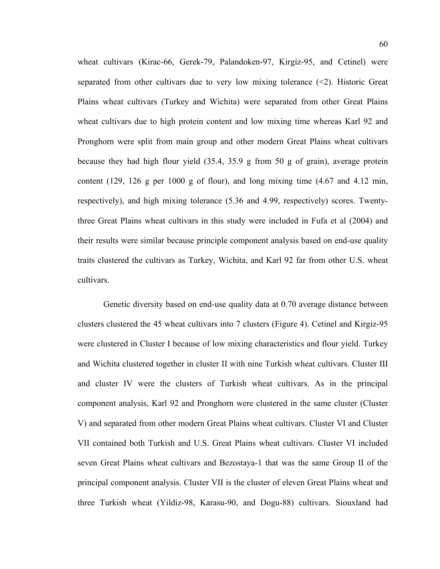wheat cultivars (Kirac-66, Gerek-79, Palandoken-97, Kirgiz-95, and Cetinel) were separated from other cultivars due to very low mixing tolerance  $(\leq 2)$ . Historic Great Plains wheat cultivars (Turkey and Wichita) were separated from other Great Plains wheat cultivars due to high protein content and low mixing time whereas Karl 92 and Pronghorn were split from main group and other modern Great Plains wheat cultivars because they had high flour yield (35.4, 35.9 g from 50 g of grain), average protein content (129, 126 g per 1000 g of flour), and long mixing time (4.67 and 4.12 min, respectively), and high mixing tolerance (5.36 and 4.99, respectively) scores. Twentythree Great Plains wheat cultivars in this study were included in Fufa et al (2004) and their results were similar because principle component analysis based on end-use quality traits clustered the cultivars as Turkey, Wichita, and Karl 92 far from other U.S. wheat cultivars.

Genetic diversity based on end-use quality data at 0.70 average distance between clusters clustered the 45 wheat cultivars into 7 clusters (Figure 4). Cetinel and Kirgiz-95 were clustered in Cluster I because of low mixing characteristics and flour yield. Turkey and Wichita clustered together in cluster II with nine Turkish wheat cultivars. Cluster III and cluster IV were the clusters of Turkish wheat cultivars. As in the principal component analysis, Karl 92 and Pronghorn were clustered in the same cluster (Cluster V) and separated from other modern Great Plains wheat cultivars. Cluster VI and Cluster VII contained both Turkish and U.S. Great Plains wheat cultivars. Cluster VI included seven Great Plains wheat cultivars and Bezostaya-1 that was the same Group II of the principal component analysis. Cluster VII is the cluster of eleven Great Plains wheat and three Turkish wheat (Yildiz-98, Karasu-90, and Dogu-88) cultivars. Siouxland had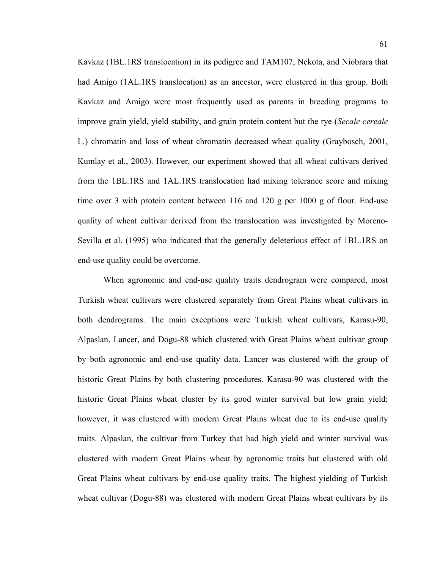Kavkaz (1BL.1RS translocation) in its pedigree and TAM107, Nekota, and Niobrara that had Amigo (1AL.1RS translocation) as an ancestor, were clustered in this group. Both Kavkaz and Amigo were most frequently used as parents in breeding programs to improve grain yield, yield stability, and grain protein content but the rye (*Secale cereale* L.) chromatin and loss of wheat chromatin decreased wheat quality (Graybosch, 2001, Kumlay et al., 2003). However, our experiment showed that all wheat cultivars derived from the 1BL.1RS and 1AL.1RS translocation had mixing tolerance score and mixing time over 3 with protein content between 116 and 120 g per 1000 g of flour. End-use quality of wheat cultivar derived from the translocation was investigated by Moreno-Sevilla et al. (1995) who indicated that the generally deleterious effect of 1BL.1RS on end-use quality could be overcome.

When agronomic and end-use quality traits dendrogram were compared, most Turkish wheat cultivars were clustered separately from Great Plains wheat cultivars in both dendrograms. The main exceptions were Turkish wheat cultivars, Karasu-90, Alpaslan, Lancer, and Dogu-88 which clustered with Great Plains wheat cultivar group by both agronomic and end-use quality data. Lancer was clustered with the group of historic Great Plains by both clustering procedures. Karasu-90 was clustered with the historic Great Plains wheat cluster by its good winter survival but low grain yield; however, it was clustered with modern Great Plains wheat due to its end-use quality traits. Alpaslan, the cultivar from Turkey that had high yield and winter survival was clustered with modern Great Plains wheat by agronomic traits but clustered with old Great Plains wheat cultivars by end-use quality traits. The highest yielding of Turkish wheat cultivar (Dogu-88) was clustered with modern Great Plains wheat cultivars by its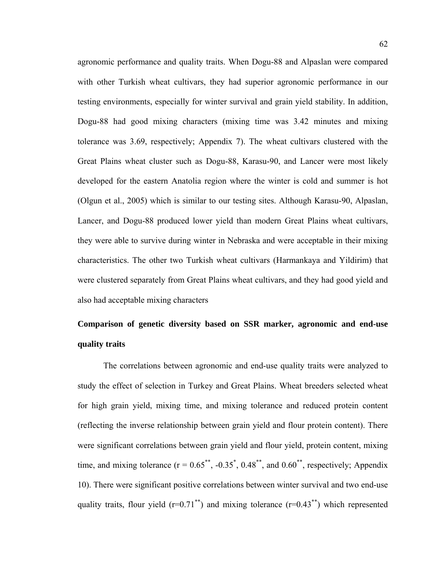agronomic performance and quality traits. When Dogu-88 and Alpaslan were compared with other Turkish wheat cultivars, they had superior agronomic performance in our testing environments, especially for winter survival and grain yield stability. In addition, Dogu-88 had good mixing characters (mixing time was 3.42 minutes and mixing tolerance was 3.69, respectively; Appendix 7). The wheat cultivars clustered with the Great Plains wheat cluster such as Dogu-88, Karasu-90, and Lancer were most likely developed for the eastern Anatolia region where the winter is cold and summer is hot (Olgun et al., 2005) which is similar to our testing sites. Although Karasu-90, Alpaslan, Lancer, and Dogu-88 produced lower yield than modern Great Plains wheat cultivars, they were able to survive during winter in Nebraska and were acceptable in their mixing characteristics. The other two Turkish wheat cultivars (Harmankaya and Yildirim) that were clustered separately from Great Plains wheat cultivars, and they had good yield and also had acceptable mixing characters

## **Comparison of genetic diversity based on SSR marker, agronomic and end-use quality traits**

 The correlations between agronomic and end-use quality traits were analyzed to study the effect of selection in Turkey and Great Plains. Wheat breeders selected wheat for high grain yield, mixing time, and mixing tolerance and reduced protein content (reflecting the inverse relationship between grain yield and flour protein content). There were significant correlations between grain yield and flour yield, protein content, mixing time, and mixing tolerance  $(r = 0.65^{**}, -0.35^*, 0.48^{**},$  and  $0.60^{**}$ , respectively; Appendix 10). There were significant positive correlations between winter survival and two end-use quality traits, flour yield  $(r=0.71^{**})$  and mixing tolerance  $(r=0.43^{**})$  which represented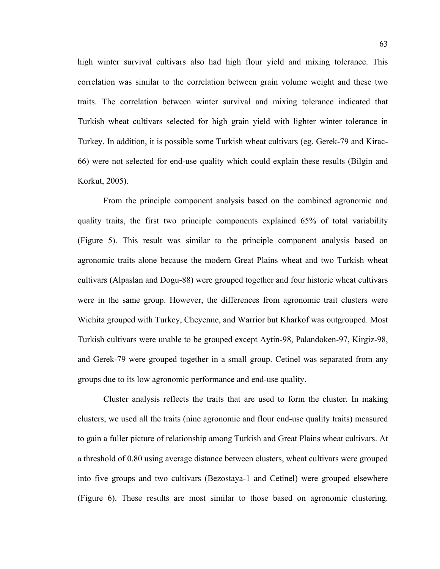high winter survival cultivars also had high flour yield and mixing tolerance. This correlation was similar to the correlation between grain volume weight and these two traits. The correlation between winter survival and mixing tolerance indicated that Turkish wheat cultivars selected for high grain yield with lighter winter tolerance in Turkey. In addition, it is possible some Turkish wheat cultivars (eg. Gerek-79 and Kirac-66) were not selected for end-use quality which could explain these results (Bilgin and Korkut, 2005).

 From the principle component analysis based on the combined agronomic and quality traits, the first two principle components explained 65% of total variability (Figure 5). This result was similar to the principle component analysis based on agronomic traits alone because the modern Great Plains wheat and two Turkish wheat cultivars (Alpaslan and Dogu-88) were grouped together and four historic wheat cultivars were in the same group. However, the differences from agronomic trait clusters were Wichita grouped with Turkey, Cheyenne, and Warrior but Kharkof was outgrouped. Most Turkish cultivars were unable to be grouped except Aytin-98, Palandoken-97, Kirgiz-98, and Gerek-79 were grouped together in a small group. Cetinel was separated from any groups due to its low agronomic performance and end-use quality.

 Cluster analysis reflects the traits that are used to form the cluster. In making clusters, we used all the traits (nine agronomic and flour end-use quality traits) measured to gain a fuller picture of relationship among Turkish and Great Plains wheat cultivars. At a threshold of 0.80 using average distance between clusters, wheat cultivars were grouped into five groups and two cultivars (Bezostaya-1 and Cetinel) were grouped elsewhere (Figure 6). These results are most similar to those based on agronomic clustering.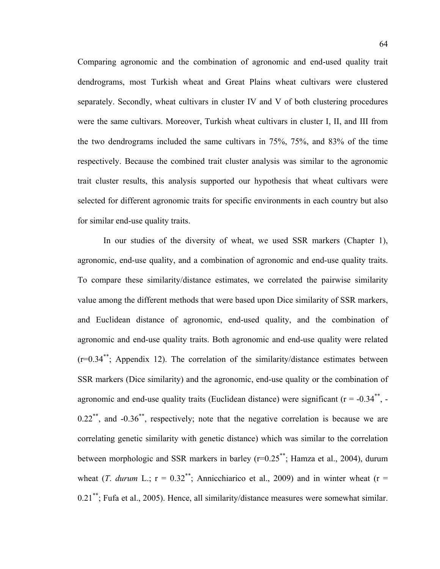Comparing agronomic and the combination of agronomic and end-used quality trait dendrograms, most Turkish wheat and Great Plains wheat cultivars were clustered separately. Secondly, wheat cultivars in cluster IV and V of both clustering procedures were the same cultivars. Moreover, Turkish wheat cultivars in cluster I, II, and III from the two dendrograms included the same cultivars in 75%, 75%, and 83% of the time respectively. Because the combined trait cluster analysis was similar to the agronomic trait cluster results, this analysis supported our hypothesis that wheat cultivars were selected for different agronomic traits for specific environments in each country but also for similar end-use quality traits.

 In our studies of the diversity of wheat, we used SSR markers (Chapter 1), agronomic, end-use quality, and a combination of agronomic and end-use quality traits. To compare these similarity/distance estimates, we correlated the pairwise similarity value among the different methods that were based upon Dice similarity of SSR markers, and Euclidean distance of agronomic, end-used quality, and the combination of agronomic and end-use quality traits. Both agronomic and end-use quality were related  $(r=0.34^{**})$ ; Appendix 12). The correlation of the similarity/distance estimates between SSR markers (Dice similarity) and the agronomic, end-use quality or the combination of agronomic and end-use quality traits (Euclidean distance) were significant ( $r = -0.34$ <sup>\*\*</sup>, - $0.22^{**}$ , and  $-0.36^{**}$ , respectively; note that the negative correlation is because we are correlating genetic similarity with genetic distance) which was similar to the correlation between morphologic and SSR markers in barley  $(r=0.25^{**})$ ; Hamza et al., 2004), durum wheat (*T*. *durum* L.;  $r = 0.32^{**}$ ; Annicchiarico et al., 2009) and in winter wheat ( $r =$ 0.21\*\*; Fufa et al., 2005). Hence, all similarity/distance measures were somewhat similar.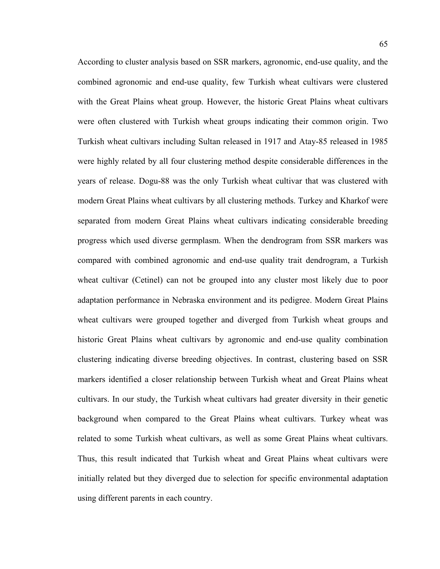According to cluster analysis based on SSR markers, agronomic, end-use quality, and the combined agronomic and end-use quality, few Turkish wheat cultivars were clustered with the Great Plains wheat group. However, the historic Great Plains wheat cultivars were often clustered with Turkish wheat groups indicating their common origin. Two Turkish wheat cultivars including Sultan released in 1917 and Atay-85 released in 1985 were highly related by all four clustering method despite considerable differences in the years of release. Dogu-88 was the only Turkish wheat cultivar that was clustered with modern Great Plains wheat cultivars by all clustering methods. Turkey and Kharkof were separated from modern Great Plains wheat cultivars indicating considerable breeding progress which used diverse germplasm. When the dendrogram from SSR markers was compared with combined agronomic and end-use quality trait dendrogram, a Turkish wheat cultivar (Cetinel) can not be grouped into any cluster most likely due to poor adaptation performance in Nebraska environment and its pedigree. Modern Great Plains wheat cultivars were grouped together and diverged from Turkish wheat groups and historic Great Plains wheat cultivars by agronomic and end-use quality combination clustering indicating diverse breeding objectives. In contrast, clustering based on SSR markers identified a closer relationship between Turkish wheat and Great Plains wheat cultivars. In our study, the Turkish wheat cultivars had greater diversity in their genetic background when compared to the Great Plains wheat cultivars. Turkey wheat was related to some Turkish wheat cultivars, as well as some Great Plains wheat cultivars. Thus, this result indicated that Turkish wheat and Great Plains wheat cultivars were initially related but they diverged due to selection for specific environmental adaptation using different parents in each country.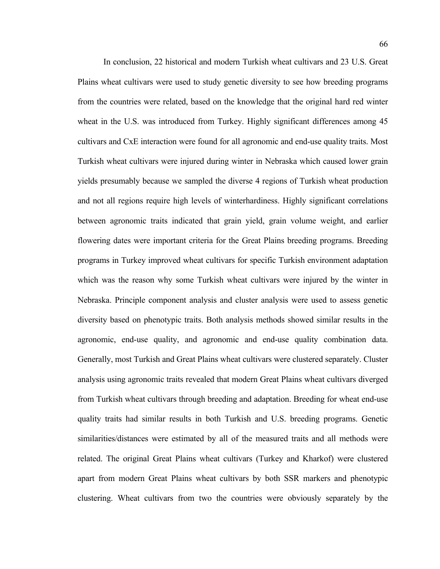In conclusion, 22 historical and modern Turkish wheat cultivars and 23 U.S. Great Plains wheat cultivars were used to study genetic diversity to see how breeding programs from the countries were related, based on the knowledge that the original hard red winter wheat in the U.S. was introduced from Turkey. Highly significant differences among 45 cultivars and CxE interaction were found for all agronomic and end-use quality traits. Most Turkish wheat cultivars were injured during winter in Nebraska which caused lower grain yields presumably because we sampled the diverse 4 regions of Turkish wheat production and not all regions require high levels of winterhardiness. Highly significant correlations between agronomic traits indicated that grain yield, grain volume weight, and earlier flowering dates were important criteria for the Great Plains breeding programs. Breeding programs in Turkey improved wheat cultivars for specific Turkish environment adaptation which was the reason why some Turkish wheat cultivars were injured by the winter in Nebraska. Principle component analysis and cluster analysis were used to assess genetic diversity based on phenotypic traits. Both analysis methods showed similar results in the agronomic, end-use quality, and agronomic and end-use quality combination data. Generally, most Turkish and Great Plains wheat cultivars were clustered separately. Cluster analysis using agronomic traits revealed that modern Great Plains wheat cultivars diverged from Turkish wheat cultivars through breeding and adaptation. Breeding for wheat end-use quality traits had similar results in both Turkish and U.S. breeding programs. Genetic similarities/distances were estimated by all of the measured traits and all methods were related. The original Great Plains wheat cultivars (Turkey and Kharkof) were clustered apart from modern Great Plains wheat cultivars by both SSR markers and phenotypic clustering. Wheat cultivars from two the countries were obviously separately by the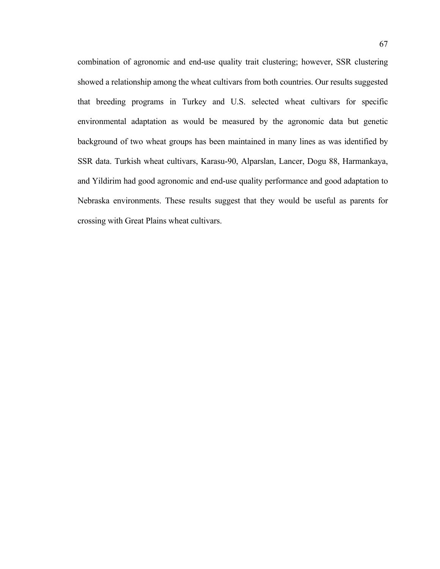combination of agronomic and end-use quality trait clustering; however, SSR clustering showed a relationship among the wheat cultivars from both countries. Our results suggested that breeding programs in Turkey and U.S. selected wheat cultivars for specific environmental adaptation as would be measured by the agronomic data but genetic background of two wheat groups has been maintained in many lines as was identified by SSR data. Turkish wheat cultivars, Karasu-90, Alparslan, Lancer, Dogu 88, Harmankaya, and Yildirim had good agronomic and end-use quality performance and good adaptation to Nebraska environments. These results suggest that they would be useful as parents for crossing with Great Plains wheat cultivars.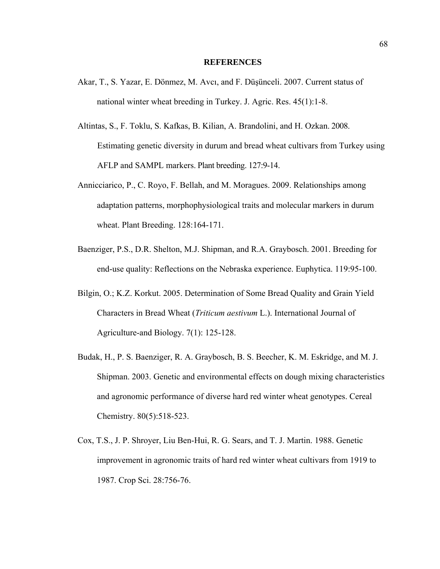## **REFERENCES**

- Akar, T., S. Yazar, E. Dönmez, M. Avcı, and F. Düşünceli. 2007. Current status of national winter wheat breeding in Turkey. J. Agric. Res. 45(1):1-8.
- Altintas, S., F. Toklu, S. Kafkas, B. Kilian, A. Brandolini, and H. Ozkan. 2008. Estimating genetic diversity in durum and bread wheat cultivars from Turkey using AFLP and SAMPL markers. Plant breeding. 127:9-14.
- Annicciarico, P., C. Royo, F. Bellah, and M. Moragues. 2009. Relationships among adaptation patterns, morphophysiological traits and molecular markers in durum wheat. Plant Breeding. 128:164-171.
- Baenziger, P.S., D.R. Shelton, M.J. Shipman, and R.A. Graybosch. 2001. Breeding for end-use quality: Reflections on the Nebraska experience. Euphytica. 119:95-100.
- Bilgin, O.; K.Z. Korkut. 2005. Determination of Some Bread Quality and Grain Yield Characters in Bread Wheat (*Triticum aestivum* L.). International Journal of Agriculture-and Biology. 7(1): 125-128.
- Budak, H., P. S. Baenziger, R. A. Graybosch, B. S. Beecher, K. M. Eskridge, and M. J. Shipman. 2003. Genetic and environmental effects on dough mixing characteristics and agronomic performance of diverse hard red winter wheat genotypes. Cereal Chemistry. 80(5):518-523.
- Cox, T.S., J. P. Shroyer, Liu Ben-Hui, R. G. Sears, and T. J. Martin. 1988. Genetic improvement in agronomic traits of hard red winter wheat cultivars from 1919 to 1987. Crop Sci. 28:756-76.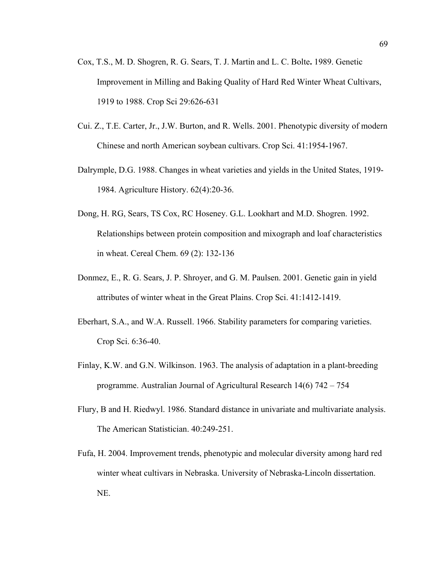- Cox, T.S., M. D. Shogren, R. G. Sears, T. J. Martin and L. C. Bolte**.** 1989. Genetic Improvement in Milling and Baking Quality of Hard Red Winter Wheat Cultivars, 1919 to 1988. Crop Sci 29:626-631
- Cui. Z., T.E. Carter, Jr., J.W. Burton, and R. Wells. 2001. Phenotypic diversity of modern Chinese and north American soybean cultivars. Crop Sci. 41:1954-1967.
- Dalrymple, D.G. 1988. Changes in wheat varieties and yields in the United States, 1919- 1984. Agriculture History. 62(4):20-36.
- Dong, H. RG, Sears, TS Cox, RC Hoseney. G.L. Lookhart and M.D. Shogren. 1992. [Relationships between protein composition and mixograph and loaf characteristics](http://www.aaccnet.org/cerealchemistry/backissues/1992/69_132.pdf)  [in wheat.](http://www.aaccnet.org/cerealchemistry/backissues/1992/69_132.pdf) Cereal Chem. 69 (2): 132-136
- Donmez, E., R. G. Sears, J. P. Shroyer, and G. M. Paulsen. 2001. Genetic gain in yield attributes of winter wheat in the Great Plains. Crop Sci. 41:1412-1419.
- Eberhart, S.A., and W.A. Russell. 1966. Stability parameters for comparing varieties. Crop Sci. 6:36-40.
- Finlay, K.W. and G.N. Wilkinson. 1963. The analysis of adaptation in a plant-breeding programme. Australian Journal of Agricultural Research 14(6) 742 – 754
- Flury, B and H. Riedwyl. 1986. Standard distance in univariate and multivariate analysis. The American Statistician. 40:249-251.
- Fufa, H. 2004. Improvement trends, phenotypic and molecular diversity among hard red winter wheat cultivars in Nebraska. University of Nebraska-Lincoln dissertation. NE.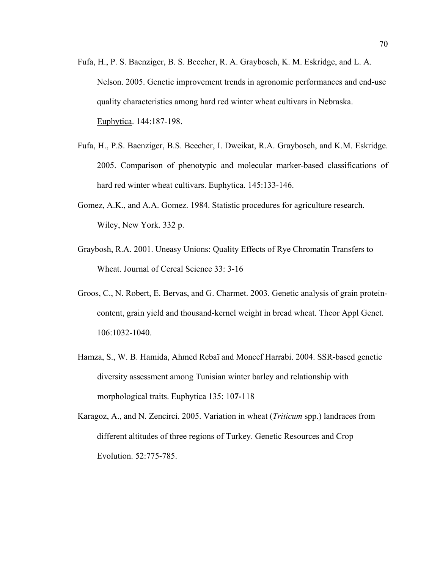- Fufa, H., P. S. Baenziger, B. S. Beecher, R. A. Graybosch, K. M. Eskridge, and L. A. Nelson. 2005. Genetic improvement trends in agronomic performances and end-use quality characteristics among hard red winter wheat cultivars in Nebraska. [Euphytica.](https://commerce.metapress.com/content/102881/?p=80facc066a8e4181af26605b2ad446a0&pi=0) 144:187-198.
- Fufa, H., P.S. Baenziger, B.S. Beecher, I. Dweikat, R.A. Graybosch, and K.M. Eskridge. 2005. Comparison of phenotypic and molecular marker-based classifications of hard red winter wheat cultivars. Euphytica. 145:133-146.
- Gomez, A.K., and A.A. Gomez. 1984. Statistic procedures for agriculture research. Wiley, New York. 332 p.
- Graybosh, R.A. 2001. Uneasy Unions: Quality Effects of Rye Chromatin Transfers to Wheat. Journal of Cereal Science 33: 3-16
- Groos, C., N. Robert, E. Bervas, and G. Charmet. 2003. Genetic analysis of grain proteincontent, grain yield and thousand-kernel weight in bread wheat. Theor Appl Genet. 106:1032-1040.
- Hamza, S., W. B. Hamida, Ahmed Rebaï and Moncef Harrabi. 2004. SSR-based genetic diversity assessment among Tunisian winter barley and relationship with morphological traits. Euphytica 135: 10**7-**118
- Karagoz, A., and N. Zencirci. 2005. Variation in wheat (*Triticum* spp.) landraces from different altitudes of three regions of Turkey. Genetic Resources and Crop Evolution. 52:775-785.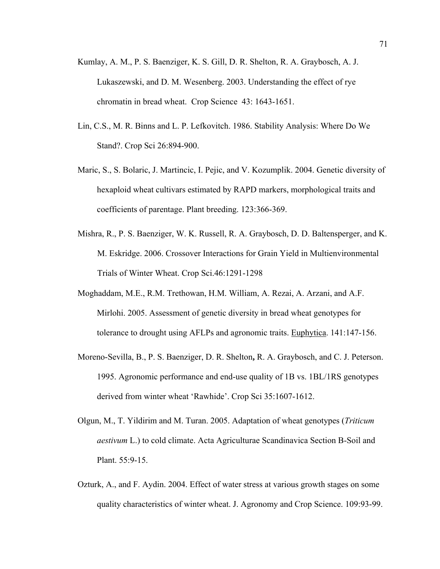- Kumlay, A. M., P. S. Baenziger, K. S. Gill, D. R. Shelton, R. A. Graybosch, A. J. Lukaszewski, and D. M. Wesenberg. 2003. Understanding the effect of rye chromatin in bread wheat. Crop Science 43: 1643-1651.
- Lin, C.S., M. R. Binns and L. P. Lefkovitch. 1986. Stability Analysis: Where Do We Stand?. Crop Sci 26:894-900.
- Maric, S., S. Bolaric, J. Martincic, I. Pejic, and V. Kozumplik. 2004. Genetic diversity of hexaploid wheat cultivars estimated by RAPD markers, morphological traits and coefficients of parentage. Plant breeding. 123:366-369.
- Mishra, R., P. S. Baenziger, W. K. Russell, R. A. Graybosch, D. D. Baltensperger, and K. M. Eskridge. 2006. Crossover Interactions for Grain Yield in Multienvironmental Trials of Winter Wheat. Crop Sci.46:1291-1298
- Moghaddam, M.E., R.M. Trethowan, H.M. William, A. Rezai, A. Arzani, and A.F. Mirlohi. 2005. Assessment of genetic diversity in bread wheat genotypes for tolerance to drought using AFLPs and agronomic traits. [Euphytica.](http://www.springerlink.com/content/102881/?p=4777a8f003d44dd692b71cd353d088ba&pi=0) 141:147-156.
- Moreno-Sevilla, B., P. S. Baenziger, D. R. Shelton**,** R. A. Graybosch, and C. J. Peterson. 1995. Agronomic performance and end-use quality of 1B vs. 1BL/1RS genotypes derived from winter wheat 'Rawhide'. Crop Sci 35:1607-1612.
- Olgun, M., T. Yildirim and M. Turan. 2005. Adaptation of wheat genotypes (*Triticum aestivum* L.) to cold climate. Acta Agriculturae Scandinavica Section B-Soil and Plant. 55:9-15.
- Ozturk, A., and F. Aydin. 2004. Effect of water stress at various growth stages on some quality characteristics of winter wheat. J. Agronomy and Crop Science. 109:93-99.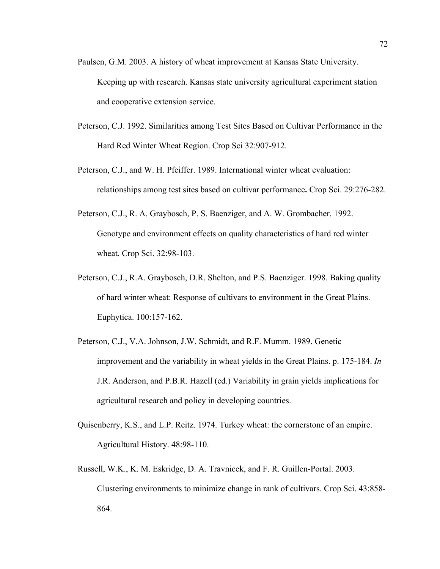- Paulsen, G.M. 2003. A history of wheat improvement at Kansas State University. Keeping up with research. Kansas state university agricultural experiment station and cooperative extension service.
- Peterson, C.J. 1992. Similarities among Test Sites Based on Cultivar Performance in the Hard Red Winter Wheat Region. Crop Sci 32:907-912.
- Peterson, C.J., and W. H. Pfeiffer. 1989. International winter wheat evaluation: relationships among test sites based on cultivar performance**.** Crop Sci. 29:276-282.
- Peterson, C.J., R. A. Graybosch, P. S. Baenziger, and A. W. Grombacher. 1992. Genotype and environment effects on quality characteristics of hard red winter wheat. Crop Sci. 32:98-103.
- Peterson, C.J., R.A. Graybosch, D.R. Shelton, and P.S. Baenziger. 1998. Baking quality of hard winter wheat: Response of cultivars to environment in the Great Plains. Euphytica. 100:157-162.
- Peterson, C.J., V.A. Johnson, J.W. Schmidt, and R.F. Mumm. 1989. Genetic improvement and the variability in wheat yields in the Great Plains. p. 175-184. *In* J.R. Anderson, and P.B.R. Hazell (ed.) Variability in grain yields implications for agricultural research and policy in developing countries.
- Quisenberry, K.S., and L.P. Reitz. 1974. Turkey wheat: the cornerstone of an empire. Agricultural History. 48:98-110.
- Russell, W.K., K. M. Eskridge, D. A. Travnicek, and F. R. Guillen-Portal. 2003. Clustering environments to minimize change in rank of cultivars. Crop Sci. 43:858- 864.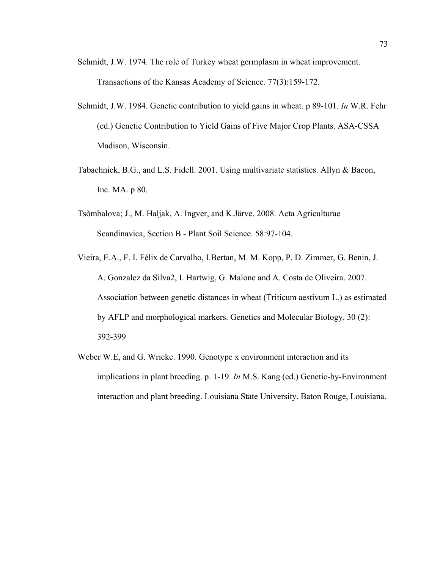- Schmidt, J.W. 1974. The role of Turkey wheat germplasm in wheat improvement. Transactions of the Kansas Academy of Science. 77(3):159-172.
- Schmidt, J.W. 1984. Genetic contribution to yield gains in wheat. p 89-101. *In* W.R. Fehr (ed.) Genetic Contribution to Yield Gains of Five Major Crop Plants. ASA-CSSA Madison, Wisconsin.
- Tabachnick, B.G., and L.S. Fidell. 2001. Using multivariate statistics. Allyn & Bacon, Inc. MA. p 80.
- Tsõmbalova; J., M. Haljak, A. Ingver, and K.Järve. 2008. Acta Agriculturae Scandinavica, Section B - Plant Soil Science. 58:97-104.
- Vieira, E.A., F. I. Félix de Carvalho, I.Bertan, M. M. Kopp, P. D. Zimmer, G. Benin, J. A. Gonzalez da Silva2, I. Hartwig, G. Malone and A. Costa de Oliveira. 2007. Association between genetic distances in wheat (Triticum aestivum L.) as estimated by AFLP and morphological markers. Genetics and Molecular Biology. 30 (2): 392-399
- Weber W.E, and G. Wricke. 1990. Genotype x environment interaction and its implications in plant breeding. p. 1-19. *In* M.S. Kang (ed.) Genetic-by-Environment interaction and plant breeding. Louisiana State University. Baton Rouge, Louisiana.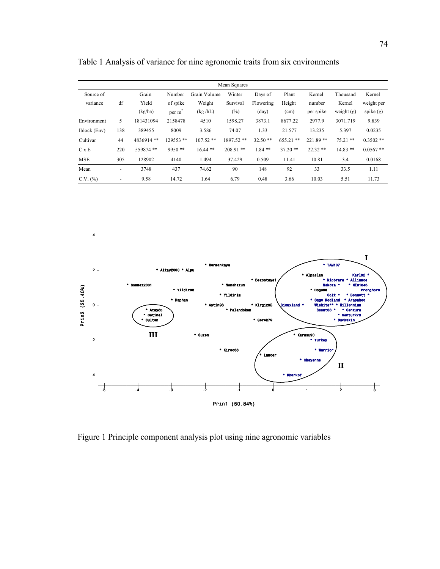|              |                          |           |           |              | Mean Squares |           |             |            |              |             |
|--------------|--------------------------|-----------|-----------|--------------|--------------|-----------|-------------|------------|--------------|-------------|
| Source of    |                          | Grain     | Number    | Grain Volume | Winter       | Days of   | Plant       | Kernel     | Thousand     | Kernel      |
| variance     | df                       | Yield     | of spike  | Weight       | Survival     | Flowering | Height      | number     | Kernel       | weight per  |
|              |                          | (kg/ha)   | per $m2$  | (kg/hL)      | $(\%)$       | (day)     | (cm)        | per spike  | weight $(g)$ | spike $(g)$ |
| Environment  | 5                        | 181431094 | 2158478   | 4510         | 1598.27      | 3873.1    | 8677.22     | 2977.9     | 3071.719     | 9.839       |
| Iblock (Env) | 138                      | 389455    | 8009      | 3.586        | 74.07        | 1.33      | 21.577      | 13.235     | 5.397        | 0.0235      |
| Cultivar     | 44                       | 4836914** | 129553 ** | $107.52**$   | 1897.52 **   | $32.50**$ | $655.21$ ** | $221.89**$ | $75.21$ **   | $0.3502$ ** |
| C x E        | 220                      | 559874 ** | $9950**$  | $16.44$ **   | $208.91$ **  | $1.84$ ** | $37.20$ **  | $22.32**$  | $14.83**$    | $0.0567**$  |
| <b>MSE</b>   | 305                      | 128902    | 4140      | 1.494        | 37.429       | 0.509     | 11.41       | 10.81      | 3.4          | 0.0168      |
| Mean         | $\overline{\phantom{a}}$ | 3748      | 437       | 74.62        | 90           | 148       | 92          | 33         | 33.5         | 1.11        |
| C.V. (%)     | $\overline{\phantom{a}}$ | 9.58      | 14.72     | 1.64         | 6.79         | 0.48      | 3.66        | 10.03      | 5.51         | 11.73       |

Table 1 Analysis of variance for nine agronomic traits from six environments



Figure 1 Principle component analysis plot using nine agronomic variables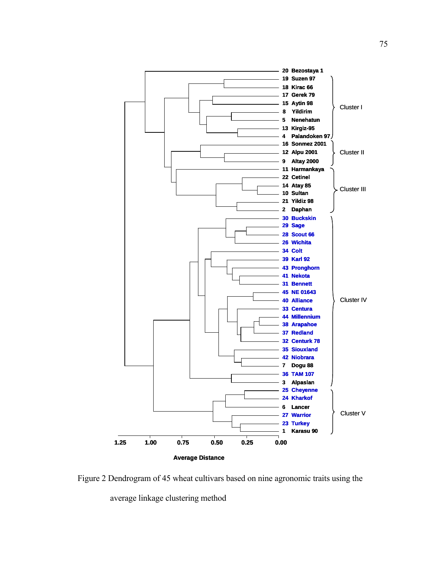

Figure 2 Dendrogram of 45 wheat cultivars based on nine agronomic traits using the average linkage clustering method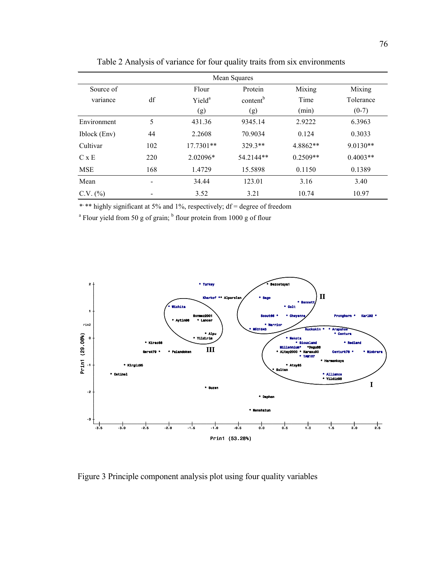| Mean Squares  |     |                    |                      |            |            |  |  |  |  |
|---------------|-----|--------------------|----------------------|------------|------------|--|--|--|--|
| Source of     |     | Flour              | Protein              | Mixing     | Mixing     |  |  |  |  |
| variance      | df  | Yield <sup>a</sup> | content <sup>b</sup> | Time       | Tolerance  |  |  |  |  |
|               |     | (g)                | (g)                  | (min)      | $(0-7)$    |  |  |  |  |
| Environment   | 5   | 431.36             | 9345.14              | 2.9222     | 6.3963     |  |  |  |  |
| Iblock (Env)  | 44  | 2.2608             | 70.9034              | 0.124      | 0.3033     |  |  |  |  |
| Cultivar      | 102 | $17.7301**$        | 329.3**              | 4.8862**   | $9.0130**$ |  |  |  |  |
| C x E         | 220 | 2.02096*           | 54.2144**            | $0.2509**$ | $0.4003**$ |  |  |  |  |
| <b>MSE</b>    | 168 | 1.4729             | 15.5898              | 0.1150     | 0.1389     |  |  |  |  |
| Mean          |     | 34.44              | 123.01               | 3.16       | 3.40       |  |  |  |  |
| $C.V.$ $(\%)$ |     | 3.52               | 3.21                 | 10.74      | 10.97      |  |  |  |  |

Table 2 Analysis of variance for four quality traits from six environments

\*\*\* highly significant at 5% and 1%, respectively; df = degree of freedom



Figure 3 Principle component analysis plot using four quality variables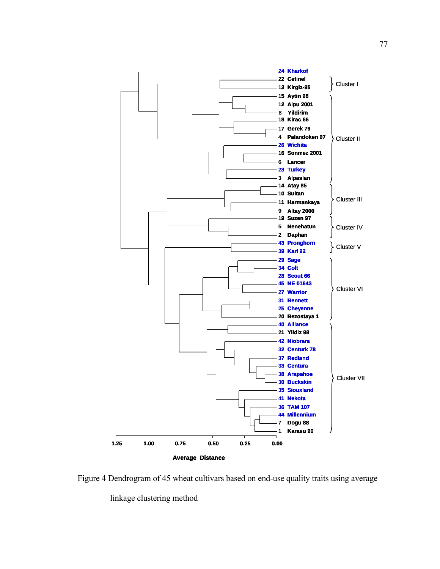

Figure 4 Dendrogram of 45 wheat cultivars based on end-use quality traits using average

linkage clustering method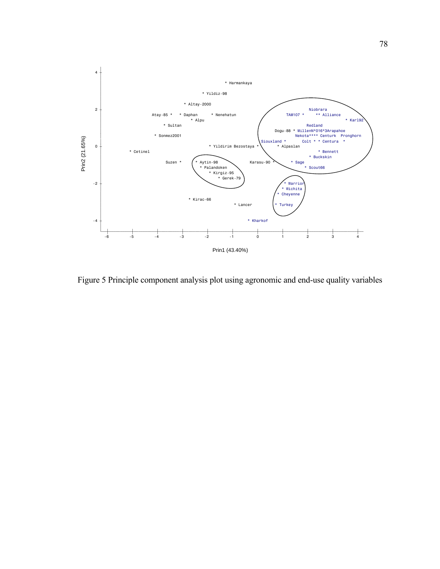

Figure 5 Principle component analysis plot using agronomic and end-use quality variables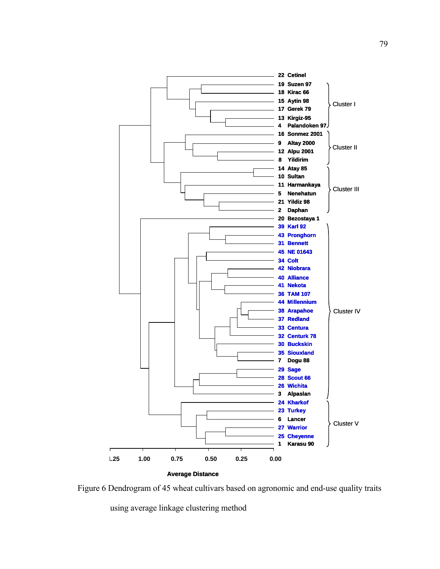

Figure 6 Dendrogram of 45 wheat cultivars based on agronomic and end-use quality traits

using average linkage clustering method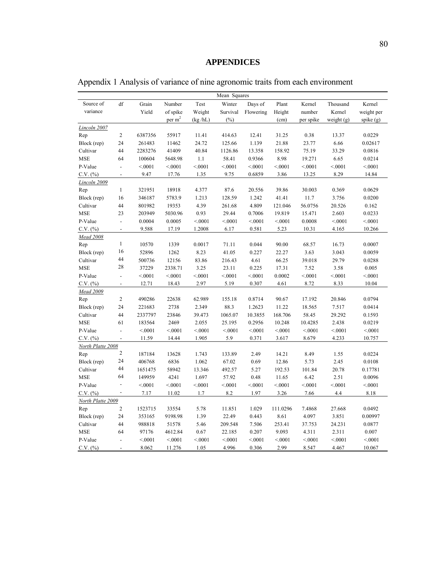|                   |                          |         |          |         | Mean Squares |           |          |           |              |             |
|-------------------|--------------------------|---------|----------|---------|--------------|-----------|----------|-----------|--------------|-------------|
| Source of         | df                       | Grain   | Number   | Test    | Winter       | Days of   | Plant    | Kernel    | Thousand     | Kernel      |
| variance          |                          | Yield   | of spike | Weight  | Survival     | Flowering | Height   | number    | Kernel       | weight per  |
|                   |                          |         | per $m2$ | (kg/hL) | $(\%)$       |           | (cm)     | per spike | weight $(g)$ | spike $(g)$ |
| Lincoln 2007      |                          |         |          |         |              |           |          |           |              |             |
| Rep               | $\overline{c}$           | 6387356 | 55917    | 11.41   | 414.63       | 12.41     | 31.25    | 0.38      | 13.37        | 0.0229      |
| Block (rep)       | 24                       | 261483  | 11462    | 24.72   | 125.66       | 1.139     | 21.88    | 23.77     | 6.66         | 0.02617     |
| Cultivar          | 44                       | 2283276 | 41409    | 40.84   | 1126.86      | 13.358    | 158.92   | 75.19     | 33.29        | 0.0816      |
| <b>MSE</b>        | 64                       | 100604  | 5648.98  | 1.1     | 58.41        | 0.9366    | 8.98     | 19.271    | 6.65         | 0.0214      |
| P-Value           | $\overline{\phantom{a}}$ | < 0001  | < 0001   | < 0001  | < 0001       | < 0001    | < 0001   | < 0001    | < .0001      | < 0001      |
| C.V. (%)          | $\overline{\phantom{a}}$ | 9.47    | 17.76    | 1.35    | 9.75         | 0.6859    | 3.86     | 13.25     | 8.29         | 14.84       |
| Lincoln 2009      |                          |         |          |         |              |           |          |           |              |             |
| Rep               | $\mathbf{1}$             | 321951  | 18918    | 4.377   | 87.6         | 20.556    | 39.86    | 30.003    | 0.369        | 0.0629      |
| Block (rep)       | 16                       | 346187  | 5783.9   | 1.213   | 128.59       | 1.242     | 41.41    | 11.7      | 3.756        | 0.0200      |
| Cultivar          | 44                       | 801982  | 19353    | 4.39    | 261.68       | 4.809     | 121.046  | 56.0756   | 20.526       | 0.162       |
| <b>MSE</b>        | 23                       | 203949  | 5030.96  | 0.93    | 29.44        | 0.7006    | 19.819   | 15.471    | 2.603        | 0.0233      |
| P-Value           | $\overline{\phantom{a}}$ | 0.0004  | 0.0005   | < 0001  | < 0001       | < 0001    | < 0001   | 0.0008    | < 0001       | < 0001      |
| C.V. (%)          | $\overline{\phantom{a}}$ | 9.588   | 17.19    | 1.2008  | 6.17         | 0.581     | 5.23     | 10.31     | 4.165        | 10.266      |
| Mead 2008         |                          |         |          |         |              |           |          |           |              |             |
| Rep               | $\mathbf{1}$             | 10570   | 1339     | 0.0017  | 71.11        | 0.044     | 90.00    | 68.57     | 16.73        | 0.0007      |
| Block (rep)       | 16                       | 52896   | 1262     | 8.23    | 41.05        | 0.227     | 22.27    | 3.63      | 3.043        | 0.0059      |
| Cultivar          | 44                       | 500736  | 12156    | 83.86   | 216.43       | 4.61      | 66.25    | 39.018    | 29.79        | 0.0288      |
| <b>MSE</b>        | 28                       | 37229   | 2338.71  | 3.25    | 23.11        | 0.225     | 17.31    | 7.52      | 3.58         | 0.005       |
| P-Value           | $\overline{\phantom{a}}$ | < 0001  | < 0001   | < 0001  | < 0001       | < 0001    | 0.0002   | < 0001    | < 0001       | < 0001      |
| C.V. (%)          | $\overline{\phantom{a}}$ | 12.71   | 18.43    | 2.97    | 5.19         | 0.307     | 4.61     | 8.72      | 8.33         | 10.04       |
| Mead 2009         |                          |         |          |         |              |           |          |           |              |             |
| Rep               | $\boldsymbol{2}$         | 490286  | 22638    | 62.989  | 155.18       | 0.8714    | 90.67    | 17.192    | 20.846       | 0.0794      |
| Block (rep)       | 24                       | 221683  | 2738     | 2.349   | 88.3         | 1.2623    | 11.22    | 18.565    | 7.517        | 0.0414      |
| Cultivar          | 44                       | 2337797 | 23846    | 39.473  | 1065.07      | 10.3855   | 168.706  | 58.45     | 29.292       | 0.1593      |
| <b>MSE</b>        | 61                       | 183564  | 2469     | 2.055   | 25.195       | 0.2956    | 10.248   | 10.4285   | 2.438        | 0.0219      |
| P-Value           | $\overline{\phantom{a}}$ | < 0001  | < 0001   | < 0001  | < 0001       | < 0001    | < 0001   | < 0001    | < 0001       | < 0001      |
| $C.V.$ $(\%)$     | $\overline{\phantom{a}}$ | 11.59   | 14.44    | 1.905   | 5.9          | 0.371     | 3.617    | 8.679     | 4.233        | 10.757      |
| North Platte 2008 |                          |         |          |         |              |           |          |           |              |             |
| Rep               | $\overline{c}$           | 187184  | 13628    | 1.743   | 133.89       | 2.49      | 14.21    | 8.49      | 1.55         | 0.0224      |
| Block (rep)       | 24                       | 406768  | 6836     | 1.062   | 67.02        | 0.69      | 12.86    | 5.73      | 2.45         | 0.0108      |
| Cultivar          | 44                       | 1651475 | 58942    | 13.346  | 492.57       | 5.27      | 192.53   | 101.84    | 20.78        | 0.17781     |
| <b>MSE</b>        | 64                       | 149959  | 4241     | 1.697   | 57.92        | 0.48      | 11.65    | 6.42      | 2.51         | 0.0096      |
| P-Value           |                          | < 0001  | < 0001   | < 0001  | < 0001       | < 0001    | < 0001   | < 0001    | < 0001       | < 0001      |
| C.V. (%)          | $\overline{\phantom{a}}$ | 7.17    | 11.02    | 1.7     | 8.2          | 1.97      | 3.26     | 7.66      | 4.4          | 8.18        |
| North Platte 2009 |                          |         |          |         |              |           |          |           |              |             |
| Rep               | $\overline{c}$           | 1523715 | 33554    | 5.78    | 11.851       | 1.029     | 111.0296 | 7.4868    | 27.668       | 0.0492      |
| Block (rep)       | 24                       | 353165  | 9198.98  | 1.39    | 22.49        | 0.443     | 8.61     | 4.097     | 3.851        | 0.00997     |
| Cultivar          | 44                       | 988818  | 51578    | 5.46    | 209.548      | 7.506     | 253.41   | 37.753    | 24.231       | 0.0877      |
| <b>MSE</b>        | 64                       | 97176   | 4612.84  | 0.67    | 22.185       | 0.207     | 9.093    | 4.311     | 2.311        | 0.007       |
| P-Value           | $\overline{\phantom{a}}$ | < 0001  | < 0001   | < 0001  | < 0001       | < 0001    | < .0001  | < 0001    | < 0001       | < 0001      |
| $C.V.$ $(\%)$     | $\overline{\phantom{a}}$ | 8.062   | 11.276   | 1.05    | 4.996        | 0.306     | 2.99     | 8.547     | 4.467        | 10.067      |

Appendix 1 Analysis of variance of nine agronomic traits from each environment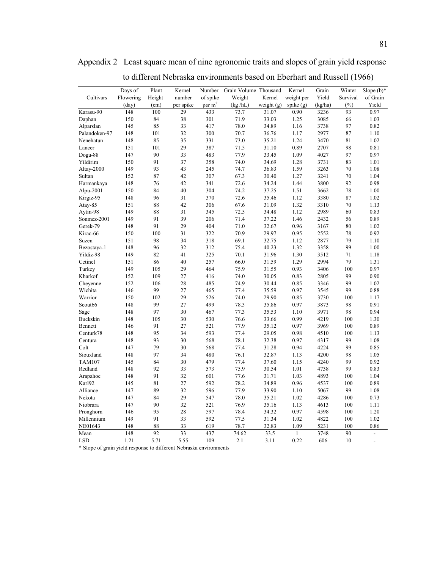|                 | Days of   | Plant  | Kernel    | Number             | Grain Volume Thousand |              | Kernel      | Grain   | Winter   | Slope $(b)$ *  |
|-----------------|-----------|--------|-----------|--------------------|-----------------------|--------------|-------------|---------|----------|----------------|
| Cultivars       | Flowering | Height | number    | of spike           | Weight                | Kernel       | weight per  | Yield   | Survival | of Grain       |
|                 | (day)     | (cm)   | per spike | per m <sup>2</sup> | (kg/hL)               | weight $(g)$ | spike $(g)$ | (kg/ha) | (%)      | Yield          |
| Karasu-90       | 148       | 100    | 29        | 433                | 73.7                  | 31.07        | 0.90        | 3236    | 93       | 0.97           |
| Daphan          | 150       | 84     | 38        | 301                | 71.9                  | 33.03        | 1.25        | 3085    | 66       | 1.03           |
| Alparslan       | 145       | 85     | 33        | 417                | 78.0                  | 34.89        | 1.16        | 3738    | 97       | 0.82           |
| Palandoken-97   | 148       | 101    | 32        | 300                | 70.7                  | 36.76        | 1.17        | 2977    | 87       | 1.10           |
| Nenehatun       | 148       | 85     | 35        | 331                | 73.0                  | 35.21        | 1.24        | 3470    | 81       | 1.02           |
| Lancer          | 151       | 101    | 29        | 387                | 71.5                  | 31.10        | 0.89        | 2707    | 98       | 0.81           |
| Dogu-88         | 147       | 90     | 33        | 483                | 77.9                  | 33.45        | 1.09        | 4027    | 97       | 0.97           |
| Yildirim        | 150       | 91     | 37        | 358                | 74.0                  | 34.69        | 1.28        | 3731    | 83       | 1.01           |
| Altay-2000      | 149       | 93     | 43        | 245                | 74.7                  | 36.83        | 1.59        | 3263    | 70       | 1.08           |
| Sultan          | 152       | 87     | 42        | 307                | 67.3                  | 30.40        | 1.27        | 3241    | 70       | 1.04           |
| Harmankaya      | 148       | 76     | 42        | 341                | 72.6                  | 34.24        | 1.44        | 3800    | 92       | 0.98           |
| Alpu-2001       | 150       | 84     | 40        | 304                | 74.2                  | 37.25        | 1.51        | 3662    | 78       | 1.00           |
| Kirgiz-95       | 148       | 96     | 31        | 370                | 72.6                  | 35.46        | 1.12        | 3380    | 87       | 1.02           |
| Atay-85         | 151       | 88     | 42        | 306                | 67.6                  | 31.09        | 1.32        | 3310    | 70       | 1.13           |
| Aytin-98        | 149       | 88     | 31        | 345                | 72.5                  | 34.48        | 1.12        | 2989    | 60       | 0.83           |
| Sonmez-2001     | 149       | 91     | 39        | 206                | 71.4                  | 37.22        | 1.46        | 2432    | 56       | 0.89           |
| Gerek-79        | 148       | 91     | 29        | 404                | 71.0                  | 32.67        | 0.96        | 3167    | 80       | 1.02           |
| Kirac-66        | 150       | 100    | 31        | 322                | 70.9                  | 29.97        | 0.95        | 2552    | 78       | 0.92           |
| Suzen           | 151       | 98     | 34        | 318                | 69.1                  | 32.75        | 1.12        | 2877    | 79       | 1.10           |
| Bezostaya-1     | 148       | 96     | 32        | 312                | 75.4                  | 40.23        | 1.32        | 3358    | 99       | 1.00           |
| Yildiz-98       | 149       | 82     | 41        | 325                | 70.1                  | 31.96        | 1.30        | 3512    | 71       | 1.18           |
| Cetinel         | 151       | 86     | 40        | 257                | 66.0                  | 31.59        | 1.29        | 2994    | 79       | 1.31           |
| Turkey          | 149       | 105    | 29        | 464                | 75.9                  | 31.55        | 0.93        | 3406    | 100      | 0.97           |
| Kharkof         | 152       | 109    | 27        | 416                | 74.0                  | 30.05        | 0.83        | 2805    | 99       | 0.90           |
| Chevenne        | 152       | 106    | 28        | 485                | 74.9                  | 30.44        | 0.85        | 3346    | 99       | 1.02           |
| Wichita         | 146       | 99     | 27        | 465                | 77.4                  | 35.59        | 0.97        | 3545    | 99       | 0.88           |
| Warrior         | 150       | 102    | 29        | 526                | 74.0                  | 29.90        | 0.85        | 3730    | 100      | 1.17           |
| Scout66         | 148       | 99     | 27        | 499                | 78.3                  | 35.86        | 0.97        | 3873    | 98       | 0.91           |
| Sage            | 148       | 97     | 30        | 467                | 77.3                  | 35.53        | 1.10        | 3971    | 98       | 0.94           |
| <b>Buckskin</b> | 148       | 105    | 30        | 530                | 76.6                  | 33.66        | 0.99        | 4219    | 100      | 1.30           |
| Bennett         | 146       | 91     | 27        | 521                | 77.9                  | 35.12        | 0.97        | 3969    | 100      | 0.89           |
| Centurk78       | 148       | 95     | 34        | 593                | 77.4                  | 29.05        | 0.98        | 4510    | 100      | 1.13           |
| Centura         | 148       | 93     | 30        | 568                | 78.1                  | 32.38        | 0.97        | 4317    | 99       | 1.08           |
| Colt            | 147       | 79     | 30        | 568                | 77.4                  | 31.28        | 0.94        | 4224    | 99       | 0.85           |
| Siouxland       | 148       | 97     | 34        | 480                | 76.1                  | 32.87        | 1.13        | 4200    | 98       | 1.05           |
| <b>TAM107</b>   | 145       | 84     | 30        | 479                | 77.4                  | 37.60        | 1.15        | 4240    | 99       | 0.92           |
| Redland         | 148       | 92     | 33        | 573                | 75.9                  | 30.54        | 1.01        | 4738    | 99       | 0.83           |
| Arapahoe        | 148       | 91     | 32        | 601                | 77.6                  | 31.71        | 1.03        | 4893    | 100      | 1.04           |
| Karl92          | 145       | 81     | 27        | 592                | 78.2                  | 34.89        | 0.96        | 4537    | 100      | 0.89           |
| Alliance        | 147       | 89     | 32        | 596                | 77.9                  | 33.90        | 1.10        | 5067    | 99       | 1.08           |
| Nekota          | 147       | 84     | 29        | 547                | 78.0                  | 35.21        | 1.02        | 4286    | 100      | 0.73           |
| Niobrara        | 147       | 90     | 32        | 521                | 76.9                  | 35.16        | 1.13        | 4613    | 100      | 1.11           |
|                 |           | 95     |           |                    |                       |              |             |         |          |                |
| Pronghorn       | 146       |        | 28        | 597                | 78.4                  | 34.32        | 0.97        | 4598    | 100      | 1.20           |
| Millennium      | 149       | 91     | 33        | 592                | 77.5                  | 31.34        | 1.02        | 4822    | 100      | 1.02           |
| NE01643         | 148       | 88     | 33        | 619                | 78.7                  | 32.83        | 1.09        | 5231    | 100      | 0.86           |
| Mean            | 148       | 92     | 33        | 437                | 74.62                 | 33.5         | 1           | 3748    | 90       | $\overline{a}$ |
| <b>LSD</b>      | 1.21      | 5.71   | 5.55      | 109                | 2.1                   | 3.11         | 0.22        | 606     | 10       | L.             |

Appendix 2 Least square mean of nine agronomic traits and slopes of grain yield response to different Nebraska environments based on Eberhart and Russell (1966)

\* Slope of grain yield response to different Nebraska environments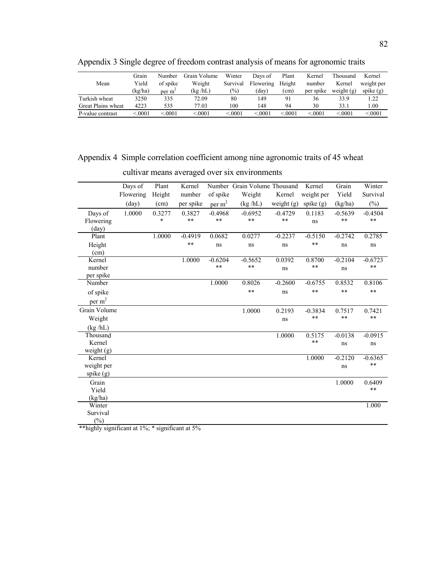|                    | Grain   | Number      | Grain Volume | Winter   | Days of   | Plant  | Kernel    | Thousand     | Kernel      |
|--------------------|---------|-------------|--------------|----------|-----------|--------|-----------|--------------|-------------|
| Mean               | Yield   | of spike    | Weight       | Survival | Flowering | Height | number    | Kernel       | weight per  |
|                    | (kg/ha) | per m       | (kg/hL)      | $(\%)$   | (dav)     | (cm)   | per spike | weight $(g)$ | spike $(g)$ |
| Turkish wheat      | 3250    | 335         | 72.09        | 80       | 149       | 91     | 36        | 33.9         | 1.22        |
| Great Plains wheat | 4223    | 535         | 77.03        | 100      | 148       | 94     | 30        | 33.1         | .00.        |
| P-value contrast   | .0001   | $\leq 0001$ | < 0001       | < 0001   | < 0001    | < 0001 | < 0001    | < 0001       | < 0001      |

Appendix 3 Single degree of freedom contrast analysis of means for agronomic traits

## Appendix 4 Simple correlation coefficient among nine agronomic traits of 45 wheat

|                    | Days of   | Plant  | Kernel     |                    | Number Grain Volume Thousand |            | Kernel     | Grain     | Winter        |
|--------------------|-----------|--------|------------|--------------------|------------------------------|------------|------------|-----------|---------------|
|                    | Flowering | Height | number     | of spike           | Weight                       | Kernel     | weight per | Yield     | Survival      |
|                    | (day)     | (cm)   | per spike  | per m <sup>2</sup> | (kg/hL)                      | weight (g) | spike (g)  | (kg/ha)   | $(\%)$        |
| Days of            | 1.0000    | 0.3277 | 0.3827     | $-0.4968$          | $-0.6952$                    | $-0.4729$  | 0.1183     | $-0.5639$ | $-0.4504$     |
| Flowering          |           | $\ast$ | **         | **                 | **                           | $**$       | ns         | $**$      | $\ast$ $\ast$ |
| $\text{(day)}$     |           |        |            |                    |                              |            |            |           |               |
| Plant              |           | 1.0000 | $-0.4919$  | 0.0682             | 0.0277                       | $-0.2237$  | $-0.5150$  | $-0.2742$ | 0.2785        |
| Height             |           |        | $\ast\ast$ | ns                 | ns                           | ns         | $**$       | ns        | ns            |
| (cm)               |           |        |            |                    |                              |            |            |           |               |
| Kernel             |           |        | 1.0000     | $-0.6204$          | $-0.5652$                    | 0.0392     | 0.8700     | $-0.2104$ | $-0.6723$     |
| number             |           |        |            | **                 | $\ast\ast$                   | ns         | $**$       | ns        | $\ast\ast$    |
| per spike          |           |        |            |                    |                              |            |            |           |               |
| Number             |           |        |            | 1.0000             | 0.8026                       | $-0.2600$  | $-0.6755$  | 0.8532    | 0.8106        |
| of spike           |           |        |            |                    | **                           | ns         | **         | **        | **            |
| per m <sup>2</sup> |           |        |            |                    |                              |            |            |           |               |
| Grain Volume       |           |        |            |                    | 1.0000                       | 0.2193     | $-0.3834$  | 0.7517    | 0.7421        |
| Weight             |           |        |            |                    |                              | ns         | **         | **        | **            |
| (kg/hL)            |           |        |            |                    |                              |            |            |           |               |
| Thousand           |           |        |            |                    |                              | 1.0000     | 0.5175     | $-0.0138$ | $-0.0915$     |
| Kernel             |           |        |            |                    |                              |            | $**$       | ns        | ns            |
| weight $(g)$       |           |        |            |                    |                              |            |            |           |               |
| Kernel             |           |        |            |                    |                              |            | 1.0000     | $-0.2120$ | $-0.6365$     |
| weight per         |           |        |            |                    |                              |            |            | ns        | $**$          |
| spike (g)          |           |        |            |                    |                              |            |            |           |               |
| Grain              |           |        |            |                    |                              |            |            | 1.0000    | 0.6409        |
| Yield              |           |        |            |                    |                              |            |            |           | $\ast$ $\ast$ |
| (kg/ha)            |           |        |            |                    |                              |            |            |           |               |
| Winter             |           |        |            |                    |                              |            |            |           | 1.000         |
| Survival           |           |        |            |                    |                              |            |            |           |               |
| (%)                |           |        |            |                    |                              |            |            |           |               |

cultivar means averaged over six environments

\*\*highly significant at 1%; \* significant at 5%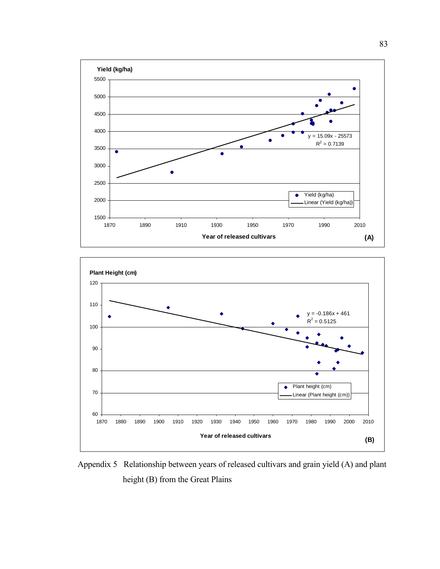



Appendix 5 Relationship between years of released cultivars and grain yield (A) and plant height (B) from the Great Plains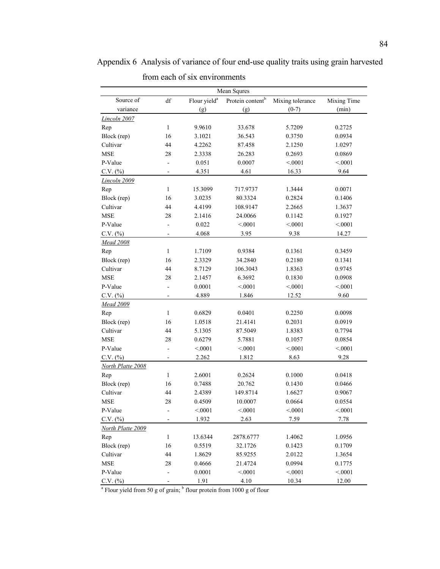Appendix 6 Analysis of variance of four end-use quality traits using grain harvested from each of six environments

|                   |                          |                          | Mean Squres                  |                  |             |
|-------------------|--------------------------|--------------------------|------------------------------|------------------|-------------|
| Source of         | df                       | Flour yield <sup>a</sup> | Protein content <sup>b</sup> | Mixing tolerance | Mixing Time |
| variance          |                          | (g)                      | (g)                          | $(0-7)$          | (min)       |
| Lincoln 2007      |                          |                          |                              |                  |             |
| Rep               | 1                        | 9.9610                   | 33.678                       | 5.7209           | 0.2725      |
| Block (rep)       | 16                       | 3.1021                   | 36.543                       | 0.3750           | 0.0934      |
| Cultivar          | 44                       | 4.2262                   | 87.458                       | 2.1250           | 1.0297      |
| <b>MSE</b>        | 28                       | 2.3338                   | 26.283                       | 0.2693           | 0.0869      |
| P-Value           | $\overline{a}$           | 0.051                    | 0.0007                       | < 0001           | < 0001      |
| $C.V.$ $(\%)$     | ٠                        | 4.351                    | 4.61                         | 16.33            | 9.64        |
| Lincoln 2009      |                          |                          |                              |                  |             |
| Rep               | $\mathbf{1}$             | 15.3099                  | 717.9737                     | 1.3444           | 0.0071      |
| Block (rep)       | 16                       | 3.0235                   | 80.3324                      | 0.2824           | 0.1406      |
| Cultivar          | 44                       | 4.4199                   | 108.9147                     | 2.2665           | 1.3637      |
| <b>MSE</b>        | 28                       | 2.1416                   | 24.0066                      | 0.1142           | 0.1927      |
| P-Value           | $\overline{a}$           | 0.022                    | < 0.001                      | < 0001           | < 0001      |
| $C.V.$ $(\%)$     |                          | 4.068                    | 3.95                         | 9.38             | 14.27       |
| Mead 2008         |                          |                          |                              |                  |             |
| Rep               | $\mathbf{1}$             | 1.7109                   | 0.9384                       | 0.1361           | 0.3459      |
| Block (rep)       | 16                       | 2.3329                   | 34.2840                      | 0.2180           | 0.1341      |
| Cultivar          | 44                       | 8.7129                   | 106.3043                     | 1.8363           | 0.9745      |
| <b>MSE</b>        | 28                       | 2.1457                   | 6.3692                       | 0.1830           | 0.0908      |
| P-Value           | $\overline{a}$           | 0.0001                   | < 0001                       | < 0001           | < 0001      |
| $C.V.$ $(\%)$     | L,                       | 4.889                    | 1.846                        | 12.52            | 9.60        |
| Mead 2009         |                          |                          |                              |                  |             |
| Rep               | $\mathbf{1}$             | 0.6829                   | 0.0401                       | 0.2250           | 0.0098      |
| Block (rep)       | 16                       | 1.0518                   | 21.4141                      | 0.2031           | 0.0919      |
| Cultivar          | 44                       | 5.1305                   | 87.5049                      | 1.8383           | 0.7794      |
| <b>MSE</b>        | 28                       | 0.6279                   | 5.7881                       | 0.1057           | 0.0854      |
| P-Value           | $\overline{a}$           | < 0001                   | < 0.001                      | < 0001           | < 0001      |
| $C.V.$ $(\%)$     | $\overline{\phantom{0}}$ | 2.262                    | 1.812                        | 8.63             | 9.28        |
| North Platte 2008 |                          |                          |                              |                  |             |
| Rep               | $\mathbf{1}$             | 2.6001                   | 0.2624                       | 0.1000           | 0.0418      |
| Block (rep)       | 16                       | 0.7488                   | 20.762                       | 0.1430           | 0.0466      |
| Cultivar          | 44                       | 2.4389                   | 149.8714                     | 1.6627           | 0.9067      |
| <b>MSE</b>        | 28                       | 0.4509                   | 10.0007                      | 0.0664           | 0.0554      |
| P-Value           |                          | < 0001                   | < 0001                       | < 0001           | < 0001      |
| $C.V.$ $(\%)$     |                          | 1.932                    | 2.63                         | 7.59             | 7.78        |
| North Platte 2009 |                          |                          |                              |                  |             |
| Rep               | $\mathbf{1}$             | 13.6344                  | 2878.6777                    | 1.4062           | 1.0956      |
| Block (rep)       | 16                       | 0.5519                   | 32.1726                      | 0.1423           | 0.1709      |
| Cultivar          | 44                       | 1.8629                   | 85.9255                      | 2.0122           | 1.3654      |
| <b>MSE</b>        | 28                       | 0.4666                   | 21.4724                      | 0.0994           | 0.1775      |
| P-Value           |                          | 0.0001                   | < 0001                       | < 0001           | < 0001      |
| $C.V.$ $(\%)$     |                          | 1.91                     | 4.10                         | 10.34            | 12.00       |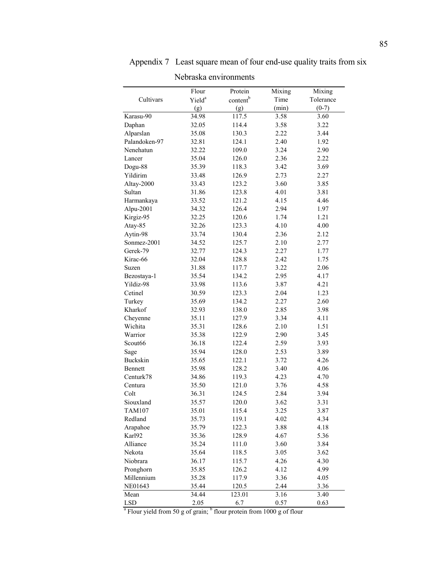| wuusna viiviiviinviits |                    |                      |        |           |  |  |  |  |
|------------------------|--------------------|----------------------|--------|-----------|--|--|--|--|
|                        | Flour              | Protein              | Mixing | Mixing    |  |  |  |  |
| Cultivars              | Yield <sup>a</sup> | content <sup>b</sup> | Time   | Tolerance |  |  |  |  |
|                        | (g)                | (g)                  | (min)  | $(0-7)$   |  |  |  |  |
| Karasu-90              | 34.98              | 117.5                | 3.58   | 3.60      |  |  |  |  |
| Daphan                 | 32.05              | 114.4                | 3.58   | 3.22      |  |  |  |  |
| Alparslan              | 35.08              | 130.3                | 2.22   | 3.44      |  |  |  |  |
| Palandoken-97          | 32.81              | 124.1                | 2.40   | 1.92      |  |  |  |  |
| Nenehatun              | 32.22              | 109.0                | 3.24   | 2.90      |  |  |  |  |
| Lancer                 | 35.04              | 126.0                | 2.36   | 2.22      |  |  |  |  |
| Dogu-88                | 35.39              | 118.3                | 3.42   | 3.69      |  |  |  |  |
| Yildirim               | 33.48              | 126.9                | 2.73   | 2.27      |  |  |  |  |
| Altay-2000             | 33.43              | 123.2                | 3.60   | 3.85      |  |  |  |  |
| Sultan                 | 31.86              | 123.8                | 4.01   | 3.81      |  |  |  |  |
| Harmankaya             | 33.52              | 121.2                | 4.15   | 4.46      |  |  |  |  |
| Alpu-2001              | 34.32              | 126.4                | 2.94   | 1.97      |  |  |  |  |
| Kirgiz-95              | 32.25              | 120.6                | 1.74   | 1.21      |  |  |  |  |
| Atay-85                | 32.26              | 123.3                | 4.10   | 4.00      |  |  |  |  |
| Aytin-98               | 33.74              | 130.4                | 2.36   | 2.12      |  |  |  |  |
| Sonmez-2001            | 34.52              | 125.7                | 2.10   | 2.77      |  |  |  |  |
| Gerek-79               | 32.77              | 124.3                | 2.27   | 1.77      |  |  |  |  |
| Kirac-66               | 32.04              | 128.8                | 2.42   | 1.75      |  |  |  |  |
| Suzen                  | 31.88              | 117.7                | 3.22   | 2.06      |  |  |  |  |
| Bezostaya-1            | 35.54              | 134.2                | 2.95   | 4.17      |  |  |  |  |
| Yildiz-98              | 33.98              | 113.6                | 3.87   | 4.21      |  |  |  |  |
| Cetinel                | 30.59              | 123.3                | 2.04   | 1.23      |  |  |  |  |
| Turkey                 | 35.69              | 134.2                | 2.27   | 2.60      |  |  |  |  |
| Kharkof                | 32.93              | 138.0                | 2.85   | 3.98      |  |  |  |  |
| Cheyenne               | 35.11              | 127.9                | 3.34   | 4.11      |  |  |  |  |
| Wichita                | 35.31              | 128.6                | 2.10   | 1.51      |  |  |  |  |
| Warrior                | 35.38              | 122.9                | 2.90   | 3.45      |  |  |  |  |
| Scout66                | 36.18              | 122.4                | 2.59   | 3.93      |  |  |  |  |
| Sage                   | 35.94              | 128.0                | 2.53   | 3.89      |  |  |  |  |
| <b>Buckskin</b>        | 35.65              | 122.1                | 3.72   | 4.26      |  |  |  |  |
| <b>Bennett</b>         | 35.98              | 128.2                | 3.40   | 4.06      |  |  |  |  |
| Centurk78              | 34.86              | 119.3                | 4.23   | 4.70      |  |  |  |  |
| Centura                | 35.50              | 121.0                | 3.76   | 4.58      |  |  |  |  |
| Colt                   | 36.31              | 124.5                | 2.84   | 3.94      |  |  |  |  |
| Siouxland              | 35.57              | 120.0                | 3.62   | 3.31      |  |  |  |  |
| <b>TAM107</b>          | 35.01              | 115.4                | 3.25   | 3.87      |  |  |  |  |
| Redland                | 35.73              | 119.1                | 4.02   | 4.34      |  |  |  |  |
| Arapahoe               | 35.79              | 122.3                | 3.88   | 4.18      |  |  |  |  |
| Karl92                 | 35.36              | 128.9                | 4.67   | 5.36      |  |  |  |  |
| Alliance               | 35.24              | 111.0                | 3.60   | 3.84      |  |  |  |  |
| Nekota                 | 35.64              | 118.5                | 3.05   | 3.62      |  |  |  |  |
| Niobrara               | 36.17              | 115.7                | 4.26   | 4.30      |  |  |  |  |
| Pronghorn              | 35.85              | 126.2                | 4.12   | 4.99      |  |  |  |  |
| Millennium             | 35.28              | 117.9                | 3.36   | 4.05      |  |  |  |  |
| NE01643                | 35.44              | 120.5                | 2.44   | 3.36      |  |  |  |  |
| Mean                   | 34.44              | 123.01               | 3.16   | 3.40      |  |  |  |  |
| <b>LSD</b>             | 2.05               | 6.7                  | 0.57   | 0.63      |  |  |  |  |

Appendix 7 Least square mean of four end-use quality traits from six

Nebraska environments

LSD  $\begin{array}{r} 2.05 & 6.7 & 0.57 & 0.63 \\ \text{2.05} & 6.7 & 0.57 & 0.63 \end{array}$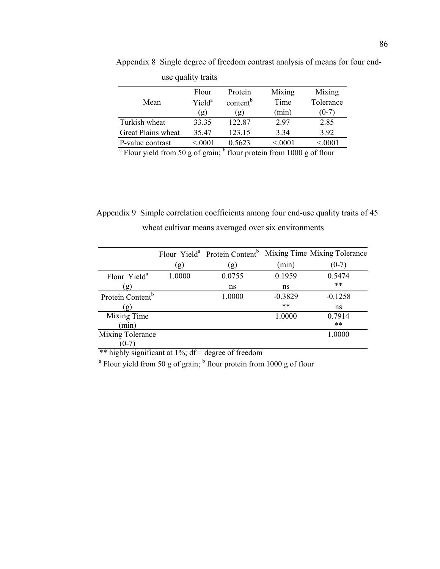| use quality traits                                   |                    |                      |                                                                              |           |
|------------------------------------------------------|--------------------|----------------------|------------------------------------------------------------------------------|-----------|
|                                                      | Flour              | Protein              | Mixing                                                                       | Mixing    |
| Mean                                                 | Yield <sup>a</sup> | content <sup>b</sup> | Time                                                                         | Tolerance |
|                                                      | (g)                | (g)                  | (min)                                                                        | $(0-7)$   |
| Turkish wheat                                        | 33.35              | 122.87               | 297                                                                          | 2.85      |
| Great Plains wheat                                   | 35.47              | 123.15               | 3.34                                                                         | 3.92      |
| P-value contrast                                     | < 0001             | 0.5623               | < 0001                                                                       | < 0001    |
| $\alpha$ Flame via Lemma $\epsilon_0$ and $\epsilon$ |                    |                      | $n_{\text{out}}$ anotain from $1000 \approx \epsilon f \cdot n_{\text{out}}$ |           |

Appendix 8 Single degree of freedom contrast analysis of means for four end-

Flour yield from 50 g of grain;  $<sup>b</sup>$  flour protein from 1000 g of flour</sup>

 Appendix 9 Simple correlation coefficients among four end-use quality traits of 45 wheat cultivar means averaged over six environments

|                              |        |        |           | Flour Yield <sup>a</sup> Protein Content <sup>b</sup> Mixing Time Mixing Tolerance |
|------------------------------|--------|--------|-----------|------------------------------------------------------------------------------------|
|                              | (g)    | (g)    | (min)     | $(0-7)$                                                                            |
| Flour Yield <sup>a</sup>     | 1.0000 | 0.0755 | 0.1959    | 0.5474                                                                             |
| (g)                          |        | ns     | ns        | $***$                                                                              |
| Protein Content <sup>b</sup> |        | 1.0000 | $-0.3829$ | $-0.1258$                                                                          |
| (g)                          |        |        | **        | ns                                                                                 |
| Mixing Time                  |        |        | 1.0000    | 0.7914                                                                             |
| min)                         |        |        |           | $***$                                                                              |
| Mixing Tolerance             |        |        |           | 1.0000                                                                             |
| $(0 - 7)$                    |        |        |           |                                                                                    |

\*\* highly significant at 1%; df = degree of freedom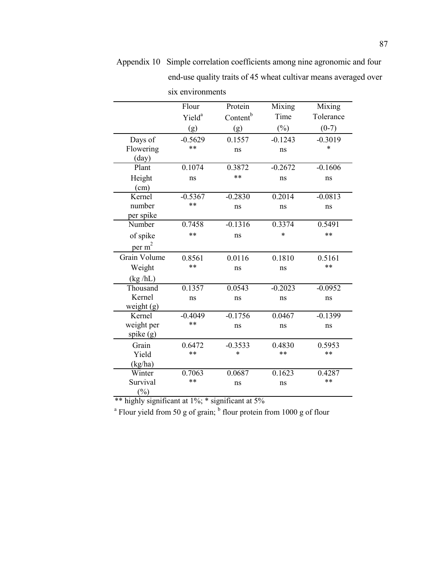|                | Flour              | Protein              | Mixing    | Mixing    |
|----------------|--------------------|----------------------|-----------|-----------|
|                | Yield <sup>a</sup> | Content <sup>b</sup> | Time      | Tolerance |
|                | (g)                | (g)                  | $(\%)$    | $(0-7)$   |
| Days of        | $-0.5629$          | 0.1557               | $-0.1243$ | $-0.3019$ |
| Flowering      | **                 | ns                   | ns        | *         |
| $\text{(day)}$ |                    |                      |           |           |
| Plant          | 0.1074             | 0.3872               | $-0.2672$ | $-0.1606$ |
| Height         | ns                 | **                   | ns        | ns        |
| (cm)           |                    |                      |           |           |
| Kernel         | $-0.5367$          | $-0.2830$            | 0.2014    | $-0.0813$ |
| number         | **                 | ns                   | ns        | ns        |
| per spike      |                    |                      |           |           |
| Number         | 0.7458             | $-0.1316$            | 0.3374    | 0.5491    |
| of spike       | **                 | ns                   | $\ast$    | **        |
| per $m2$       |                    |                      |           |           |
| Grain Volume   | 0.8561             | 0.0116               | 0.1810    | 0.5161    |
| Weight         | **                 | ns                   | ns        | **        |
| (kg/hL)        |                    |                      |           |           |
| Thousand       | 0.1357             | 0.0543               | $-0.2023$ | $-0.0952$ |
| Kernel         | ns                 | ns                   | ns        | ns        |
| weight $(g)$   |                    |                      |           |           |
| Kernel         | $-0.4049$          | $-0.1756$            | 0.0467    | $-0.1399$ |
| weight per     | **                 | ns                   | ns        | ns        |
| spike (g)      |                    |                      |           |           |
| Grain          | 0.6472             | $-0.3533$            | 0.4830    | 0.5953    |
| Yield          | **                 | *                    | **        | **        |
| (kg/ha)        |                    |                      |           |           |
| Winter         | 0.7063             | 0.0687               | 0.1623    | 0.4287    |
| Survival       | **                 | ns                   | ns        | **        |
| $\binom{0}{0}$ |                    |                      |           |           |

Appendix 10 Simple correlation coefficients among nine agronomic and four end-use quality traits of 45 wheat cultivar means averaged over six environments

\*\* highly significant at 1%; \* significant at 5%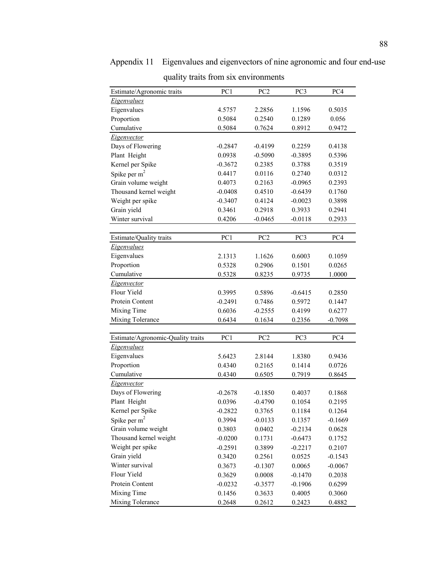| Estimate/Agronomic traits         | PC1       | PC <sub>2</sub> | PC <sub>3</sub> | PC4       |
|-----------------------------------|-----------|-----------------|-----------------|-----------|
| Eigenvalues                       |           |                 |                 |           |
| Eigenvalues                       | 4.5757    | 2.2856          | 1.1596          | 0.5035    |
| Proportion                        | 0.5084    | 0.2540          | 0.1289          | 0.056     |
| Cumulative                        | 0.5084    | 0.7624          | 0.8912          | 0.9472    |
| Eigenvector                       |           |                 |                 |           |
| Days of Flowering                 | $-0.2847$ | $-0.4199$       | 0.2259          | 0.4138    |
| Plant Height                      | 0.0938    | $-0.5090$       | $-0.3895$       | 0.5396    |
| Kernel per Spike                  | $-0.3672$ | 0.2385          | 0.3788          | 0.3519    |
|                                   | 0.4417    | 0.0116          | 0.2740          | 0.0312    |
| Spike per $m2$                    | 0.4073    | 0.2163          | $-0.0965$       | 0.2393    |
| Grain volume weight               |           |                 |                 |           |
| Thousand kernel weight            | $-0.0408$ | 0.4510          | $-0.6439$       | 0.1760    |
| Weight per spike                  | $-0.3407$ | 0.4124          | $-0.0023$       | 0.3898    |
| Grain yield                       | 0.3461    | 0.2918          | 0.3933          | 0.2941    |
| Winter survival                   | 0.4206    | $-0.0465$       | $-0.0118$       | 0.2933    |
|                                   | PC1       |                 | PC <sub>3</sub> |           |
| Estimate/Quality traits           |           | PC <sub>2</sub> |                 | PC4       |
| Eigenvalues                       |           |                 |                 |           |
| Eigenvalues                       | 2.1313    | 1.1626          | 0.6003          | 0.1059    |
| Proportion                        | 0.5328    | 0.2906          | 0.1501          | 0.0265    |
| Cumulative                        | 0.5328    | 0.8235          | 0.9735          | 1.0000    |
| Eigenvector                       |           |                 |                 |           |
| Flour Yield                       | 0.3995    | 0.5896          | $-0.6415$       | 0.2850    |
| Protein Content                   | $-0.2491$ | 0.7486          | 0.5972          | 0.1447    |
| Mixing Time                       | 0.6036    | $-0.2555$       | 0.4199          | 0.6277    |
| Mixing Tolerance                  | 0.6434    | 0.1634          | 0.2356          | $-0.7098$ |
|                                   |           |                 |                 |           |
| Estimate/Agronomic-Quality traits | PC1       | PC <sub>2</sub> | PC3             | PC4       |
| Eigenvalues                       |           |                 |                 |           |
| Eigenvalues                       | 5.6423    | 2.8144          | 1.8380          | 0.9436    |
| Proportion                        | 0.4340    | 0.2165          | 0.1414          | 0.0726    |
| Cumulative                        | 0.4340    | 0.6505          | 0.7919          | 0.8645    |
| Eigenvector                       |           |                 |                 |           |
| Days of Flowering                 | $-0.2678$ | $-0.1850$       | 0.4037          | 0.1868    |
| Plant Height                      | 0.0396    | $-0.4790$       | 0.1054          | 0.2195    |
| Kernel per Spike                  | $-0.2822$ | 0.3765          | 0.1184          | 0.1264    |
| Spike per $m^2$                   | 0.3994    | $-0.0133$       | 0.1357          | $-0.1669$ |
| Grain volume weight               | 0.3803    | 0.0402          | $-0.2134$       | 0.0628    |
| Thousand kernel weight            | $-0.0200$ | 0.1731          | $-0.6473$       | 0.1752    |
| Weight per spike                  | $-0.2591$ | 0.3899          | $-0.2217$       | 0.2107    |
| Grain yield                       | 0.3420    | 0.2561          | 0.0525          | $-0.1543$ |
| Winter survival                   | 0.3673    | $-0.1307$       | 0.0065          | $-0.0067$ |
| Flour Yield                       | 0.3629    | 0.0008          | $-0.1470$       | 0.2038    |
| Protein Content                   | $-0.0232$ | $-0.3577$       | $-0.1906$       | 0.6299    |
| Mixing Time                       | 0.1456    | 0.3633          | 0.4005          | 0.3060    |
| Mixing Tolerance                  | 0.2648    | 0.2612          | 0.2423          | 0.4882    |

Appendix 11 Eigenvalues and eigenvectors of nine agronomic and four end-use quality traits from six environments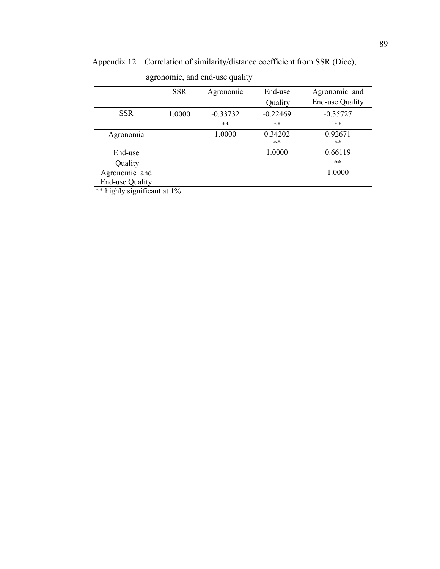|                        | <b>SSR</b> | Agronomic  | End-use    | Agronomic and          |
|------------------------|------------|------------|------------|------------------------|
|                        |            |            | Quality    | <b>End-use Quality</b> |
| <b>SSR</b>             | 1.0000     | $-0.33732$ | $-0.22469$ | $-0.35727$             |
|                        |            | $***$      | $***$      | **                     |
| Agronomic              |            | 1.0000     | 0.34202    | 0.92671                |
|                        |            |            | $***$      | **                     |
| End-use                |            |            | 1.0000     | 0.66119                |
| Quality                |            |            |            | **                     |
| Agronomic and          |            |            |            | 1.0000                 |
| <b>End-use Quality</b> |            |            |            |                        |
|                        |            |            |            |                        |

Appendix 12 Correlation of similarity/distance coefficient from SSR (Dice),

agronomic, and end-use quality

\*\* highly significant at 1%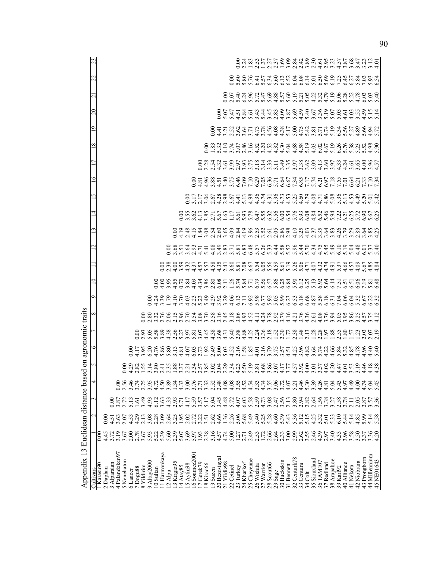| Appendix 13 Euclidean distance bas                                                       |                |                              |                                       |                   | ್ರ               |                            |                           | on agronomic traits           |                                                     |                                                       |                                                         |                                               |                                                                        |                              |                      |                      |                                                        |                                                                                                                                                                                |                |                                   |                                                                                                                   |    |                       |
|------------------------------------------------------------------------------------------|----------------|------------------------------|---------------------------------------|-------------------|------------------|----------------------------|---------------------------|-------------------------------|-----------------------------------------------------|-------------------------------------------------------|---------------------------------------------------------|-----------------------------------------------|------------------------------------------------------------------------|------------------------------|----------------------|----------------------|--------------------------------------------------------|--------------------------------------------------------------------------------------------------------------------------------------------------------------------------------|----------------|-----------------------------------|-------------------------------------------------------------------------------------------------------------------|----|-----------------------|
| Cultivars                                                                                |                |                              |                                       | 4                 |                  | ∘                          |                           | ∞                             | Ò                                                   | $\subseteq$                                           |                                                         | $\mathrel{\sim}$                              | 3                                                                      | ᅼ                            | 5                    | ত                    |                                                        | $\infty$                                                                                                                                                                       | $\overline{9}$ | 20                                | $\overline{\mathbf{C}}$                                                                                           | 22 |                       |
| Karasu <sub>9</sub> C                                                                    | 0.00           |                              |                                       |                   |                  |                            |                           |                               |                                                     |                                                       |                                                         |                                               |                                                                        |                              |                      |                      |                                                        |                                                                                                                                                                                |                |                                   |                                                                                                                   |    |                       |
| 2 Daphan                                                                                 | 45             | 0.00                         |                                       |                   |                  |                            |                           |                               |                                                     |                                                       |                                                         |                                               |                                                                        |                              |                      |                      |                                                        |                                                                                                                                                                                |                |                                   |                                                                                                                   |    |                       |
| 3 Alparslan                                                                              | 3.72           | 4.5                          | 0.00                                  |                   |                  |                            |                           |                               |                                                     |                                                       |                                                         |                                               |                                                                        |                              |                      |                      |                                                        |                                                                                                                                                                                |                |                                   |                                                                                                                   |    |                       |
| 4 Palandoken97<br>5 Nenehatun                                                            | 3.19<br>3.67   | 3.63<br>2.07                 | $3.87$<br>$2.72$                      | S                 |                  |                            |                           |                               |                                                     |                                                       |                                                         |                                               |                                                                        |                              |                      |                      |                                                        |                                                                                                                                                                                |                |                                   |                                                                                                                   |    |                       |
|                                                                                          | 2.00           | 4.53                         | 5.13                                  | 3.46              |                  | ਠ                          |                           |                               |                                                     |                                                       |                                                         |                                               |                                                                        |                              |                      |                      |                                                        |                                                                                                                                                                                |                |                                   |                                                                                                                   |    |                       |
| $\begin{array}{c} 6 \text{ Lancer} \\ 7 \text{ Dogu8} \\ 8 \text{ Yildirim} \end{array}$ | 2.78           | 4.29                         | 1.61                                  |                   |                  |                            | $\widetilde{\mathcal{C}}$ |                               |                                                     |                                                       |                                                         |                                               |                                                                        |                              |                      |                      |                                                        |                                                                                                                                                                                |                |                                   |                                                                                                                   |    |                       |
|                                                                                          |                | 2.13                         | 3.49                                  |                   |                  |                            |                           |                               |                                                     |                                                       |                                                         |                                               |                                                                        |                              |                      |                      |                                                        |                                                                                                                                                                                |                |                                   |                                                                                                                   |    |                       |
| 9 Altay2000                                                                              | 3.67           | 3.08                         | 4.93                                  | 2.75              |                  | $3.95$<br>6.20             | 2.93                      | $rac{8}{2}$                   |                                                     |                                                       |                                                         |                                               |                                                                        |                              |                      |                      |                                                        |                                                                                                                                                                                |                |                                   |                                                                                                                   |    |                       |
| 10 Sultan                                                                                |                | 2.28                         | 6.12                                  | 4.72              |                  |                            |                           | 32                            |                                                     |                                                       |                                                         |                                               |                                                                        |                              |                      |                      |                                                        |                                                                                                                                                                                |                |                                   |                                                                                                                   |    |                       |
| 11 Harmankaya                                                                            | 5.22           | 3.09                         | 3.63                                  | 4.50              |                  | $7,88$<br>$7,88$<br>$0,58$ | 5883857<br>589357         |                               |                                                     | 0.00                                                  |                                                         |                                               |                                                                        |                              |                      |                      |                                                        |                                                                                                                                                                                |                |                                   |                                                                                                                   |    |                       |
| 12 Alpu                                                                                  | 5.60           | 2.64                         |                                       |                   |                  |                            |                           |                               |                                                     |                                                       |                                                         |                                               |                                                                        |                              |                      |                      |                                                        |                                                                                                                                                                                |                |                                   |                                                                                                                   |    |                       |
| 13 Kirgiz95                                                                              | 2.39           | 3.25                         | $\frac{433}{207}$                     | $3,34$<br>$-4.33$ |                  | $\Xi$                      |                           | 0699004808999<br>000000000000 |                                                     | $3.55$<br>0.70                                        | $\begin{array}{c} 0.08 \\ 0.01 \\ 0.4 \end{array}$      | 00 00 11 00<br>0 11 11 11 11<br>0 11 11 11 11 | 0.00                                                                   |                              |                      |                      |                                                        |                                                                                                                                                                                |                |                                   |                                                                                                                   |    |                       |
| 14 Atay85                                                                                | 5.07           | 1.95                         |                                       |                   |                  | 4.81                       |                           |                               |                                                     |                                                       | 3.59                                                    |                                               | 4.19                                                                   | 0.00                         |                      |                      |                                                        |                                                                                                                                                                                |                |                                   |                                                                                                                   |    |                       |
| $15$ Aytin $98$<br>$16$ Sonmez $2001$                                                    | 3.69           |                              |                                       | 3.76              |                  |                            | 9204                      |                               |                                                     |                                                       |                                                         |                                               |                                                                        | 3,62,38,76,63,43,64,76,63,16 |                      |                      |                                                        |                                                                                                                                                                                |                |                                   |                                                                                                                   |    |                       |
|                                                                                          |                |                              |                                       |                   |                  | $\frac{6.03}{6.03}$        |                           |                               |                                                     |                                                       |                                                         |                                               |                                                                        |                              |                      | 0.00                 |                                                        |                                                                                                                                                                                |                |                                   |                                                                                                                   |    |                       |
| 17 Gerek79                                                                               |                | 222<br>223                   | $1797774$<br>$1597774$                | 7.32              |                  | Y.                         |                           |                               | ី ដូង<br>កំពុង                                      |                                                       |                                                         | 4.71                                          |                                                                        |                              | 0.07<br>0.07<br>0.07 | 18885455<br>18885455 |                                                        |                                                                                                                                                                                |                |                                   |                                                                                                                   |    |                       |
| 18 Kirac66                                                                               |                | 3.51                         |                                       |                   |                  | S                          |                           |                               | $\ddot{e}$                                          |                                                       |                                                         | 5.41                                          |                                                                        |                              |                      |                      |                                                        |                                                                                                                                                                                |                |                                   |                                                                                                                   |    |                       |
| 19 Suzen                                                                                 |                | 2.62                         |                                       |                   |                  | 2.49                       |                           |                               |                                                     |                                                       |                                                         |                                               |                                                                        |                              |                      |                      |                                                        |                                                                                                                                                                                |                |                                   |                                                                                                                   |    |                       |
| 20 Bezostayal                                                                            |                |                              |                                       | $2.52$<br>$2.48$  |                  |                            |                           |                               |                                                     |                                                       |                                                         |                                               |                                                                        |                              |                      |                      |                                                        |                                                                                                                                                                                |                |                                   |                                                                                                                   |    |                       |
| 21 Yildiz98                                                                              |                |                              |                                       | 4.08              |                  | 5.03                       |                           |                               |                                                     |                                                       | 2.41                                                    |                                               |                                                                        |                              |                      |                      |                                                        |                                                                                                                                                                                |                |                                   |                                                                                                                   |    |                       |
| 22 Cetinel                                                                               |                | $4.366$<br>$1.366$<br>$5.06$ | $34807$<br>$34707$<br>$3407$          | 4.08              |                  |                            |                           |                               | 3333513<br>400450                                   |                                                       |                                                         |                                               |                                                                        |                              | ५३३६ व               |                      |                                                        |                                                                                                                                                                                |                |                                   |                                                                                                                   |    |                       |
| 23 Turkey                                                                                | $\frac{1}{27}$ |                              |                                       | 3.55              |                  | $\frac{52}{16}$            |                           |                               |                                                     |                                                       |                                                         |                                               | $4.\overline{84}$<br>2.84                                              |                              |                      |                      |                                                        |                                                                                                                                                                                |                |                                   |                                                                                                                   |    |                       |
| 24 Kharkof                                                                               |                |                              |                                       |                   |                  |                            |                           | $\frac{886}{3.893}$           |                                                     |                                                       |                                                         |                                               |                                                                        | $\frac{17}{5.53}$            | $\ddot{=}$           |                      |                                                        |                                                                                                                                                                                |                |                                   |                                                                                                                   |    |                       |
| 25 Cheyenne                                                                              | 2.71           | 5.68                         |                                       | $4.52$<br>$4.54$  |                  | $rac{38}{1.85}$            |                           |                               |                                                     |                                                       |                                                         |                                               | $4.19$<br>$3.96$                                                       |                              |                      |                      |                                                        |                                                                                                                                                                                |                |                                   |                                                                                                                   |    |                       |
| 26 Wichita                                                                               | 53<br>$\sim$   | 5.40                         | $0.3807$<br>$0.5807$                  | 3.33              |                  |                            |                           |                               | 110850500000088608811060<br>11085050000008860881106 | 2012080101122110010212001<br>201208011122110010212012 | Gancicus Canada<br>Gancicus Canada<br>Gancicus Canada   |                                               |                                                                        |                              |                      |                      |                                                        | O M N O T C S S N N O N N O T & S D M N C D N S O K,<br>O M N T L O S T N N N N M N C V N T O S D H N O T N O K N N<br>O H N T M N N N T T N N T T N T H N T N T O T N O K N N |                | 000453664468005069466900569690569 | OCATON FOXEO A HONNA A FORMA DE CAN<br>OCATON FOXEO A HONNA A FORMA FORMA<br>ONNO A A FOXEO A HONNA A FORMA FORMA |    |                       |
| 27 Warrior                                                                               |                |                              |                                       | 4.34              |                  |                            |                           |                               |                                                     |                                                       |                                                         |                                               |                                                                        |                              |                      |                      |                                                        |                                                                                                                                                                                |                |                                   |                                                                                                                   |    |                       |
| Scout66<br>28                                                                            | 7.684909805    | 3,86,80                      |                                       |                   |                  | 19857777                   |                           |                               |                                                     |                                                       |                                                         |                                               | nduos en chommento<br>Chommento de Chommento<br>Chommento de Chommento |                              |                      |                      |                                                        |                                                                                                                                                                                |                |                                   |                                                                                                                   |    |                       |
| Sage<br>29                                                                               |                |                              |                                       | 3.58<br>3.52      |                  |                            |                           |                               |                                                     |                                                       |                                                         |                                               |                                                                        |                              |                      |                      |                                                        |                                                                                                                                                                                |                |                                   |                                                                                                                   |    |                       |
| <b>Buckskin</b><br>$\overline{30}$                                                       |                |                              | $3.08$<br>$2.47$<br>$3.56$            |                   |                  |                            |                           |                               |                                                     |                                                       |                                                         |                                               |                                                                        |                              |                      |                      |                                                        |                                                                                                                                                                                |                |                                   |                                                                                                                   |    |                       |
| 31 Bennett                                                                               |                | 5.43                         | $2.13$<br>$3.80$                      | 4.07              |                  |                            |                           |                               |                                                     |                                                       |                                                         |                                               |                                                                        |                              |                      |                      |                                                        |                                                                                                                                                                                |                |                                   |                                                                                                                   |    |                       |
| 32 Centurk78                                                                             |                | 5.36                         |                                       | 5.21              |                  |                            |                           |                               |                                                     |                                                       |                                                         |                                               |                                                                        |                              |                      |                      |                                                        |                                                                                                                                                                                |                |                                   |                                                                                                                   |    |                       |
| 33 Centura                                                                               |                | 5.12                         | 2.94                                  | 4.46              |                  | $-96$                      |                           |                               |                                                     | 6.12<br>6.25                                          |                                                         |                                               |                                                                        |                              |                      |                      |                                                        |                                                                                                                                                                                |                |                                   |                                                                                                                   |    |                       |
| 34 Colt                                                                                  |                | 5.15                         |                                       | 5.30              |                  | $\ddot{8}$                 |                           |                               |                                                     |                                                       |                                                         |                                               |                                                                        |                              |                      |                      |                                                        |                                                                                                                                                                                |                |                                   |                                                                                                                   |    |                       |
| 35 Siouxland                                                                             | 46<br>$\sim$   |                              | 2.64                                  | 3.39              |                  | Ŕ                          |                           |                               |                                                     |                                                       |                                                         |                                               |                                                                        |                              |                      |                      |                                                        |                                                                                                                                                                                |                |                                   |                                                                                                                   |    |                       |
| 36 TAM107                                                                                |                |                              |                                       |                   |                  | $\tilde{\mathcal{L}}$      |                           |                               |                                                     |                                                       |                                                         |                                               |                                                                        |                              |                      |                      |                                                        |                                                                                                                                                                                |                |                                   |                                                                                                                   |    |                       |
| 37 Redland                                                                               | 4.397          | $4.23$<br>$4.50$<br>$5.33$   |                                       | $4.26$<br>$4.81$  |                  | 4.22                       |                           |                               |                                                     | 5.934                                                 |                                                         | $5.45$<br>5.49                                |                                                                        |                              |                      |                      |                                                        |                                                                                                                                                                                |                |                                   |                                                                                                                   |    |                       |
| 38 Arapahoe                                                                              | 3.40           |                              |                                       | 5.04              |                  |                            |                           |                               |                                                     | 6.14                                                  |                                                         |                                               |                                                                        |                              |                      |                      |                                                        |                                                                                                                                                                                |                |                                   |                                                                                                                   |    |                       |
| 39 Karl92                                                                                | 4.33           | 6.10                         | $1.56$<br>$1.337$<br>$2.78$<br>$2.78$ | 5.43              |                  | 4.84                       |                           | 53555<br>235555               |                                                     |                                                       |                                                         | 6.10                                          |                                                                        |                              |                      |                      |                                                        |                                                                                                                                                                                |                |                                   |                                                                                                                   |    |                       |
| 40 Alliance                                                                              |                | 5.44                         |                                       | 4.97              |                  |                            |                           |                               |                                                     |                                                       |                                                         | 5.19                                          | $5^{\circ}$                                                            |                              | $\ddot{1}$           |                      |                                                        |                                                                                                                                                                                |                |                                   |                                                                                                                   |    |                       |
| 41 Nekota                                                                                |                | 5.14                         | 2.11                                  | 4.49              | 5.588775994      | $38880$<br>$0444$          |                           | 386                           |                                                     | 755<br>655                                            | 0 0 0 0 0 0 0 0 0<br>0 0 0 0 0 0 0 0<br>0 0 0 0 0 0 0 0 | 5.04                                          | , 29                                                                   |                              | 4.53                 |                      | $1365, 2400$<br>$156, 250$<br>$156, 250$<br>$156, 250$ |                                                                                                                                                                                |                |                                   |                                                                                                                   |    |                       |
| 42 Niobrara                                                                              |                | 4.85                         | 2.05                                  | 4.00              |                  |                            |                           | $\overline{a}$                | 32                                                  |                                                       | 4.09                                                    | 4.48                                          | 89                                                                     | 5.72                         | $\ddot{ }$           |                      |                                                        |                                                                                                                                                                                |                | 3.55                              |                                                                                                                   |    |                       |
| 43 Pronghorn                                                                             |                |                              | 2.87                                  | 4.74              |                  |                            | $\overline{0}$            | $575$<br>$3.75$<br>$4.12$     | 5222                                                | $\overline{5}$                                        | <u>e</u> si si                                          | 6.01                                          | È                                                                      | $\mathcal{S}_{0}$            | gag                  |                      | $\mathcal{S}$                                          | 5.52<br>4.98                                                                                                                                                                   |                |                                   |                                                                                                                   |    | $\tilde{\mathcal{L}}$ |
| 44 Millennium                                                                            |                | 5.14                         | 57<br>36                              | 5.45              | $4.18$<br>$4.38$ | $\ddot{=}$                 | $2.07$<br>$2.19$          |                               |                                                     | 5.81<br>6.48                                          |                                                         | 37                                            | 85                                                                     | <u>e vi</u>                  |                      | $-34$                | 96                                                     |                                                                                                                                                                                | 94             |                                   |                                                                                                                   |    | $\frac{3.12}{4.01}$   |
| NE01643<br>45                                                                            |                |                              |                                       |                   |                  | $\dot{a}$                  |                           |                               |                                                     |                                                       |                                                         |                                               |                                                                        |                              |                      |                      |                                                        |                                                                                                                                                                                |                |                                   |                                                                                                                   |    |                       |

90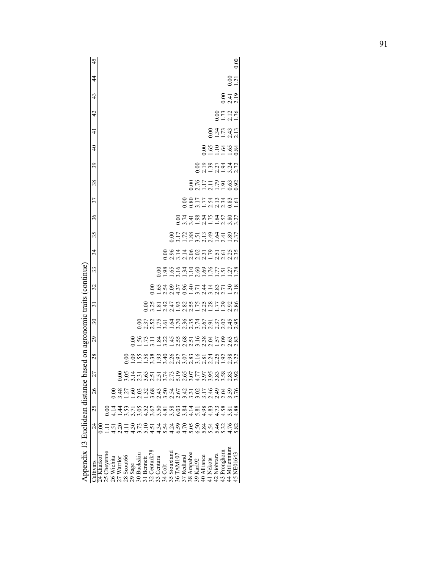| 45                                          |            |             |                |               |            |         |                                                             |            |              |            |         |              |                                  |            |             |           |             |                                         |             |                |                          | 0.00       |
|---------------------------------------------|------------|-------------|----------------|---------------|------------|---------|-------------------------------------------------------------|------------|--------------|------------|---------|--------------|----------------------------------|------------|-------------|-----------|-------------|-----------------------------------------|-------------|----------------|--------------------------|------------|
| $\overline{4}$                              |            |             |                |               |            |         |                                                             |            |              |            |         |              |                                  |            |             |           |             |                                         |             |                | $\frac{0.00}{1.21}$      |            |
| $\frac{4}{3}$                               |            |             |                |               |            |         |                                                             |            |              |            |         |              |                                  |            |             |           |             |                                         |             |                | 0.419                    |            |
| $\frac{4}{2}$                               |            |             |                |               |            |         |                                                             |            |              |            |         |              |                                  |            |             |           |             |                                         |             |                | 0.00<br>1.71<br>1.76     |            |
| 4                                           |            |             |                |               |            |         |                                                             |            |              |            |         |              |                                  |            |             |           |             |                                         |             |                | 0.31<br>0.1131<br>0.1131 |            |
| $\frac{1}{4}$                               |            |             |                |               |            |         |                                                             |            |              |            |         |              |                                  |            |             |           |             | 0.611684                                |             |                |                          |            |
| 39                                          |            |             |                |               |            |         |                                                             |            |              |            |         |              |                                  |            |             |           |             |                                         |             |                |                          |            |
| 38                                          |            |             |                |               |            |         |                                                             |            |              |            |         |              |                                  |            |             |           |             | 000111001003<br>0011101003<br>000111000 |             |                |                          |            |
| 37                                          |            |             |                |               |            |         |                                                             |            |              |            |         |              |                                  |            |             |           |             | 00811743489.61<br>00811743489.61        |             |                |                          |            |
| 36                                          |            |             |                |               |            |         |                                                             |            |              |            |         |              |                                  |            |             |           |             |                                         |             |                |                          |            |
| 35                                          |            |             |                |               |            |         |                                                             |            |              |            |         |              |                                  |            |             |           |             |                                         |             |                |                          |            |
| 34                                          |            |             |                |               |            |         |                                                             |            |              |            |         |              | SSIISSIPTEKS<br>SSIISSIPTEK      |            |             |           |             |                                         |             |                |                          |            |
| 33                                          |            |             |                |               |            |         |                                                             |            |              |            |         |              |                                  |            |             |           |             |                                         |             |                |                          |            |
| 32                                          |            |             |                |               |            |         |                                                             |            |              |            |         |              | SSASLSSTATSLES<br>SSASLSSTATSLES |            |             |           |             |                                         |             |                |                          |            |
| $\overline{31}$                             |            |             |                |               |            |         |                                                             |            |              |            |         |              |                                  |            |             |           |             |                                         |             |                |                          |            |
| 30                                          |            |             |                |               |            |         |                                                             |            |              |            |         |              |                                  |            |             |           |             |                                         |             |                |                          |            |
| 29                                          |            |             |                |               |            |         |                                                             |            |              |            |         |              |                                  |            |             |           |             |                                         |             |                |                          |            |
| based on agronomic traits (continue)<br>28  |            |             |                |               |            |         |                                                             |            |              |            |         |              |                                  |            |             |           |             |                                         |             |                |                          |            |
| 27                                          |            |             |                |               |            |         | 6847767779655588888                                         |            |              |            |         |              |                                  |            |             |           |             |                                         |             |                |                          |            |
| 26                                          |            |             |                | $\frac{3}{2}$ |            |         |                                                             |            |              |            |         |              |                                  |            |             |           |             |                                         | 49          | 2.04           | 59                       | 76         |
| 25                                          |            |             | $\frac{4}{11}$ | $\frac{4}{4}$ |            |         |                                                             |            |              |            |         |              |                                  |            |             |           |             |                                         |             | $4.58$<br>3.81 |                          | 88         |
| 24                                          | $\rm ^{o}$ |             | 4.51           | 2.20          |            |         | TOMOUTTAGOOGOGATO<br>LOMOUTTAGOOGOGATO<br>LOMOUTTAGOOGOGATO |            |              |            |         |              |                                  |            |             |           |             |                                         |             | 5.32<br>4.76   |                          | 82         |
| Appendix 13 Euclidean distance<br>Cultivars | 24 Kharkoi | 25 Cheyenne | 26 Wichita     | 27 Warrior    | 28 Scout66 | 29 Sage | 30 Buckskin                                                 | 31 Bennett | 32 Centurk78 | 33 Centura | 34 Colt | 35 Siouxland | 36 TAM107                        | 37 Redland | 38 Arapahoe | 39 Karl92 | 40 Alliance | 41 Nekota                               | 42 Niobrara | 43 Pronghorn   | 44 Millennium            | 45 NE01643 |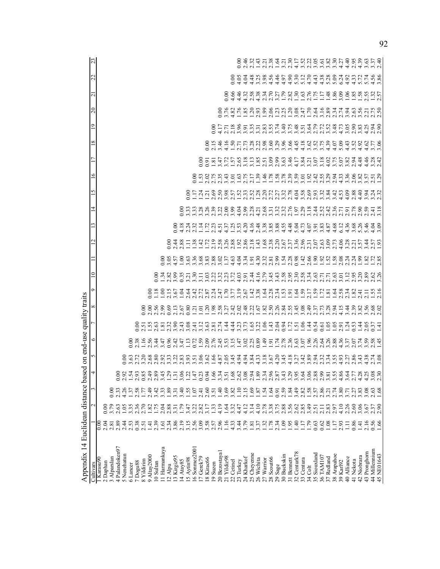| Appendix 14 Euclidean distance ba |                            |                       |                     | sed |      | on end-use quality traits                                                                                                                                                                                                           |                                                                                                      |   |  |                                                                                                                                                                             |   |         |   |   |          |        |                                                                                                                                                                     |                                                                                                                                                                   |
|-----------------------------------|----------------------------|-----------------------|---------------------|-----|------|-------------------------------------------------------------------------------------------------------------------------------------------------------------------------------------------------------------------------------------|------------------------------------------------------------------------------------------------------|---|--|-----------------------------------------------------------------------------------------------------------------------------------------------------------------------------|---|---------|---|---|----------|--------|---------------------------------------------------------------------------------------------------------------------------------------------------------------------|-------------------------------------------------------------------------------------------------------------------------------------------------------------------|
| Cultivars                         |                            |                       |                     |     |      |                                                                                                                                                                                                                                     |                                                                                                      | ᡋ |  |                                                                                                                                                                             | 5 | $\circ$ | ∞ | ๑ | $\Omega$ | $\sim$ |                                                                                                                                                                     |                                                                                                                                                                   |
| Karasu90                          | 0.00                       |                       |                     |     |      |                                                                                                                                                                                                                                     |                                                                                                      |   |  |                                                                                                                                                                             |   |         |   |   |          |        |                                                                                                                                                                     |                                                                                                                                                                   |
| 2 Daphan                          | 3                          |                       |                     |     |      |                                                                                                                                                                                                                                     |                                                                                                      |   |  |                                                                                                                                                                             |   |         |   |   |          |        |                                                                                                                                                                     |                                                                                                                                                                   |
| 3 Alparslan                       | 2.81                       |                       | $_{0.00}$           |     |      |                                                                                                                                                                                                                                     |                                                                                                      |   |  |                                                                                                                                                                             |   |         |   |   |          |        |                                                                                                                                                                     |                                                                                                                                                                   |
| 4 Palandoken97                    | 2.89                       | 2.63                  |                     |     |      |                                                                                                                                                                                                                                     |                                                                                                      |   |  |                                                                                                                                                                             |   |         |   |   |          |        |                                                                                                                                                                     |                                                                                                                                                                   |
| 5 Nenehatun                       | 2.4                        | $\frac{05}{2}$        |                     |     |      |                                                                                                                                                                                                                                     |                                                                                                      |   |  |                                                                                                                                                                             |   |         |   |   |          |        |                                                                                                                                                                     |                                                                                                                                                                   |
| 6 Lancer                          | $\tilde{\mathcal{S}}$      | 3.35                  | $\ddot{3}$          |     |      |                                                                                                                                                                                                                                     |                                                                                                      |   |  |                                                                                                                                                                             |   |         |   |   |          |        |                                                                                                                                                                     |                                                                                                                                                                   |
| 7Dogu88                           | 0.38                       | 2.36                  | 58                  |     |      |                                                                                                                                                                                                                                     |                                                                                                      |   |  |                                                                                                                                                                             |   |         |   |   |          |        |                                                                                                                                                                     |                                                                                                                                                                   |
| 8 Yildirim                        | 2.51                       | 2.70                  | 77                  |     |      |                                                                                                                                                                                                                                     |                                                                                                      |   |  |                                                                                                                                                                             |   |         |   |   |          |        |                                                                                                                                                                     |                                                                                                                                                                   |
| 9 Altay2000                       | $\overline{4}$             | $\overline{82}$       | $\ddot{ }$          |     |      |                                                                                                                                                                                                                                     |                                                                                                      |   |  |                                                                                                                                                                             |   |         |   |   |          |        |                                                                                                                                                                     |                                                                                                                                                                   |
| 10 Sultan                         | 2.39                       | 1.75                  | 42                  |     |      |                                                                                                                                                                                                                                     |                                                                                                      |   |  |                                                                                                                                                                             |   |         |   |   |          |        |                                                                                                                                                                     |                                                                                                                                                                   |
| 11 Harmankaya                     | $\overline{6}$             | 2.04                  | $\ddot{3}$          |     |      |                                                                                                                                                                                                                                     |                                                                                                      |   |  |                                                                                                                                                                             |   |         |   |   |          |        |                                                                                                                                                                     |                                                                                                                                                                   |
| 12 Alpu                           | 2.34                       | 2.88                  | 89                  |     |      |                                                                                                                                                                                                                                     |                                                                                                      |   |  |                                                                                                                                                                             |   |         |   |   |          |        |                                                                                                                                                                     |                                                                                                                                                                   |
| 13 Kirgiz95                       | 3.86                       | 3.31                  | $\Xi$               |     |      |                                                                                                                                                                                                                                     |                                                                                                      |   |  |                                                                                                                                                                             |   |         |   |   |          |        |                                                                                                                                                                     |                                                                                                                                                                   |
| 4 Atay85                          | 2.19                       | $\tilde{\mathcal{L}}$ | $\hat{=}$           |     |      |                                                                                                                                                                                                                                     |                                                                                                      |   |  |                                                                                                                                                                             |   |         |   |   |          |        |                                                                                                                                                                     |                                                                                                                                                                   |
| 5 Aytin98                         | 3.15                       | 3.47                  | 55                  |     |      |                                                                                                                                                                                                                                     |                                                                                                      |   |  |                                                                                                                                                                             |   |         |   |   |          |        |                                                                                                                                                                     |                                                                                                                                                                   |
| 6 Sonmez2001                      | 2.56                       | 3.22                  | $\ddot{\theta}$     |     |      |                                                                                                                                                                                                                                     |                                                                                                      |   |  |                                                                                                                                                                             |   |         |   |   |          |        |                                                                                                                                                                     |                                                                                                                                                                   |
| 17 Gerek79                        | 3.09                       | 2.82                  | न्                  |     |      |                                                                                                                                                                                                                                     |                                                                                                      |   |  |                                                                                                                                                                             |   |         |   |   |          |        |                                                                                                                                                                     |                                                                                                                                                                   |
| 18 Kirac66                        |                            | 3.17                  | $\ddot{6}$          |     |      |                                                                                                                                                                                                                                     |                                                                                                      |   |  |                                                                                                                                                                             |   |         |   |   |          |        |                                                                                                                                                                     |                                                                                                                                                                   |
| 19 Suzen                          | $3.58$<br>$2.57$           | 133                   | $\overline{5}$      |     |      |                                                                                                                                                                                                                                     |                                                                                                      |   |  |                                                                                                                                                                             |   |         |   |   |          |        |                                                                                                                                                                     |                                                                                                                                                                   |
| 20 Bezostayal                     | 2.96                       | 4.19                  | $\ddot{=}$          |     |      |                                                                                                                                                                                                                                     |                                                                                                      |   |  |                                                                                                                                                                             |   |         |   |   |          |        |                                                                                                                                                                     |                                                                                                                                                                   |
| 21 Yildiz98                       | 1.16                       | $\dot{q}$             | 69                  |     |      |                                                                                                                                                                                                                                     |                                                                                                      |   |  |                                                                                                                                                                             |   |         |   |   |          |        |                                                                                                                                                                     |                                                                                                                                                                   |
| 22 Cetinel                        | 4.33                       | 3.32                  | 82                  |     |      |                                                                                                                                                                                                                                     |                                                                                                      |   |  |                                                                                                                                                                             |   |         |   |   |          |        |                                                                                                                                                                     |                                                                                                                                                                   |
| 23 Turkey                         | 3.44                       | 4.47                  | $\overline{10}$     |     |      |                                                                                                                                                                                                                                     |                                                                                                      |   |  |                                                                                                                                                                             |   |         |   |   |          |        |                                                                                                                                                                     |                                                                                                                                                                   |
| 24 Kharkof                        | 3.79                       | 4.12                  | 2.15                |     |      |                                                                                                                                                                                                                                     |                                                                                                      |   |  |                                                                                                                                                                             |   |         |   |   |          |        |                                                                                                                                                                     |                                                                                                                                                                   |
| 25 Cheyenne                       | $\overline{1.81}$          | 3.14                  | 69                  |     |      |                                                                                                                                                                                                                                     |                                                                                                      |   |  |                                                                                                                                                                             |   |         |   |   |          |        |                                                                                                                                                                     |                                                                                                                                                                   |
| 26 Wichita                        | 3.37                       | 4.10                  | $\overline{87}$     |     |      |                                                                                                                                                                                                                                     |                                                                                                      |   |  |                                                                                                                                                                             |   |         |   |   |          |        |                                                                                                                                                                     |                                                                                                                                                                   |
| 27 Warrior                        |                            | 2.78                  | $\dot{5}$           |     |      |                                                                                                                                                                                                                                     |                                                                                                      |   |  |                                                                                                                                                                             |   |         |   |   |          |        |                                                                                                                                                                     |                                                                                                                                                                   |
| $28$ Scout66<br>$29$ Sage         | $1.32$<br>$1.78$<br>$2.34$ | 3.38                  | $\ddot{6}$          |     |      | O 8 9 9 9 9 1 0 2 1 0 1 0 1 0 2 9 9 9 0 1 0 1 0 2 0 3 0 1 0 2 0 0 1 0 2 0 4 0 8 9 0 1 0 1 0 3 0 1<br>O 8 1 1 2 3 4 5 6 4 7 1 0 2 0 2 2 4 6 7 8 7 8 7 8 7 8 7 8 7 8 7 8 7 8 9 0 1 2 8 9 0 1 2 9 8 9 0 1 2 8 9 0 1 2<br>O 8 9 9 9 4 0 | 0011001010101010101011011010110110111011011011011011011011011011011011011011011011011011011011011011 |   |  | ס תוט חדר ט תת המת המת לטימי של תיט תת המשל פתימים מים.<br>ס תוט חדר ט ע תיט של חדר תיט מיט ע ת ס ריס מיט מיט דמיט ע ת ס<br>ס מ ת ט ת ט מ ח ר ט מ ס פ ס מ מ מ מ מ מ ת מ ת ה |   |         |   |   |          |        | O S T T T M S S S P D O N D T R S S T N M N T T S S<br>O O T T T M O M T T D M H L T T M N O N D N M H L M K<br>O S T T S M S S S D D O N D T S S S T N M N T T S S | 0 d'U d'U d'A d'U d'L'OI D'U D'OI D'OI D'OI D'OI D'OI<br>0 d'U d'U d'U d'U d'U d'U d'OI D'OI D'OI D'OI D'OI D'OI<br>0 d'U d'U d'A d'O L OI NU D'OI D'OI D'OI D'OI |
|                                   |                            | 3.75                  | 5                   |     |      |                                                                                                                                                                                                                                     |                                                                                                      |   |  |                                                                                                                                                                             |   |         |   |   |          |        |                                                                                                                                                                     |                                                                                                                                                                   |
| 30 Buckskin                       | 1.09                       | 2.88                  | 59                  |     |      |                                                                                                                                                                                                                                     |                                                                                                      |   |  |                                                                                                                                                                             |   |         |   |   |          |        |                                                                                                                                                                     |                                                                                                                                                                   |
| 31 Bennett                        | 1.95                       | 3.56                  | $\ddot{\mathbf{8}}$ |     |      |                                                                                                                                                                                                                                     |                                                                                                      |   |  |                                                                                                                                                                             |   |         |   |   |          |        |                                                                                                                                                                     |                                                                                                                                                                   |
| 32 Centurk78                      | 1.40                       | 2.62                  | $\dot{\mathcal{F}}$ |     |      |                                                                                                                                                                                                                                     |                                                                                                      |   |  |                                                                                                                                                                             |   |         |   |   |          |        |                                                                                                                                                                     |                                                                                                                                                                   |
| 33 Centura                        | 117                        | 2.85                  | 82                  |     |      |                                                                                                                                                                                                                                     |                                                                                                      |   |  |                                                                                                                                                                             |   |         |   |   |          |        |                                                                                                                                                                     |                                                                                                                                                                   |
| 34 Colt                           | 1.79                       | 3.49                  | 58                  |     |      |                                                                                                                                                                                                                                     |                                                                                                      |   |  |                                                                                                                                                                             |   |         |   |   |          |        |                                                                                                                                                                     |                                                                                                                                                                   |
| 35 Siouxland<br>36 TAM107         | 0.63                       | 2.51                  | 57                  |     |      |                                                                                                                                                                                                                                     |                                                                                                      |   |  |                                                                                                                                                                             |   |         |   |   |          |        |                                                                                                                                                                     |                                                                                                                                                                   |
|                                   | 0.62                       |                       | 86                  |     |      |                                                                                                                                                                                                                                     |                                                                                                      |   |  |                                                                                                                                                                             |   |         |   |   |          |        |                                                                                                                                                                     |                                                                                                                                                                   |
| 37 Redland                        | 1.08                       | 2.83                  | $\overline{c}$      |     |      |                                                                                                                                                                                                                                     |                                                                                                      |   |  |                                                                                                                                                                             |   |         |   |   |          |        |                                                                                                                                                                     |                                                                                                                                                                   |
| 38 Arapahoe                       | 1.17                       | 2.97                  | $\ddot{z}$          |     |      |                                                                                                                                                                                                                                     |                                                                                                      |   |  |                                                                                                                                                                             |   |         |   |   |          |        |                                                                                                                                                                     |                                                                                                                                                                   |
| 39 Karl92                         | 2.93                       | 4.10                  | 80                  |     |      |                                                                                                                                                                                                                                     |                                                                                                      |   |  |                                                                                                                                                                             |   |         |   |   |          |        |                                                                                                                                                                     |                                                                                                                                                                   |
| 40 Alliance                       | $\Xi$                      | 2.26                  | $\overline{71}$     |     |      |                                                                                                                                                                                                                                     |                                                                                                      |   |  |                                                                                                                                                                             |   |         |   |   |          |        |                                                                                                                                                                     |                                                                                                                                                                   |
| 41 Nekota                         | 0.86                       | 2.60                  | $\ddot{5}$          |     |      |                                                                                                                                                                                                                                     |                                                                                                      |   |  |                                                                                                                                                                             |   |         |   |   |          |        |                                                                                                                                                                     |                                                                                                                                                                   |
| 42 Niobrara                       | 1.41                       | 3.06                  | 83                  |     | 4.38 |                                                                                                                                                                                                                                     |                                                                                                      |   |  |                                                                                                                                                                             |   |         |   |   |          |        |                                                                                                                                                                     |                                                                                                                                                                   |
| 43 Pronghorn                      | 2.16                       | 3.67                  | 08                  |     |      |                                                                                                                                                                                                                                     |                                                                                                      |   |  |                                                                                                                                                                             |   |         |   |   |          |        |                                                                                                                                                                     |                                                                                                                                                                   |
| 44 Millennium                     | 0.56                       | $2.37$<br>$2.90$      | 63                  |     | 74   |                                                                                                                                                                                                                                     |                                                                                                      |   |  |                                                                                                                                                                             |   |         |   |   |          |        |                                                                                                                                                                     |                                                                                                                                                                   |
| 45 NE01643                        | 1.66                       |                       | 68                  |     |      |                                                                                                                                                                                                                                     |                                                                                                      |   |  |                                                                                                                                                                             |   |         |   |   |          |        |                                                                                                                                                                     |                                                                                                                                                                   |

92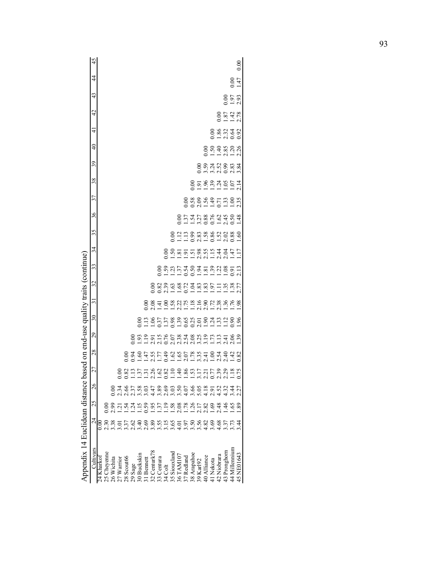|                                            | 45              |            |             |            |            |                   |         |              |           |              |            |         |             |           |                                                   |             |           |             |          |             |                              |                  | 0.00       |
|--------------------------------------------|-----------------|------------|-------------|------------|------------|-------------------|---------|--------------|-----------|--------------|------------|---------|-------------|-----------|---------------------------------------------------|-------------|-----------|-------------|----------|-------------|------------------------------|------------------|------------|
|                                            | $\frac{4}{3}$   |            |             |            |            |                   |         |              |           |              |            |         |             |           |                                                   |             |           |             |          |             |                              | $0.00$<br>1.47   |            |
|                                            | 43              |            |             |            |            |                   |         |              |           |              |            |         |             |           |                                                   |             |           |             |          |             |                              | $\frac{858}{23}$ |            |
|                                            | 42              |            |             |            |            |                   |         |              |           |              |            |         |             |           |                                                   |             |           |             |          |             | 0.00<br>0.01<br>0.12<br>2.78 |                  |            |
|                                            | $\frac{1}{4}$   |            |             |            |            |                   |         |              |           |              |            |         |             |           |                                                   |             |           |             |          |             | 0.8533<br>0.9533<br>0.92     |                  |            |
|                                            | $\frac{4}{3}$   |            |             |            |            |                   |         |              |           |              |            |         |             |           |                                                   |             |           |             |          |             | 0098098<br>0098098           |                  |            |
|                                            | 39              |            |             |            |            |                   |         |              |           |              |            |         |             |           |                                                   |             |           |             |          |             | 0001100023<br>000100003      |                  |            |
|                                            | 38              |            |             |            |            |                   |         |              |           |              |            |         |             |           |                                                   |             |           |             |          |             |                              |                  |            |
|                                            | 37              |            |             |            |            |                   |         |              |           |              |            |         |             |           |                                                   |             |           |             |          |             |                              |                  |            |
|                                            | 36              |            |             |            |            |                   |         |              |           |              |            |         |             |           | 0.074788604508<br>0.1.1.1.000.1.1.000             |             |           |             |          |             |                              |                  |            |
|                                            | 35              |            |             |            |            |                   |         |              |           |              |            |         |             |           |                                                   |             |           |             |          |             |                              |                  |            |
|                                            | 34              |            |             |            |            |                   |         |              |           |              |            |         |             |           |                                                   |             |           |             |          |             |                              |                  |            |
| based on end-use quality traits (continue) | 33              |            |             |            |            |                   |         |              |           |              |            |         |             |           |                                                   |             |           |             |          |             |                              |                  |            |
|                                            | 32              |            |             |            |            |                   |         |              |           |              |            |         |             |           |                                                   |             |           |             |          |             |                              |                  |            |
|                                            | $\overline{31}$ |            |             |            |            |                   |         |              |           |              |            |         |             |           |                                                   |             |           |             |          |             |                              |                  |            |
|                                            | $\overline{30}$ |            |             |            |            |                   |         |              |           |              |            |         |             |           |                                                   |             |           |             |          |             |                              |                  |            |
|                                            | 29              |            |             |            |            |                   |         |              |           |              |            |         |             |           |                                                   |             |           |             |          |             |                              |                  |            |
|                                            | 28              |            |             |            |            |                   |         |              |           |              |            |         |             |           | 0030556509058550305030<br>00305565090505050505000 |             |           |             |          |             |                              |                  |            |
|                                            | 27              |            |             |            |            |                   |         |              |           |              |            |         |             |           |                                                   |             |           |             |          |             |                              |                  |            |
|                                            | 26              |            |             |            |            |                   |         |              |           |              |            |         |             |           |                                                   |             |           |             |          |             |                              |                  |            |
|                                            | 25              |            |             |            |            |                   |         |              |           |              |            |         |             |           |                                                   |             |           |             |          |             |                              |                  |            |
|                                            | $\overline{24}$ |            | $\leq$      | 99         |            | កុ ភ្             |         |              |           |              |            |         |             |           |                                                   |             |           |             |          | 2.48        | $\frac{146}{5}$              | 65               | 89         |
|                                            |                 |            | 2.30        | 38.        |            | $\frac{1}{3}$ .37 |         | 2.62<br>2.40 |           |              |            |         |             |           |                                                   |             |           |             |          |             |                              |                  | $\ddot{4}$ |
| Appendix 14 Euclidean distance             | Cultivars       | 24 Kharkot | 25 Chevenne | 26 Wichita | 27 Warrior | 28 Scout66        | 29 Sage | 30 Buckskin  | 1 Bennett | 32 Centurk78 | 33 Centura | 34 Colt | 5 Siouxland | 36 TAM107 | 37 Redland                                        | 38 Arapahoe | 39 Karl92 | 40 Alliance | 1 Nekota | 42 Niobrara | 43 Pronghorn                 | 44 Millennium    | 45 NE01643 |

|                          | this discontribute work below work where<br>֧֧֧֦֧֦֧֦֧֦֧֧֦֧֧֦֧֧֦֧֧֧֦֧֧֦֧֧֧֧֧֪֪֦֧֧֧֧֧֧֧֧֧֧֧֧֧֧֧֚֚֚֚֚֟֟֟֓֝֟֟֓֝֝֟֓֝֬֝֬֝֬֝֓֓֝֬֝֬֝֬֟֝֬֝֬֟֟֝֬֜֜֜<br>$\overline{\phantom{a}}$ |
|--------------------------|-----------------------------------------------------------------------------------------------------------------------------------------------------------------------|
|                          |                                                                                                                                                                       |
|                          |                                                                                                                                                                       |
|                          |                                                                                                                                                                       |
|                          | <br> <br> <br>i                                                                                                                                                       |
| $\overline{\phantom{a}}$ |                                                                                                                                                                       |
|                          |                                                                                                                                                                       |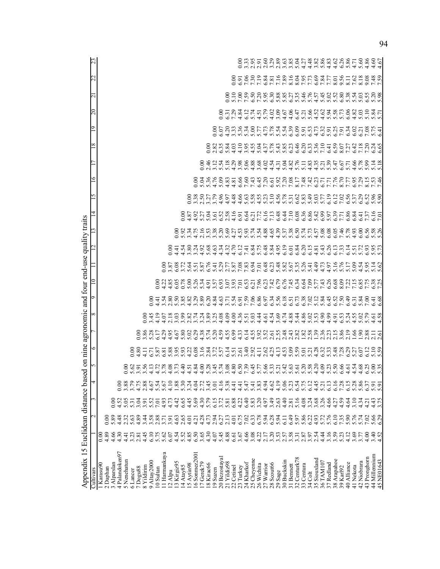| Appendix 15 Euclidean distance bas<br>Cultivars |                |                  |              | 4              | $\overline{5}$ | ٥                          |                                                                                                                                                                                                                                                                                       | on nine agronomic and four end-use quality traits<br>∞ | ᡔ                                 |                                                                                                                                                                                           |                             |                        |                                                                                                                      |                                                         | 5                                         | ∘                                                                                                                                           |                                                                                                                                    | $^{\circ}$ | Ó | $0\overline{c}$                                                                                | $\overline{\mathsf{c}}$ |  |
|-------------------------------------------------|----------------|------------------|--------------|----------------|----------------|----------------------------|---------------------------------------------------------------------------------------------------------------------------------------------------------------------------------------------------------------------------------------------------------------------------------------|--------------------------------------------------------|-----------------------------------|-------------------------------------------------------------------------------------------------------------------------------------------------------------------------------------------|-----------------------------|------------------------|----------------------------------------------------------------------------------------------------------------------|---------------------------------------------------------|-------------------------------------------|---------------------------------------------------------------------------------------------------------------------------------------------|------------------------------------------------------------------------------------------------------------------------------------|------------|---|------------------------------------------------------------------------------------------------|-------------------------|--|
|                                                 |                |                  |              |                |                |                            |                                                                                                                                                                                                                                                                                       |                                                        |                                   |                                                                                                                                                                                           |                             |                        |                                                                                                                      |                                                         |                                           |                                                                                                                                             |                                                                                                                                    |            |   |                                                                                                |                         |  |
| 1 Karasu90                                      | $\frac{8}{10}$ |                  |              |                |                |                            |                                                                                                                                                                                                                                                                                       |                                                        |                                   |                                                                                                                                                                                           |                             |                        |                                                                                                                      |                                                         |                                           |                                                                                                                                             |                                                                                                                                    |            |   |                                                                                                |                         |  |
| 2 Daphan                                        | 4.89           | 0.00             |              |                |                |                            |                                                                                                                                                                                                                                                                                       |                                                        |                                   |                                                                                                                                                                                           |                             |                        |                                                                                                                      |                                                         |                                           |                                                                                                                                             |                                                                                                                                    |            |   |                                                                                                |                         |  |
| 3 Alparslan                                     | 4.66           | 5.89             | 0.00         |                |                |                            |                                                                                                                                                                                                                                                                                       |                                                        |                                   |                                                                                                                                                                                           |                             |                        |                                                                                                                      |                                                         |                                           |                                                                                                                                             |                                                                                                                                    |            |   |                                                                                                |                         |  |
| 4 Palandoken97                                  | 4.30           | 4.48             | 4.52         | 0.00           |                |                            |                                                                                                                                                                                                                                                                                       |                                                        |                                   |                                                                                                                                                                                           |                             |                        |                                                                                                                      |                                                         |                                           |                                                                                                                                             |                                                                                                                                    |            |   |                                                                                                |                         |  |
| 5 Nenehatun                                     | 4.41           | 2.32             | 5.05         | 3.88           |                |                            |                                                                                                                                                                                                                                                                                       |                                                        |                                   |                                                                                                                                                                                           |                             |                        |                                                                                                                      |                                                         |                                           |                                                                                                                                             |                                                                                                                                    |            |   |                                                                                                |                         |  |
| 6 Lancer                                        | 3.23           | 5.63             | 531          |                |                |                            |                                                                                                                                                                                                                                                                                       |                                                        |                                   |                                                                                                                                                                                           |                             |                        |                                                                                                                      |                                                         |                                           |                                                                                                                                             |                                                                                                                                    |            |   |                                                                                                |                         |  |
| 7Dogu88                                         | 2.81           | 4.89             | 3.04         | 4.75           |                | $0.00$<br>4.80             |                                                                                                                                                                                                                                                                                       |                                                        |                                   |                                                                                                                                                                                           |                             |                        |                                                                                                                      |                                                         |                                           |                                                                                                                                             |                                                                                                                                    |            |   |                                                                                                |                         |  |
| 8 Yildirim                                      | 4.45           | 3.44             | 3.91         | 2.88           |                |                            | <u>8</u> នី 3<br>១.ភី ង                                                                                                                                                                                                                                                               | $\infty$                                               |                                   |                                                                                                                                                                                           |                             |                        |                                                                                                                      |                                                         |                                           |                                                                                                                                             |                                                                                                                                    |            |   |                                                                                                |                         |  |
| 9 Altay2000                                     | 6.10           | 3.58             | 5.52         | 4.67           |                | $\frac{11}{6.71}$          |                                                                                                                                                                                                                                                                                       |                                                        |                                   |                                                                                                                                                                                           |                             |                        |                                                                                                                      |                                                         |                                           |                                                                                                                                             |                                                                                                                                    |            |   |                                                                                                |                         |  |
| 10 Sultan                                       | 5.75           | 2.88             | 7.01         | 5.54           |                |                            |                                                                                                                                                                                                                                                                                       | $3.45$<br>4.19                                         |                                   | 0.00                                                                                                                                                                                      |                             |                        |                                                                                                                      |                                                         |                                           |                                                                                                                                             |                                                                                                                                    |            |   |                                                                                                |                         |  |
| 11 Harmankaya                                   | 5.62           | 3.71             | 4.93         | 5.67           |                |                            |                                                                                                                                                                                                                                                                                       |                                                        |                                   |                                                                                                                                                                                           |                             |                        |                                                                                                                      |                                                         |                                           |                                                                                                                                             |                                                                                                                                    |            |   |                                                                                                |                         |  |
| 12 Alpu                                         | 6.07           | 3.91             | 4.73         | 4.10           |                |                            | 4.35                                                                                                                                                                                                                                                                                  |                                                        |                                   | $4.\overline{25}$<br>$4.\overline{85}$                                                                                                                                                    | $0.00$<br>3.87              | 0.00                   |                                                                                                                      |                                                         |                                           |                                                                                                                                             |                                                                                                                                    |            |   |                                                                                                |                         |  |
|                                                 |                |                  |              |                |                | 5.87<br>5.88<br>5.95       |                                                                                                                                                                                                                                                                                       | $4.07$<br>$4.03$<br>$4.03$<br>$4.03$                   |                                   |                                                                                                                                                                                           |                             |                        |                                                                                                                      |                                                         |                                           |                                                                                                                                             |                                                                                                                                    |            |   |                                                                                                |                         |  |
| 13 Kirgiz95                                     | 4.54           | 4.63             | 4.42         | 1.88           |                |                            | 4.67<br>5.80                                                                                                                                                                                                                                                                          |                                                        |                                   |                                                                                                                                                                                           |                             |                        |                                                                                                                      |                                                         |                                           |                                                                                                                                             |                                                                                                                                    |            |   |                                                                                                |                         |  |
| 14 Atay85                                       | 5.52           | 2.65             | 6.65         | 5.30           |                | 5.93                       |                                                                                                                                                                                                                                                                                       |                                                        |                                   | $6.05$<br>0.78                                                                                                                                                                            |                             |                        |                                                                                                                      |                                                         |                                           |                                                                                                                                             |                                                                                                                                    |            |   |                                                                                                |                         |  |
| 15 Aytin98                                      | 4.85           | 4.01             | 4.45         | 3.24           |                |                            | 5.02                                                                                                                                                                                                                                                                                  |                                                        |                                   |                                                                                                                                                                                           |                             |                        |                                                                                                                      |                                                         |                                           |                                                                                                                                             |                                                                                                                                    |            |   |                                                                                                |                         |  |
| 16 Sonmez2001                                   | 6.50           |                  | 5.69         | 4.04           |                |                            |                                                                                                                                                                                                                                                                                       | 2.82<br>3.74                                           |                                   |                                                                                                                                                                                           |                             |                        |                                                                                                                      |                                                         |                                           |                                                                                                                                             |                                                                                                                                    |            |   |                                                                                                |                         |  |
| Gerek79<br>$\overline{C}$                       | 3.65           | $4.21$<br>$4.28$ | 4.30         | 2.72           |                | $4.22$<br>$6.36$<br>$3.16$ | 8387<br>045                                                                                                                                                                                                                                                                           |                                                        |                                   |                                                                                                                                                                                           |                             | 52838                  | 0014696800<br>0014696800<br>001469800                                                                                |                                                         | 0.000 0.000<br>0.000 0.000<br>0.000 0.000 |                                                                                                                                             |                                                                                                                                    |            |   |                                                                                                |                         |  |
| 18 Kirac66                                      | 4.30           | 4.73             | 5.79         | $\ddot{ }$     |                |                            |                                                                                                                                                                                                                                                                                       |                                                        |                                   |                                                                                                                                                                                           |                             |                        |                                                                                                                      |                                                         |                                           |                                                                                                                                             |                                                                                                                                    |            |   |                                                                                                |                         |  |
| 9 Suzen                                         | 4.07           | 2.94             | 6.15         | 3.01           |                | 2.84<br>3.72               | 5.20                                                                                                                                                                                                                                                                                  |                                                        |                                   |                                                                                                                                                                                           |                             | 88                     |                                                                                                                      |                                                         |                                           |                                                                                                                                             |                                                                                                                                    |            |   |                                                                                                |                         |  |
|                                                 |                |                  |              |                |                |                            |                                                                                                                                                                                                                                                                                       |                                                        |                                   |                                                                                                                                                                                           |                             |                        |                                                                                                                      |                                                         |                                           |                                                                                                                                             |                                                                                                                                    |            |   |                                                                                                |                         |  |
| 20 Bezostayal                                   | 5.45           | 6.27             | 3.72         |                |                | $5.57$<br>6.14             |                                                                                                                                                                                                                                                                                       |                                                        | $4.63$<br>3.71                    |                                                                                                                                                                                           |                             |                        |                                                                                                                      |                                                         |                                           |                                                                                                                                             |                                                                                                                                    |            |   |                                                                                                |                         |  |
| 21 Yildiz98                                     | 4.88           | 2.13             |              | $4.16$<br>5.38 |                |                            | $34.58$<br>$4.58$                                                                                                                                                                                                                                                                     |                                                        |                                   |                                                                                                                                                                                           |                             | $-495$                 |                                                                                                                      |                                                         |                                           |                                                                                                                                             |                                                                                                                                    |            |   |                                                                                                | 0.00                    |  |
| 22 Cetinel                                      | 6.61           | 4.01             | 6.88         | 4.41           |                |                            |                                                                                                                                                                                                                                                                                       |                                                        |                                   |                                                                                                                                                                                           |                             |                        |                                                                                                                      |                                                         |                                           |                                                                                                                                             |                                                                                                                                    |            |   |                                                                                                |                         |  |
| 23 Turkey                                       | 3.67           | 6.75             | 4.22         | 4.41           |                |                            | 4.33                                                                                                                                                                                                                                                                                  |                                                        |                                   |                                                                                                                                                                                           |                             | 6.12                   |                                                                                                                      |                                                         |                                           |                                                                                                                                             |                                                                                                                                    |            |   |                                                                                                |                         |  |
| 24 Kharkof                                      | 4.66           |                  | 6.40         | 5.47           |                | 551492                     | 14.58                                                                                                                                                                                                                                                                                 |                                                        |                                   |                                                                                                                                                                                           |                             |                        |                                                                                                                      |                                                         |                                           |                                                                                                                                             |                                                                                                                                    |            |   |                                                                                                |                         |  |
| 25 Cheyenne                                     | 3.08           |                  | 5.83         | 5.41           |                |                            |                                                                                                                                                                                                                                                                                       |                                                        |                                   |                                                                                                                                                                                           |                             |                        |                                                                                                                      |                                                         |                                           |                                                                                                                                             |                                                                                                                                    |            |   |                                                                                                |                         |  |
| 26 Wichita                                      | 4.22           | 7.33<br>6.38     | 3.20         | 3.83           |                | $\frac{11}{4}$             |                                                                                                                                                                                                                                                                                       |                                                        |                                   |                                                                                                                                                                                           |                             |                        |                                                                                                                      |                                                         |                                           |                                                                                                                                             |                                                                                                                                    |            |   |                                                                                                |                         |  |
| 27 Warrior                                      | 2.17           |                  | 4.97         | 4.94           |                |                            |                                                                                                                                                                                                                                                                                       |                                                        |                                   |                                                                                                                                                                                           |                             |                        |                                                                                                                      |                                                         |                                           |                                                                                                                                             |                                                                                                                                    |            |   |                                                                                                |                         |  |
| Scout66<br>$\overline{28}$                      | 3.20           | 5.83<br>5.83     | 3.49         | 4.62           |                |                            | 55533<br>30033                                                                                                                                                                                                                                                                        |                                                        | 538865388558821<br>53888538855882 | ood a u h g b g u g a d y d e y d a g b h g y g g o d u g<br>o d d a j b g b g u d y d d d b b d e g b d d g b d d g g d d g<br>o d a u h g b g u g d d y g b y d a g b h g y g g d d y g |                             | 1366336900360045600131 | 14100141800158014058809880088088<br>Gina Chia Chia Chia Chia Chia Chia Chia<br>La Chia Chia Chia Chia Chia Chia Chia | ORNE TENSER TENSATOSSSENS.<br>OSPORTONIS PERITENTENTOSS |                                           | סטמת מתאסרד פרטיפור האריפיר ראו פרטיפור<br>ספטיפור האריפיר היא היו האריפיר האריפיר היו היו<br>ספטיפור הספטיפור האריפיר היו הראו היו היו היו | סמה המה להסמשמט ל לא הסמיכה מה לא המה לכה לא<br>סלון מרומס משפט לה הסמיכה מה להסמיכה<br>סלון לא סמש שמט ל לא הסמיכות מרומכה לכם שמ |            |   | OUNAUNTURUR COLTUS COLTO SUO I<br>OUNAUNTURUS COLTUS COLTO SONO<br>OUNTURUS CORTUS COLTO SUO I |                         |  |
| Sage<br>$\mathfrak{g}$                          |                |                  | 2.63         | 4.19           |                |                            |                                                                                                                                                                                                                                                                                       |                                                        |                                   |                                                                                                                                                                                           |                             |                        |                                                                                                                      |                                                         |                                           |                                                                                                                                             |                                                                                                                                    |            |   |                                                                                                |                         |  |
|                                                 | 3.57           | 6.11             |              | 5.06           |                |                            |                                                                                                                                                                                                                                                                                       |                                                        |                                   |                                                                                                                                                                                           |                             |                        |                                                                                                                      |                                                         |                                           |                                                                                                                                             |                                                                                                                                    |            |   |                                                                                                |                         |  |
| 30 Buckskin                                     |                |                  | 4.40         |                |                |                            |                                                                                                                                                                                                                                                                                       |                                                        |                                   |                                                                                                                                                                                           |                             |                        |                                                                                                                      |                                                         |                                           |                                                                                                                                             |                                                                                                                                    |            |   |                                                                                                |                         |  |
| 31 Bennett                                      | 3.58           | 6.49             | 2.81         | 5.23           |                |                            |                                                                                                                                                                                                                                                                                       |                                                        |                                   |                                                                                                                                                                                           |                             |                        |                                                                                                                      |                                                         |                                           |                                                                                                                                             |                                                                                                                                    |            |   |                                                                                                |                         |  |
| Centurk78<br>$\overline{32}$                    | 3.31           | 5.97             | 5.16         | 6.54           |                |                            |                                                                                                                                                                                                                                                                                       |                                                        |                                   |                                                                                                                                                                                           |                             |                        |                                                                                                                      |                                                         |                                           |                                                                                                                                             |                                                                                                                                    |            |   |                                                                                                |                         |  |
| 33 Centura                                      | 2.87           | 5.86             | 4.08         |                |                |                            |                                                                                                                                                                                                                                                                                       |                                                        |                                   |                                                                                                                                                                                           |                             |                        |                                                                                                                      |                                                         |                                           |                                                                                                                                             |                                                                                                                                    |            |   |                                                                                                |                         |  |
| Colt<br>$\frac{4}{3}$                           | 3.97           | 6.22             | 3.24         | 6.12           |                |                            |                                                                                                                                                                                                                                                                                       |                                                        |                                   |                                                                                                                                                                                           |                             |                        |                                                                                                                      |                                                         |                                           |                                                                                                                                             |                                                                                                                                    |            |   |                                                                                                |                         |  |
| 35 Siouxland                                    | 2.54           | 4.93             | 3.68         | 4.45           |                |                            |                                                                                                                                                                                                                                                                                       |                                                        |                                   |                                                                                                                                                                                           |                             |                        |                                                                                                                      |                                                         |                                           |                                                                                                                                             |                                                                                                                                    |            |   |                                                                                                |                         |  |
| 36 TAM107                                       | 4.4            |                  | 3.26         | 5.21           |                |                            |                                                                                                                                                                                                                                                                                       |                                                        |                                   |                                                                                                                                                                                           |                             |                        |                                                                                                                      |                                                         |                                           |                                                                                                                                             |                                                                                                                                    |            |   |                                                                                                |                         |  |
| 37 Redland                                      | 3.16           | 5.72             | 4.66         | 6.13           |                |                            | $\begin{array}{c} 422288800 \\ 12228800 \\ 1222880 \\ 1222880 \\ 1222880 \\ 1222880 \\ 1222880 \\ 1222880 \\ 1222880 \\ 1222880 \\ 1222880 \\ 1222880 \\ 1222880 \\ 1222880 \\ 1222880 \\ 1222880 \\ 1222880 \\ 1222880 \\ 1222880 \\ 1222880 \\ 1222880 \\ 1222880 \\ 1222880 \\ 12$ |                                                        | 5.84<br>6.45                      |                                                                                                                                                                                           |                             |                        |                                                                                                                      |                                                         |                                           |                                                                                                                                             |                                                                                                                                    |            |   |                                                                                                |                         |  |
| 38 Arapahoe                                     | 3.59           | 6.10             | 4.27         | 6.16           |                |                            | 2.15                                                                                                                                                                                                                                                                                  |                                                        |                                   |                                                                                                                                                                                           |                             |                        |                                                                                                                      |                                                         |                                           |                                                                                                                                             |                                                                                                                                    |            |   |                                                                                                |                         |  |
| 39 Karl92                                       | 5.23           | 7.35             | 4.59         | 7.28           |                |                            | 3.86                                                                                                                                                                                                                                                                                  |                                                        | $6.52$<br>7.50                    |                                                                                                                                                                                           |                             |                        |                                                                                                                      |                                                         |                                           |                                                                                                                                             |                                                                                                                                    |            |   |                                                                                                |                         |  |
| 40 Alliance                                     | 4.12           |                  | र्थ<br>4.64  | 6.15           |                |                            |                                                                                                                                                                                                                                                                                       |                                                        | 6.49                              |                                                                                                                                                                                           |                             |                        |                                                                                                                      |                                                         |                                           |                                                                                                                                             |                                                                                                                                    |            |   |                                                                                                |                         |  |
| 41 Nekota                                       |                | 5.76             | 3.10         | 5.28           |                |                            |                                                                                                                                                                                                                                                                                       |                                                        |                                   |                                                                                                                                                                                           |                             |                        |                                                                                                                      |                                                         |                                           |                                                                                                                                             |                                                                                                                                    |            |   |                                                                                                |                         |  |
|                                                 | 3.77           |                  |              |                |                |                            |                                                                                                                                                                                                                                                                                       |                                                        | $6.31$<br>$5.84$                  |                                                                                                                                                                                           |                             | 5.72                   |                                                                                                                      |                                                         |                                           |                                                                                                                                             |                                                                                                                                    |            |   |                                                                                                |                         |  |
| 42 Niobrara                                     |                | 5.74             | 4.34         | 5.86           |                |                            | $\frac{66}{100}$                                                                                                                                                                                                                                                                      |                                                        |                                   |                                                                                                                                                                                           |                             |                        |                                                                                                                      |                                                         |                                           |                                                                                                                                             |                                                                                                                                    |            |   |                                                                                                |                         |  |
| 43 Pronghorn                                    | 4.00           | 7.02             | 4.21         | 6.37           |                |                            |                                                                                                                                                                                                                                                                                       | 5.79                                                   | ड़ में 8                          | 7.38<br>6.38<br>7.29                                                                                                                                                                      |                             | 6.93                   |                                                                                                                      | $6, 41$<br>$7, 37$<br>$6, 16$<br>$7, 01$                | 5.388                                     |                                                                                                                                             |                                                                                                                                    |            |   |                                                                                                |                         |  |
| 44 Millennium                                   | 3.40           | 5.66<br>6.29     | 4.43<br>3.75 | 5.91           | $8\%$          | 5.59                       | - 16                                                                                                                                                                                                                                                                                  | 4.58                                                   |                                   |                                                                                                                                                                                           | $\frac{1}{4}$ $\frac{6}{2}$ | $\ddot{\delta}$ k      |                                                                                                                      |                                                         |                                           |                                                                                                                                             |                                                                                                                                    |            |   | 5.71                                                                                           |                         |  |
| NE01643<br>45                                   | 52             |                  |              |                |                |                            |                                                                                                                                                                                                                                                                                       |                                                        |                                   |                                                                                                                                                                                           |                             |                        |                                                                                                                      |                                                         |                                           |                                                                                                                                             |                                                                                                                                    |            |   |                                                                                                |                         |  |